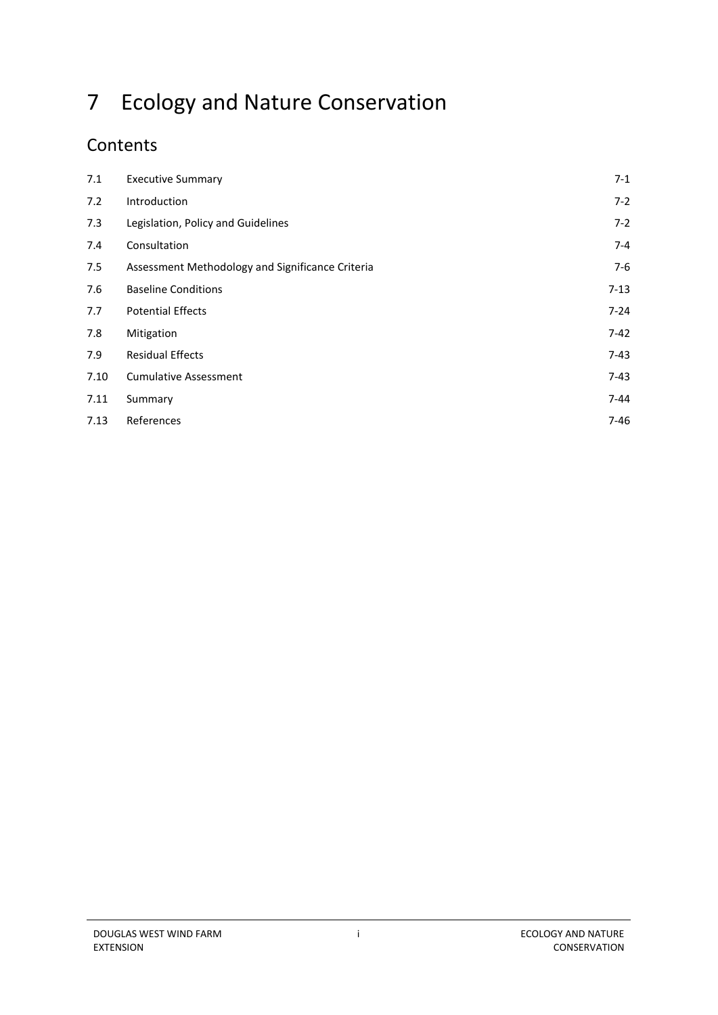# 7 Ecology and Nature Conservation

# **Contents**

| 7.1  | <b>Executive Summary</b>                         | $7 - 1$  |
|------|--------------------------------------------------|----------|
| 7.2  | Introduction                                     | $7 - 2$  |
| 7.3  | Legislation, Policy and Guidelines               | $7 - 2$  |
| 7.4  | Consultation                                     | $7 - 4$  |
| 7.5  | Assessment Methodology and Significance Criteria | $7-6$    |
| 7.6  | <b>Baseline Conditions</b>                       | $7-13$   |
| 7.7  | <b>Potential Effects</b>                         | $7 - 24$ |
| 7.8  | Mitigation                                       | $7-42$   |
| 7.9  | <b>Residual Effects</b>                          | $7-43$   |
| 7.10 | <b>Cumulative Assessment</b>                     | $7-43$   |
| 7.11 | Summary                                          | $7 - 44$ |
| 7.13 | References                                       | $7 - 46$ |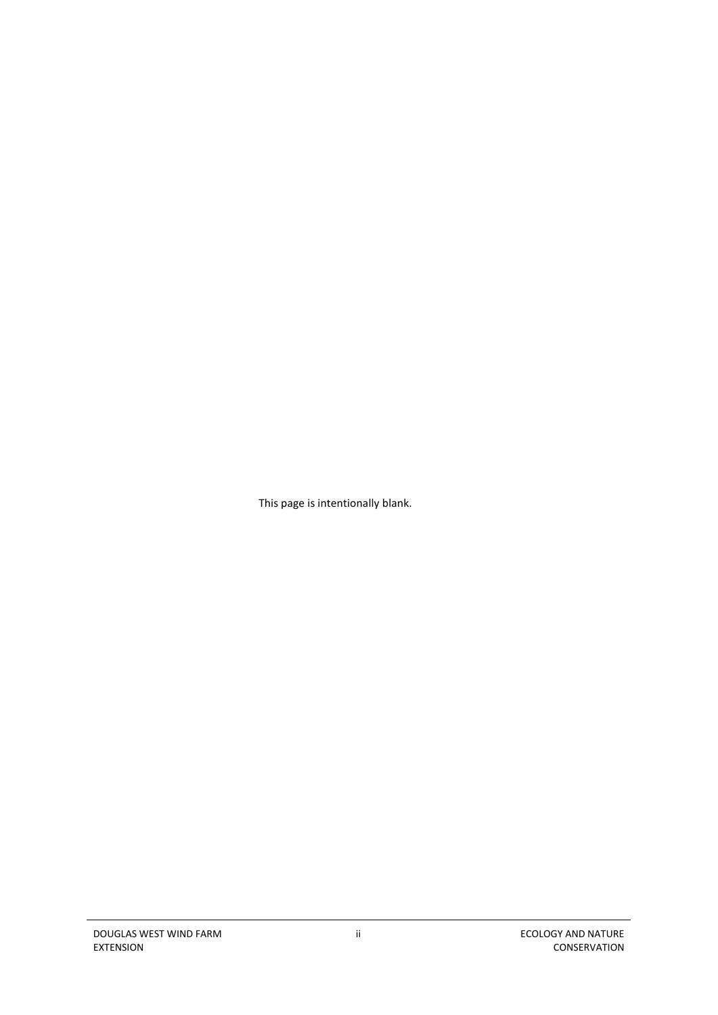This page is intentionally blank.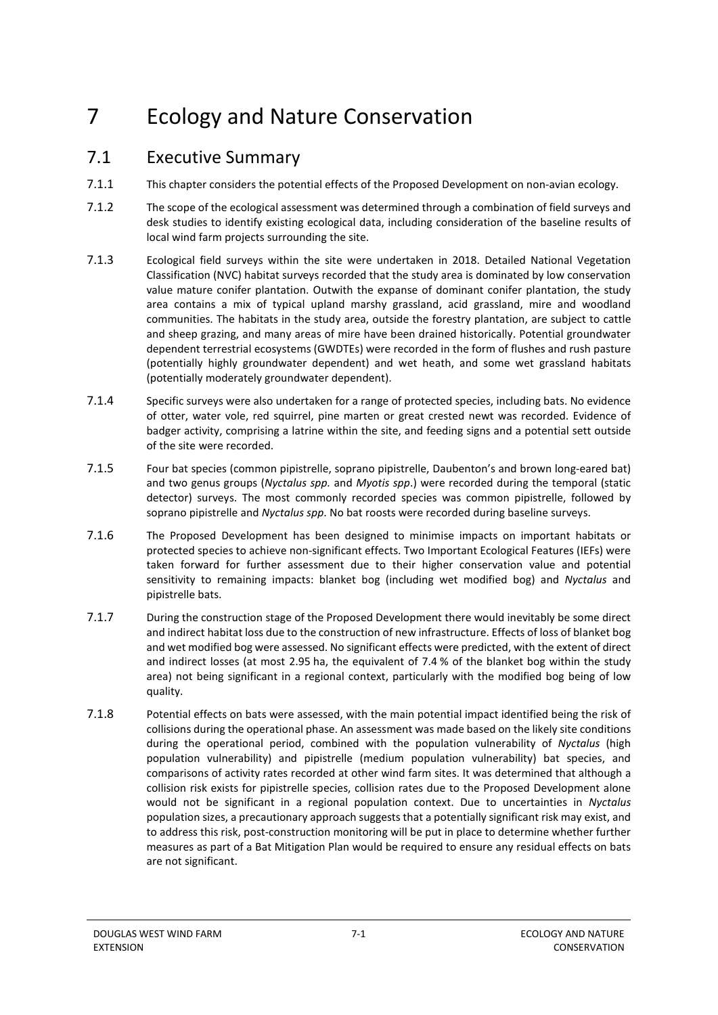# 7 Ecology and Nature Conservation

# <span id="page-2-0"></span>7.1 Executive Summary

- 7.1.1 This chapter considers the potential effects of the Proposed Development on non-avian ecology.
- 7.1.2 The scope of the ecological assessment was determined through a combination of field surveys and desk studies to identify existing ecological data, including consideration of the baseline results of local wind farm projects surrounding the site.
- 7.1.3 Ecological field surveys within the site were undertaken in 2018. Detailed National Vegetation Classification (NVC) habitat surveys recorded that the study area is dominated by low conservation value mature conifer plantation. Outwith the expanse of dominant conifer plantation, the study area contains a mix of typical upland marshy grassland, acid grassland, mire and woodland communities. The habitats in the study area, outside the forestry plantation, are subject to cattle and sheep grazing, and many areas of mire have been drained historically. Potential groundwater dependent terrestrial ecosystems (GWDTEs) were recorded in the form of flushes and rush pasture (potentially highly groundwater dependent) and wet heath, and some wet grassland habitats (potentially moderately groundwater dependent).
- 7.1.4 Specific surveys were also undertaken for a range of protected species, including bats. No evidence of otter, water vole, red squirrel, pine marten or great crested newt was recorded. Evidence of badger activity, comprising a latrine within the site, and feeding signs and a potential sett outside of the site were recorded.
- 7.1.5 Four bat species (common pipistrelle, soprano pipistrelle, Daubenton's and brown long-eared bat) and two genus groups (*Nyctalus spp.* and *Myotis spp*.) were recorded during the temporal (static detector) surveys. The most commonly recorded species was common pipistrelle, followed by soprano pipistrelle and *Nyctalus spp*. No bat roosts were recorded during baseline surveys.
- 7.1.6 The Proposed Development has been designed to minimise impacts on important habitats or protected species to achieve non-significant effects. Two Important Ecological Features (IEFs) were taken forward for further assessment due to their higher conservation value and potential sensitivity to remaining impacts: blanket bog (including wet modified bog) and *Nyctalus* and pipistrelle bats.
- 7.1.7 During the construction stage of the Proposed Development there would inevitably be some direct and indirect habitat loss due to the construction of new infrastructure. Effects of loss of blanket bog and wet modified bog were assessed. No significant effects were predicted, with the extent of direct and indirect losses (at most 2.95 ha, the equivalent of 7.4 % of the blanket bog within the study area) not being significant in a regional context, particularly with the modified bog being of low quality.
- 7.1.8 Potential effects on bats were assessed, with the main potential impact identified being the risk of collisions during the operational phase. An assessment was made based on the likely site conditions during the operational period, combined with the population vulnerability of *Nyctalus* (high population vulnerability) and pipistrelle (medium population vulnerability) bat species, and comparisons of activity rates recorded at other wind farm sites. It was determined that although a collision risk exists for pipistrelle species, collision rates due to the Proposed Development alone would not be significant in a regional population context. Due to uncertainties in *Nyctalus*  population sizes, a precautionary approach suggests that a potentially significant risk may exist, and to address this risk, post-construction monitoring will be put in place to determine whether further measures as part of a Bat Mitigation Plan would be required to ensure any residual effects on bats are not significant.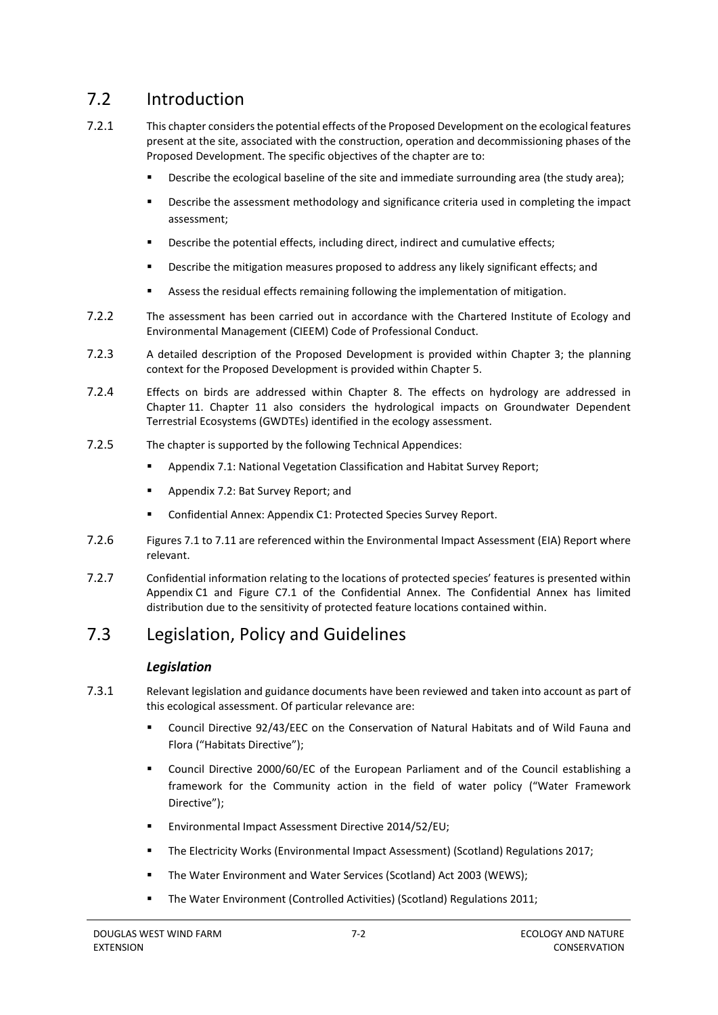# <span id="page-3-0"></span>7.2 Introduction

- 7.2.1 This chapter considers the potential effects of the Proposed Development on the ecological features present at the site, associated with the construction, operation and decommissioning phases of the Proposed Development. The specific objectives of the chapter are to:
	- Describe the ecological baseline of the site and immediate surrounding area (the study area);
	- **•** Describe the assessment methodology and significance criteria used in completing the impact assessment;
	- Describe the potential effects, including direct, indirect and cumulative effects;
	- Describe the mitigation measures proposed to address any likely significant effects; and
	- Assess the residual effects remaining following the implementation of mitigation.
- 7.2.2 The assessment has been carried out in accordance with the Chartered Institute of Ecology and Environmental Management (CIEEM) Code of Professional Conduct.
- 7.2.3 A detailed description of the Proposed Development is provided within Chapter 3; the planning context for the Proposed Development is provided within Chapter 5.
- 7.2.4 Effects on birds are addressed within Chapter 8. The effects on hydrology are addressed in Chapter 11. Chapter 11 also considers the hydrological impacts on Groundwater Dependent Terrestrial Ecosystems (GWDTEs) identified in the ecology assessment.
- 7.2.5 The chapter is supported by the following Technical Appendices:
	- Appendix 7.1: National Vegetation Classification and Habitat Survey Report;
	- Appendix 7.2: Bat Survey Report: and
	- Confidential Annex: Appendix C1: Protected Species Survey Report.
- 7.2.6 Figures 7.1 to 7.11 are referenced within the Environmental Impact Assessment (EIA) Report where relevant.
- 7.2.7 Confidential information relating to the locations of protected species' features is presented within Appendix C1 and Figure C7.1 of the Confidential Annex. The Confidential Annex has limited distribution due to the sensitivity of protected feature locations contained within.

# <span id="page-3-1"></span>7.3 Legislation, Policy and Guidelines

# *Legislation*

- 7.3.1 Relevant legislation and guidance documents have been reviewed and taken into account as part of this ecological assessment. Of particular relevance are:
	- Council Directive 92/43/EEC on the Conservation of Natural Habitats and of Wild Fauna and Flora ("Habitats Directive");
	- Council Directive 2000/60/EC of the European Parliament and of the Council establishing a framework for the Community action in the field of water policy ("Water Framework Directive");
	- Environmental Impact Assessment Directive 2014/52/EU;
	- The Electricity Works (Environmental Impact Assessment) (Scotland) Regulations 2017;
	- **The Water Environment and Water Services (Scotland) Act 2003 (WEWS);**
	- The Water Environment (Controlled Activities) (Scotland) Regulations 2011;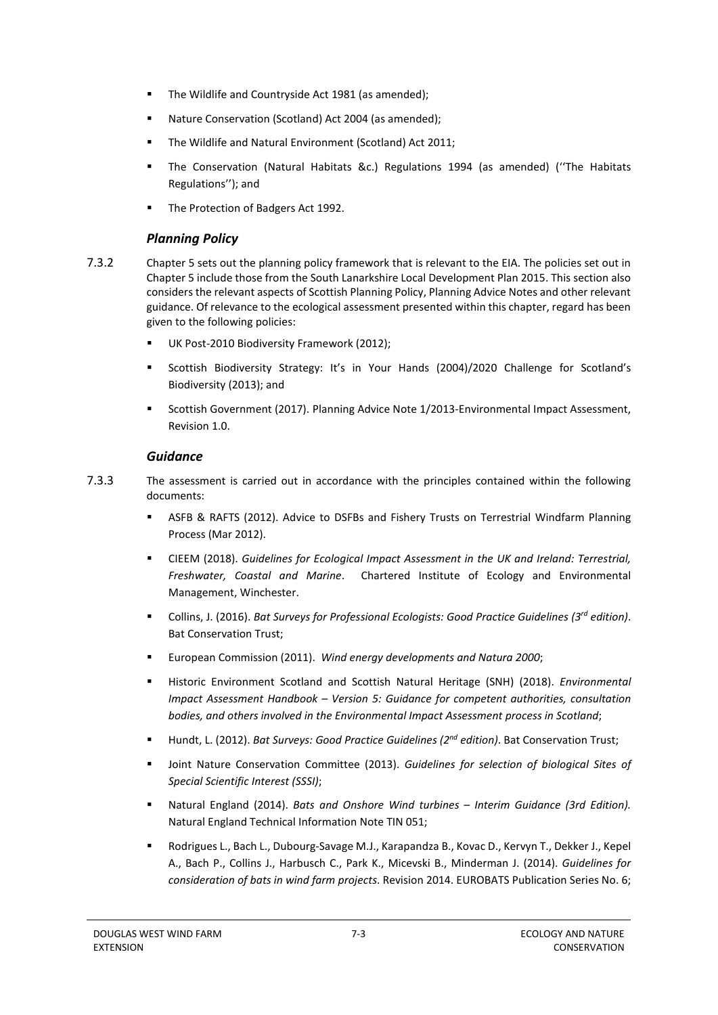- The Wildlife and Countryside Act 1981 (as amended);
- Nature Conservation (Scotland) Act 2004 (as amended);
- The Wildlife and Natural Environment (Scotland) Act 2011;
- The Conservation (Natural Habitats &c.) Regulations 1994 (as amended) (''The Habitats Regulations''); and
- The Protection of Badgers Act 1992.

## *Planning Policy*

- 7.3.2 Chapter 5 sets out the planning policy framework that is relevant to the EIA. The policies set out in Chapter 5 include those from the South Lanarkshire Local Development Plan 2015. This section also considers the relevant aspects of Scottish Planning Policy, Planning Advice Notes and other relevant guidance. Of relevance to the ecological assessment presented within this chapter, regard has been given to the following policies:
	- UK Post-2010 Biodiversity Framework (2012);
	- Scottish Biodiversity Strategy: It's in Your Hands (2004)/2020 Challenge for Scotland's Biodiversity (2013); and
	- Scottish Government (2017). Planning Advice Note 1/2013-Environmental Impact Assessment, Revision 1.0.

## *Guidance*

- 7.3.3 The assessment is carried out in accordance with the principles contained within the following documents:
	- ASFB & RAFTS (2012). Advice to DSFBs and Fishery Trusts on Terrestrial Windfarm Planning Process (Mar 2012).
	- CIEEM (2018). *Guidelines for Ecological Impact Assessment in the UK and Ireland: Terrestrial, Freshwater, Coastal and Marine*. Chartered Institute of Ecology and Environmental Management, Winchester.
	- Collins, J. (2016). *Bat Surveys for Professional Ecologists: Good Practice Guidelines (3rd edition)*. Bat Conservation Trust;
	- European Commission (2011). *Wind energy developments and Natura 2000*;
	- Historic Environment Scotland and Scottish Natural Heritage (SNH) (2018). *Environmental Impact Assessment Handbook – Version 5: Guidance for competent authorities, consultation bodies, and others involved in the Environmental Impact Assessment process in Scotland*;
	- Hundt, L. (2012). *Bat Surveys: Good Practice Guidelines (2nd edition)*. Bat Conservation Trust;
	- Joint Nature Conservation Committee (2013). *Guidelines for selection of biological Sites of Special Scientific Interest (SSSI)*;
	- Natural England (2014). *Bats and Onshore Wind turbines – Interim Guidance (3rd Edition).*  Natural England Technical Information Note TIN 051;
	- Rodrigues L., Bach L., Dubourg-Savage M.J., Karapandza B., Kovac D., Kervyn T., Dekker J., Kepel A., Bach P., Collins J., Harbusch C., Park K., Micevski B., Minderman J. (2014). *Guidelines for consideration of bats in wind farm projects*. Revision 2014. EUROBATS Publication Series No. 6;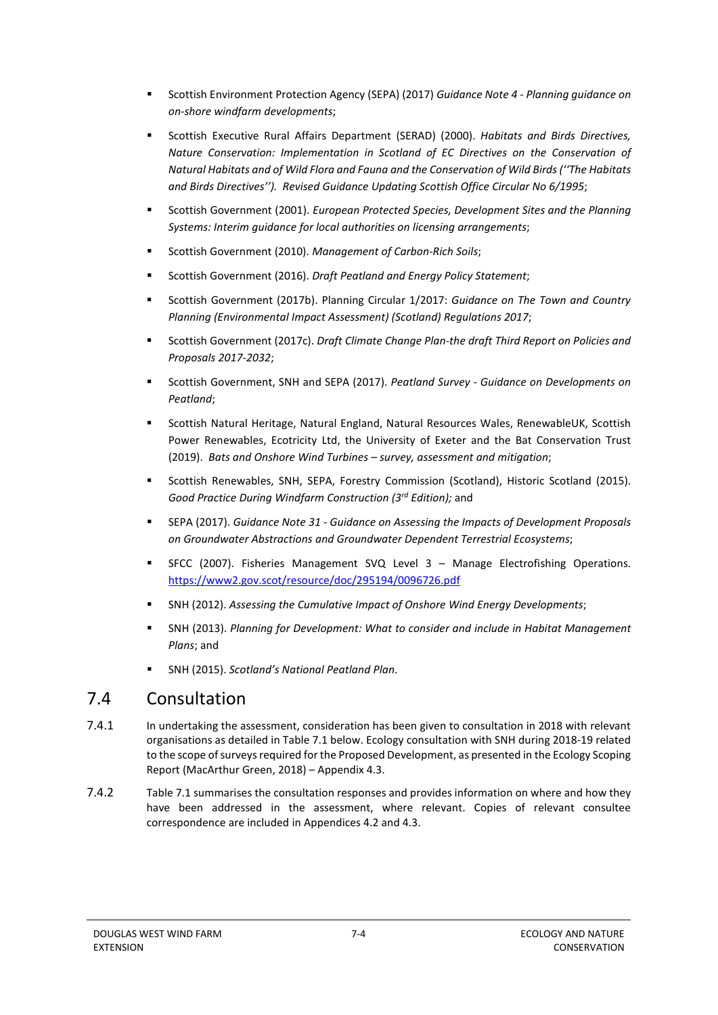- Scottish Environment Protection Agency (SEPA) (2017) *Guidance Note 4 - Planning guidance on on-shore windfarm developments*;
- Scottish Executive Rural Affairs Department (SERAD) (2000). *Habitats and Birds Directives, Nature Conservation: Implementation in Scotland of EC Directives on the Conservation of Natural Habitats and of Wild Flora and Fauna and the Conservation of Wild Birds (''The Habitats and Birds Directives''). Revised Guidance Updating Scottish Office Circular No 6/1995*;
- Scottish Government (2001). *European Protected Species, Development Sites and the Planning Systems: Interim guidance for local authorities on licensing arrangements*;
- Scottish Government (2010). *Management of Carbon-Rich Soils*;
- Scottish Government (2016). *Draft Peatland and Energy Policy Statement*;
- Scottish Government (2017b). Planning Circular 1/2017: *Guidance on The Town and Country Planning (Environmental Impact Assessment) (Scotland) Regulations 2017*;
- Scottish Government (2017c). *Draft Climate Change Plan-the draft Third Report on Policies and Proposals 2017-2032*;
- Scottish Government, SNH and SEPA (2017). *Peatland Survey - Guidance on Developments on Peatland*;
- Scottish Natural Heritage, Natural England, Natural Resources Wales, RenewableUK, Scottish Power Renewables, Ecotricity Ltd, the University of Exeter and the Bat Conservation Trust (2019). *Bats and Onshore Wind Turbines – survey, assessment and mitigation*;
- Scottish Renewables, SNH, SEPA, Forestry Commission (Scotland), Historic Scotland (2015). *Good Practice During Windfarm Construction (3rd Edition);* and
- SEPA (2017). *Guidance Note 31 - Guidance on Assessing the Impacts of Development Proposals on Groundwater Abstractions and Groundwater Dependent Terrestrial Ecosystems*;
- SFCC (2007). Fisheries Management SVQ Level 3 Manage Electrofishing Operations. <https://www2.gov.scot/resource/doc/295194/0096726.pdf>
- SNH (2012). *Assessing the Cumulative Impact of Onshore Wind Energy Developments*;
- SNH (2013). *Planning for Development: What to consider and include in Habitat Management Plans*; and
- SNH (2015). *Scotland's National Peatland Plan*.

# <span id="page-5-0"></span>7.4 Consultation

- 7.4.1 In undertaking the assessment, consideration has been given to consultation in 2018 with relevant organisations as detailed in Table 7.1 below. Ecology consultation with SNH during 2018-19 related to the scope of surveys required for the Proposed Development, as presented in the Ecology Scoping Report (MacArthur Green, 2018) – Appendix 4.3.
- 7.4.2 Table 7.1 summarises the consultation responses and provides information on where and how they have been addressed in the assessment, where relevant. Copies of relevant consultee correspondence are included in Appendices 4.2 and 4.3.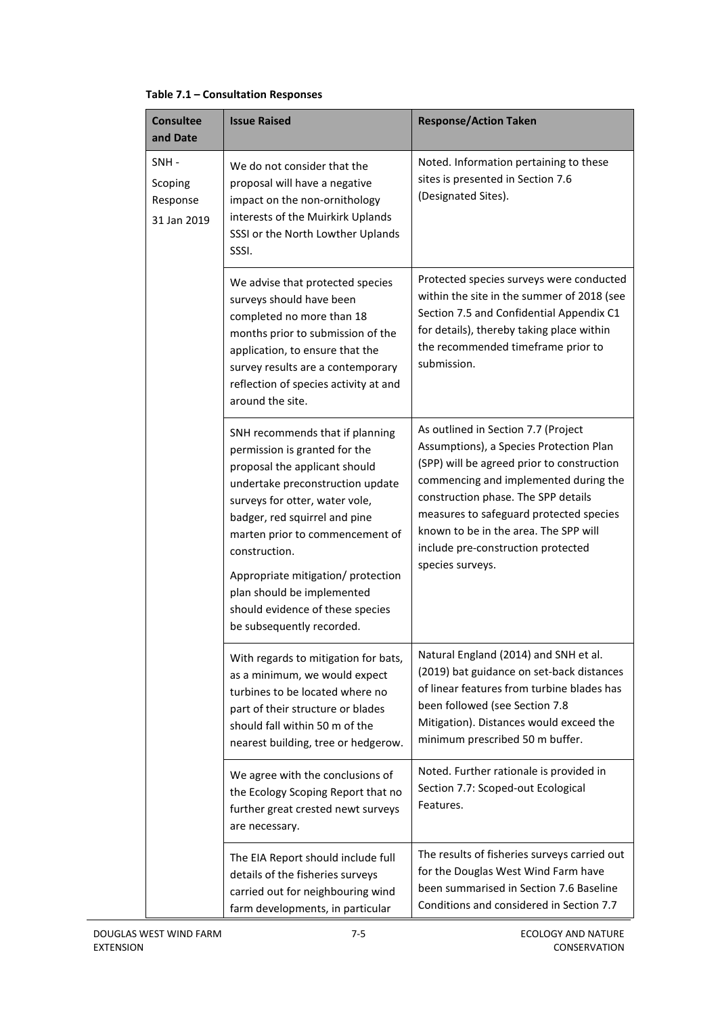# **Table 7.1 – Consultation Responses**

| <b>Consultee</b><br>and Date               | <b>Issue Raised</b>                                                                                                                                                                                                                                                                                                                                                                               | <b>Response/Action Taken</b>                                                                                                                                                                                                                                                                                                                               |
|--------------------------------------------|---------------------------------------------------------------------------------------------------------------------------------------------------------------------------------------------------------------------------------------------------------------------------------------------------------------------------------------------------------------------------------------------------|------------------------------------------------------------------------------------------------------------------------------------------------------------------------------------------------------------------------------------------------------------------------------------------------------------------------------------------------------------|
| SNH-<br>Scoping<br>Response<br>31 Jan 2019 | We do not consider that the<br>proposal will have a negative<br>impact on the non-ornithology<br>interests of the Muirkirk Uplands<br>SSSI or the North Lowther Uplands<br>SSSI.                                                                                                                                                                                                                  | Noted. Information pertaining to these<br>sites is presented in Section 7.6<br>(Designated Sites).                                                                                                                                                                                                                                                         |
|                                            | We advise that protected species<br>surveys should have been<br>completed no more than 18<br>months prior to submission of the<br>application, to ensure that the<br>survey results are a contemporary<br>reflection of species activity at and<br>around the site.                                                                                                                               | Protected species surveys were conducted<br>within the site in the summer of 2018 (see<br>Section 7.5 and Confidential Appendix C1<br>for details), thereby taking place within<br>the recommended timeframe prior to<br>submission.                                                                                                                       |
|                                            | SNH recommends that if planning<br>permission is granted for the<br>proposal the applicant should<br>undertake preconstruction update<br>surveys for otter, water vole,<br>badger, red squirrel and pine<br>marten prior to commencement of<br>construction.<br>Appropriate mitigation/ protection<br>plan should be implemented<br>should evidence of these species<br>be subsequently recorded. | As outlined in Section 7.7 (Project<br>Assumptions), a Species Protection Plan<br>(SPP) will be agreed prior to construction<br>commencing and implemented during the<br>construction phase. The SPP details<br>measures to safeguard protected species<br>known to be in the area. The SPP will<br>include pre-construction protected<br>species surveys. |
|                                            | With regards to mitigation for bats,<br>as a minimum, we would expect<br>turbines to be located where no<br>part of their structure or blades<br>should fall within 50 m of the<br>nearest building, tree or hedgerow.                                                                                                                                                                            | Natural England (2014) and SNH et al.<br>(2019) bat guidance on set-back distances<br>of linear features from turbine blades has<br>been followed (see Section 7.8<br>Mitigation). Distances would exceed the<br>minimum prescribed 50 m buffer.                                                                                                           |
|                                            | We agree with the conclusions of<br>the Ecology Scoping Report that no<br>further great crested newt surveys<br>are necessary.                                                                                                                                                                                                                                                                    | Noted. Further rationale is provided in<br>Section 7.7: Scoped-out Ecological<br>Features.                                                                                                                                                                                                                                                                 |
|                                            | The EIA Report should include full<br>details of the fisheries surveys<br>carried out for neighbouring wind<br>farm developments, in particular                                                                                                                                                                                                                                                   | The results of fisheries surveys carried out<br>for the Douglas West Wind Farm have<br>been summarised in Section 7.6 Baseline<br>Conditions and considered in Section 7.7                                                                                                                                                                                 |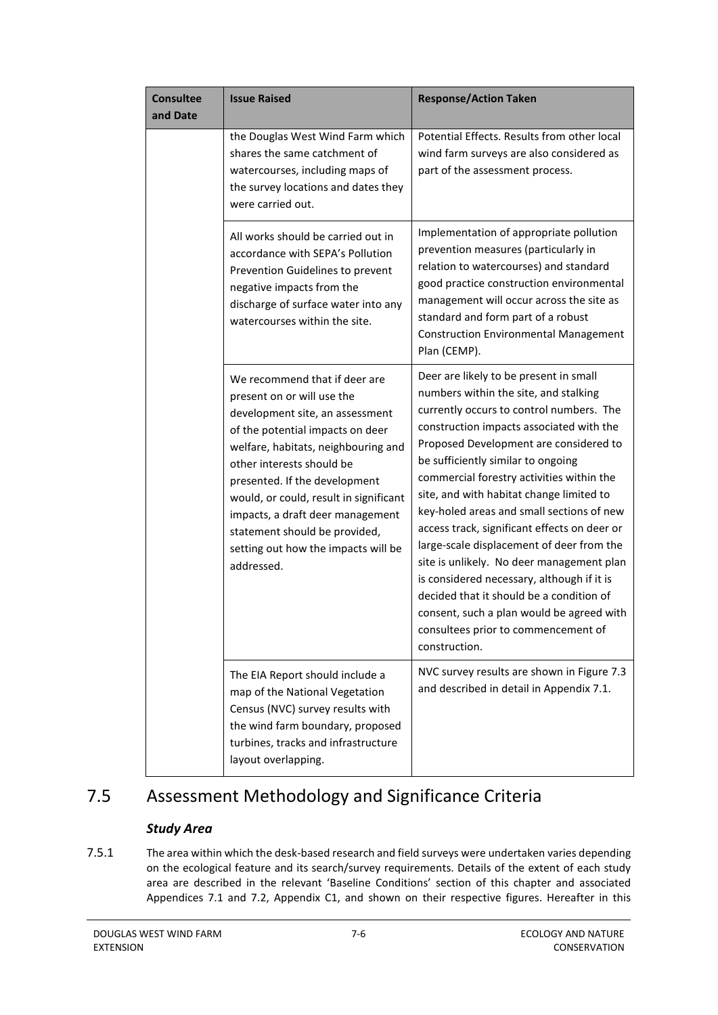| <b>Consultee</b><br>and Date | <b>Issue Raised</b>                                                                                                                                                                                                                                                                                                                                                                                         | <b>Response/Action Taken</b>                                                                                                                                                                                                                                                                                                                                                                                                                                                                                                                                                                                                                                                                                                           |
|------------------------------|-------------------------------------------------------------------------------------------------------------------------------------------------------------------------------------------------------------------------------------------------------------------------------------------------------------------------------------------------------------------------------------------------------------|----------------------------------------------------------------------------------------------------------------------------------------------------------------------------------------------------------------------------------------------------------------------------------------------------------------------------------------------------------------------------------------------------------------------------------------------------------------------------------------------------------------------------------------------------------------------------------------------------------------------------------------------------------------------------------------------------------------------------------------|
|                              | the Douglas West Wind Farm which<br>shares the same catchment of<br>watercourses, including maps of<br>the survey locations and dates they<br>were carried out.                                                                                                                                                                                                                                             | Potential Effects. Results from other local<br>wind farm surveys are also considered as<br>part of the assessment process.                                                                                                                                                                                                                                                                                                                                                                                                                                                                                                                                                                                                             |
|                              | All works should be carried out in<br>accordance with SEPA's Pollution<br>Prevention Guidelines to prevent<br>negative impacts from the<br>discharge of surface water into any<br>watercourses within the site.                                                                                                                                                                                             | Implementation of appropriate pollution<br>prevention measures (particularly in<br>relation to watercourses) and standard<br>good practice construction environmental<br>management will occur across the site as<br>standard and form part of a robust<br><b>Construction Environmental Management</b><br>Plan (CEMP).                                                                                                                                                                                                                                                                                                                                                                                                                |
|                              | We recommend that if deer are<br>present on or will use the<br>development site, an assessment<br>of the potential impacts on deer<br>welfare, habitats, neighbouring and<br>other interests should be<br>presented. If the development<br>would, or could, result in significant<br>impacts, a draft deer management<br>statement should be provided,<br>setting out how the impacts will be<br>addressed. | Deer are likely to be present in small<br>numbers within the site, and stalking<br>currently occurs to control numbers. The<br>construction impacts associated with the<br>Proposed Development are considered to<br>be sufficiently similar to ongoing<br>commercial forestry activities within the<br>site, and with habitat change limited to<br>key-holed areas and small sections of new<br>access track, significant effects on deer or<br>large-scale displacement of deer from the<br>site is unlikely. No deer management plan<br>is considered necessary, although if it is<br>decided that it should be a condition of<br>consent, such a plan would be agreed with<br>consultees prior to commencement of<br>construction. |
|                              | The EIA Report should include a<br>map of the National Vegetation<br>Census (NVC) survey results with<br>the wind farm boundary, proposed<br>turbines, tracks and infrastructure<br>layout overlapping.                                                                                                                                                                                                     | NVC survey results are shown in Figure 7.3<br>and described in detail in Appendix 7.1.                                                                                                                                                                                                                                                                                                                                                                                                                                                                                                                                                                                                                                                 |

# <span id="page-7-0"></span>7.5 Assessment Methodology and Significance Criteria

# *Study Area*

7.5.1 The area within which the desk-based research and field surveys were undertaken varies depending on the ecological feature and its search/survey requirements. Details of the extent of each study area are described in the relevant 'Baseline Conditions' section of this chapter and associated Appendices 7.1 and 7.2, Appendix C1, and shown on their respective figures. Hereafter in this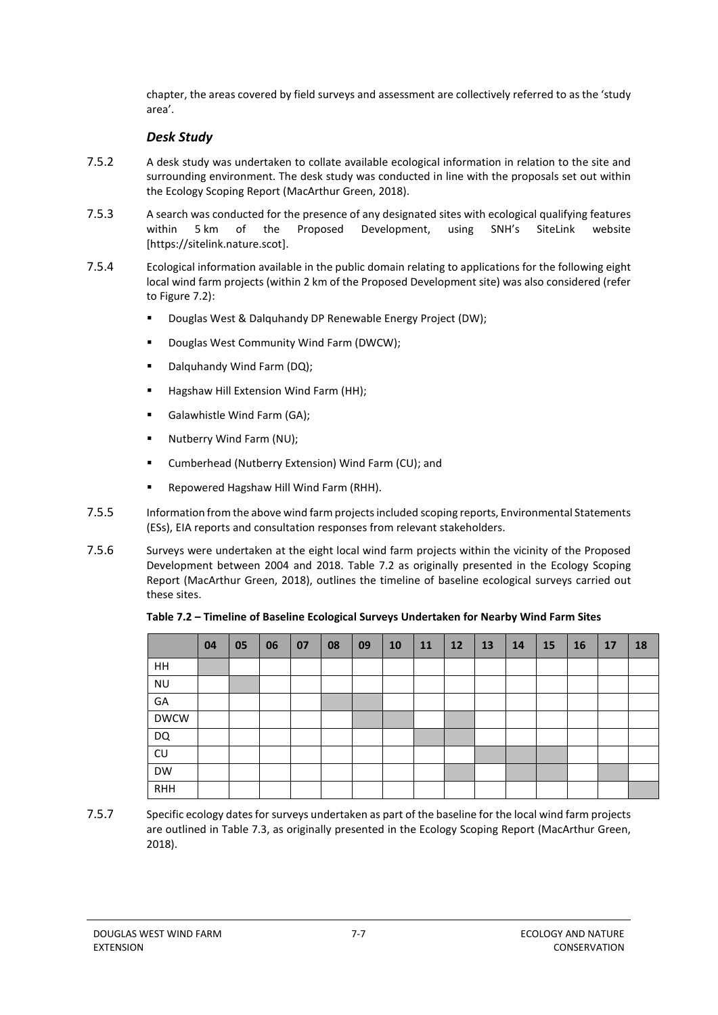chapter, the areas covered by field surveys and assessment are collectively referred to as the 'study area'.

## *Desk Study*

- 7.5.2 A desk study was undertaken to collate available ecological information in relation to the site and surrounding environment. The desk study was conducted in line with the proposals set out within the Ecology Scoping Report (MacArthur Green, 2018).
- 7.5.3 A search was conducted for the presence of any designated sites with ecological qualifying features within 5 km of the Proposed Development, using SNH's SiteLink website [https://sitelink.nature.scot].
- 7.5.4 Ecological information available in the public domain relating to applications for the following eight local wind farm projects (within 2 km of the Proposed Development site) was also considered (refer to Figure 7.2):
	- Douglas West & Dalquhandy DP Renewable Energy Project (DW);
	- Douglas West Community Wind Farm (DWCW);
	- Dalquhandy Wind Farm (DQ);
	- Hagshaw Hill Extension Wind Farm (HH);
	- Galawhistle Wind Farm (GA);
	- Nutberry Wind Farm (NU);
	- **E** Cumberhead (Nutberry Extension) Wind Farm (CU); and
	- Repowered Hagshaw Hill Wind Farm (RHH).
- 7.5.5 Information from the above wind farm projects included scoping reports, Environmental Statements (ESs), EIA reports and consultation responses from relevant stakeholders.
- 7.5.6 Surveys were undertaken at the eight local wind farm projects within the vicinity of the Proposed Development between 2004 and 2018. Table 7.2 as originally presented in the Ecology Scoping Report (MacArthur Green, 2018), outlines the timeline of baseline ecological surveys carried out these sites.

**Table 7.2 – Timeline of Baseline Ecological Surveys Undertaken for Nearby Wind Farm Sites**

|             | 04 | 05 | 06 | 07 | 08 | 09 | 10 | 11 | 12 | 13 | 14 | 15 | 16 | 17 | 18 |
|-------------|----|----|----|----|----|----|----|----|----|----|----|----|----|----|----|
| HH          |    |    |    |    |    |    |    |    |    |    |    |    |    |    |    |
| <b>NU</b>   |    |    |    |    |    |    |    |    |    |    |    |    |    |    |    |
| GA          |    |    |    |    |    |    |    |    |    |    |    |    |    |    |    |
| <b>DWCW</b> |    |    |    |    |    |    |    |    |    |    |    |    |    |    |    |
| <b>DQ</b>   |    |    |    |    |    |    |    |    |    |    |    |    |    |    |    |
| ${\sf CU}$  |    |    |    |    |    |    |    |    |    |    |    |    |    |    |    |
| <b>DW</b>   |    |    |    |    |    |    |    |    |    |    |    |    |    |    |    |
| <b>RHH</b>  |    |    |    |    |    |    |    |    |    |    |    |    |    |    |    |

7.5.7 Specific ecology dates for surveys undertaken as part of the baseline for the local wind farm projects are outlined in Table 7.3, as originally presented in the Ecology Scoping Report (MacArthur Green, 2018).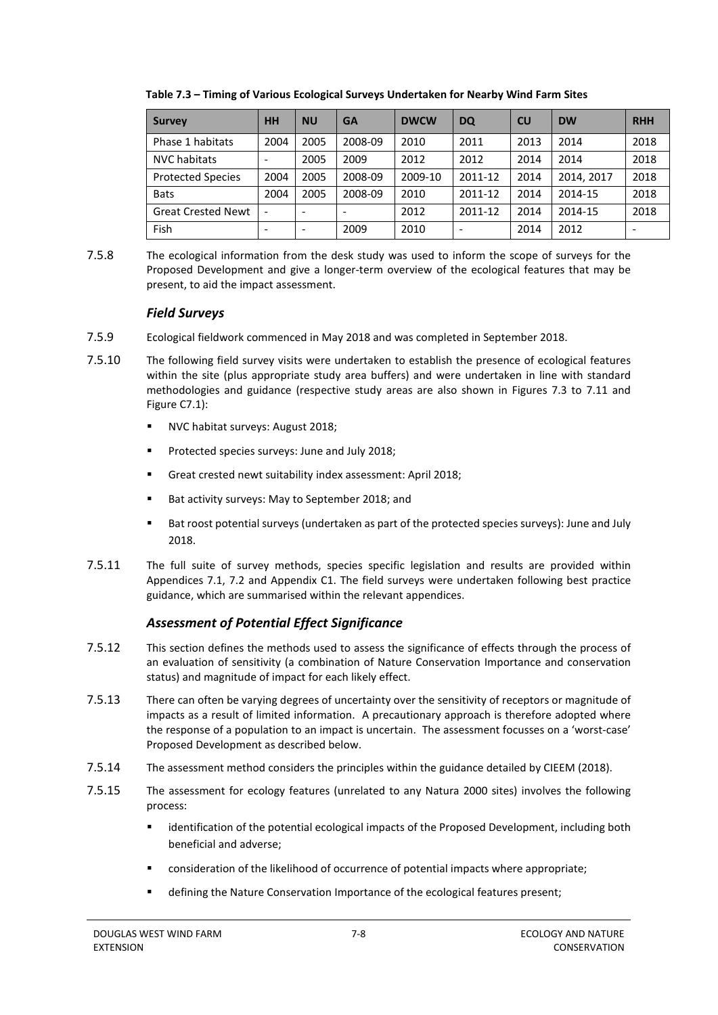| <b>Survey</b>             | HН                       | <b>NU</b> | <b>GA</b> | <b>DWCW</b> | <b>DQ</b> | $\mathsf{C}\mathsf{U}$ | <b>DW</b> | <b>RHH</b> |
|---------------------------|--------------------------|-----------|-----------|-------------|-----------|------------------------|-----------|------------|
| Phase 1 habitats          | 2004                     | 2005      | 2008-09   | 2010        | 2011      | 2013                   | 2014      | 2018       |
| <b>NVC</b> habitats       | $\overline{\phantom{0}}$ | 2005      | 2009      | 2012        | 2012      | 2014                   | 2014      | 2018       |
| <b>Protected Species</b>  | 2004                     | 2005      | 2008-09   | 2009-10     | 2011-12   | 2014                   | 2014.2017 | 2018       |
| <b>Bats</b>               | 2004                     | 2005      | 2008-09   | 2010        | 2011-12   | 2014                   | 2014-15   | 2018       |
| <b>Great Crested Newt</b> | $\overline{\phantom{a}}$ |           | ۰         | 2012        | 2011-12   | 2014                   | 2014-15   | 2018       |
| Fish                      | $\overline{\phantom{a}}$ | -         | 2009      | 2010        | -         | 2014                   | 2012      |            |

**Table 7.3 – Timing of Various Ecological Surveys Undertaken for Nearby Wind Farm Sites**

7.5.8 The ecological information from the desk study was used to inform the scope of surveys for the Proposed Development and give a longer-term overview of the ecological features that may be present, to aid the impact assessment.

# *Field Surveys*

- 7.5.9 Ecological fieldwork commenced in May 2018 and was completed in September 2018.
- 7.5.10 The following field survey visits were undertaken to establish the presence of ecological features within the site (plus appropriate study area buffers) and were undertaken in line with standard methodologies and guidance (respective study areas are also shown in Figures 7.3 to 7.11 and Figure C7.1):
	- NVC habitat surveys: August 2018;
	- Protected species surveys: June and July 2018;
	- Great crested newt suitability index assessment: April 2018;
	- Bat activity surveys: May to September 2018; and
	- Bat roost potential surveys (undertaken as part of the protected species surveys): June and July 2018.
- 7.5.11 The full suite of survey methods, species specific legislation and results are provided within Appendices 7.1, 7.2 and Appendix C1. The field surveys were undertaken following best practice guidance, which are summarised within the relevant appendices.

# *Assessment of Potential Effect Significance*

- 7.5.12 This section defines the methods used to assess the significance of effects through the process of an evaluation of sensitivity (a combination of Nature Conservation Importance and conservation status) and magnitude of impact for each likely effect.
- 7.5.13 There can often be varying degrees of uncertainty over the sensitivity of receptors or magnitude of impacts as a result of limited information. A precautionary approach is therefore adopted where the response of a population to an impact is uncertain. The assessment focusses on a 'worst-case' Proposed Development as described below.
- 7.5.14 The assessment method considers the principles within the guidance detailed by CIEEM (2018).
- 7.5.15 The assessment for ecology features (unrelated to any Natura 2000 sites) involves the following process:
	- identification of the potential ecological impacts of the Proposed Development, including both beneficial and adverse;
	- consideration of the likelihood of occurrence of potential impacts where appropriate;
	- defining the Nature Conservation Importance of the ecological features present;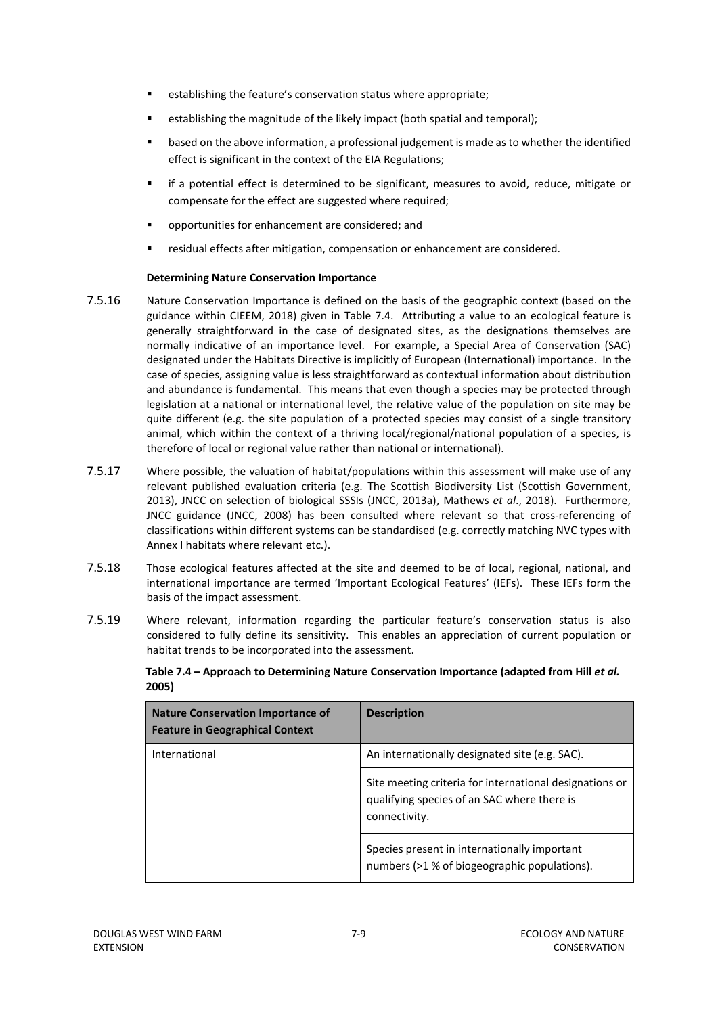- establishing the feature's conservation status where appropriate;
- establishing the magnitude of the likely impact (both spatial and temporal);
- based on the above information, a professional judgement is made as to whether the identified effect is significant in the context of the EIA Regulations;
- if a potential effect is determined to be significant, measures to avoid, reduce, mitigate or compensate for the effect are suggested where required;
- opportunities for enhancement are considered; and
- residual effects after mitigation, compensation or enhancement are considered.

### **Determining Nature Conservation Importance**

- 7.5.16 Nature Conservation Importance is defined on the basis of the geographic context (based on the guidance within CIEEM, 2018) given in Table 7.4. Attributing a value to an ecological feature is generally straightforward in the case of designated sites, as the designations themselves are normally indicative of an importance level. For example, a Special Area of Conservation (SAC) designated under the Habitats Directive is implicitly of European (International) importance. In the case of species, assigning value is less straightforward as contextual information about distribution and abundance is fundamental. This means that even though a species may be protected through legislation at a national or international level, the relative value of the population on site may be quite different (e.g. the site population of a protected species may consist of a single transitory animal, which within the context of a thriving local/regional/national population of a species, is therefore of local or regional value rather than national or international).
- 7.5.17 Where possible, the valuation of habitat/populations within this assessment will make use of any relevant published evaluation criteria (e.g. The Scottish Biodiversity List (Scottish Government, 2013), JNCC on selection of biological SSSIs (JNCC, 2013a), Mathews *et al*., 2018). Furthermore, JNCC guidance (JNCC, 2008) has been consulted where relevant so that cross-referencing of classifications within different systems can be standardised (e.g. correctly matching NVC types with Annex I habitats where relevant etc.).
- 7.5.18 Those ecological features affected at the site and deemed to be of local, regional, national, and international importance are termed 'Important Ecological Features' (IEFs). These IEFs form the basis of the impact assessment.
- 7.5.19 Where relevant, information regarding the particular feature's conservation status is also considered to fully define its sensitivity. This enables an appreciation of current population or habitat trends to be incorporated into the assessment.

| 2005)                                                                              |                                                         |
|------------------------------------------------------------------------------------|---------------------------------------------------------|
| <b>Nature Conservation Importance of</b><br><b>Feature in Geographical Context</b> | <b>Description</b>                                      |
| International                                                                      | An internationally designated site (e.g. SAC).          |
|                                                                                    | Site meeting criteria for international designations or |

connectivity.

qualifying species of an SAC where there is

Species present in internationally important numbers (>1 % of biogeographic populations).

**Table 7.4 – Approach to Determining Nature Conservation Importance (adapted from Hill** *et al.*  **2005)**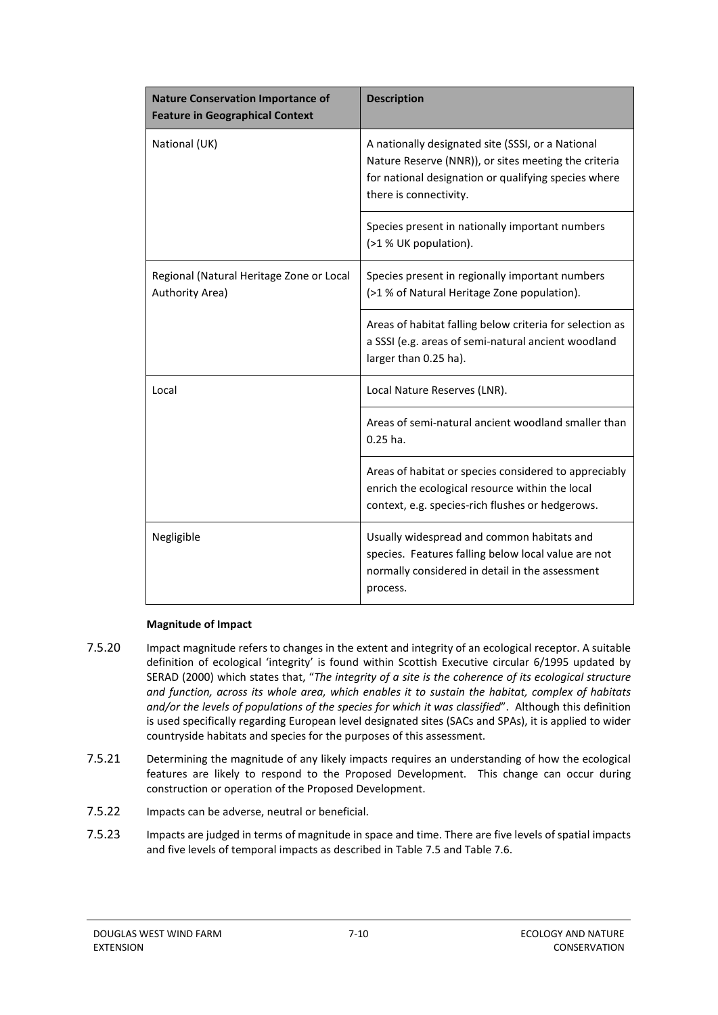| <b>Nature Conservation Importance of</b><br><b>Feature in Geographical Context</b> | <b>Description</b>                                                                                                                                                                          |
|------------------------------------------------------------------------------------|---------------------------------------------------------------------------------------------------------------------------------------------------------------------------------------------|
| National (UK)                                                                      | A nationally designated site (SSSI, or a National<br>Nature Reserve (NNR)), or sites meeting the criteria<br>for national designation or qualifying species where<br>there is connectivity. |
|                                                                                    | Species present in nationally important numbers<br>(>1 % UK population).                                                                                                                    |
| Regional (Natural Heritage Zone or Local<br>Authority Area)                        | Species present in regionally important numbers<br>(>1 % of Natural Heritage Zone population).                                                                                              |
|                                                                                    | Areas of habitat falling below criteria for selection as<br>a SSSI (e.g. areas of semi-natural ancient woodland<br>larger than 0.25 ha).                                                    |
| Local                                                                              | Local Nature Reserves (LNR).                                                                                                                                                                |
|                                                                                    | Areas of semi-natural ancient woodland smaller than<br>$0.25$ ha.                                                                                                                           |
|                                                                                    | Areas of habitat or species considered to appreciably<br>enrich the ecological resource within the local<br>context, e.g. species-rich flushes or hedgerows.                                |
| Negligible                                                                         | Usually widespread and common habitats and<br>species. Features falling below local value are not<br>normally considered in detail in the assessment<br>process.                            |

### **Magnitude of Impact**

- 7.5.20 Impact magnitude refers to changes in the extent and integrity of an ecological receptor. A suitable definition of ecological 'integrity' is found within Scottish Executive circular 6/1995 updated by SERAD (2000) which states that, "*The integrity of a site is the coherence of its ecological structure and function, across its whole area, which enables it to sustain the habitat, complex of habitats and/or the levels of populations of the species for which it was classified*". Although this definition is used specifically regarding European level designated sites (SACs and SPAs), it is applied to wider countryside habitats and species for the purposes of this assessment.
- 7.5.21 Determining the magnitude of any likely impacts requires an understanding of how the ecological features are likely to respond to the Proposed Development. This change can occur during construction or operation of the Proposed Development.
- 7.5.22 Impacts can be adverse, neutral or beneficial.
- 7.5.23 Impacts are judged in terms of magnitude in space and time. There are five levels of spatial impacts and five levels of temporal impacts as described in Table 7.5 and Table 7.6.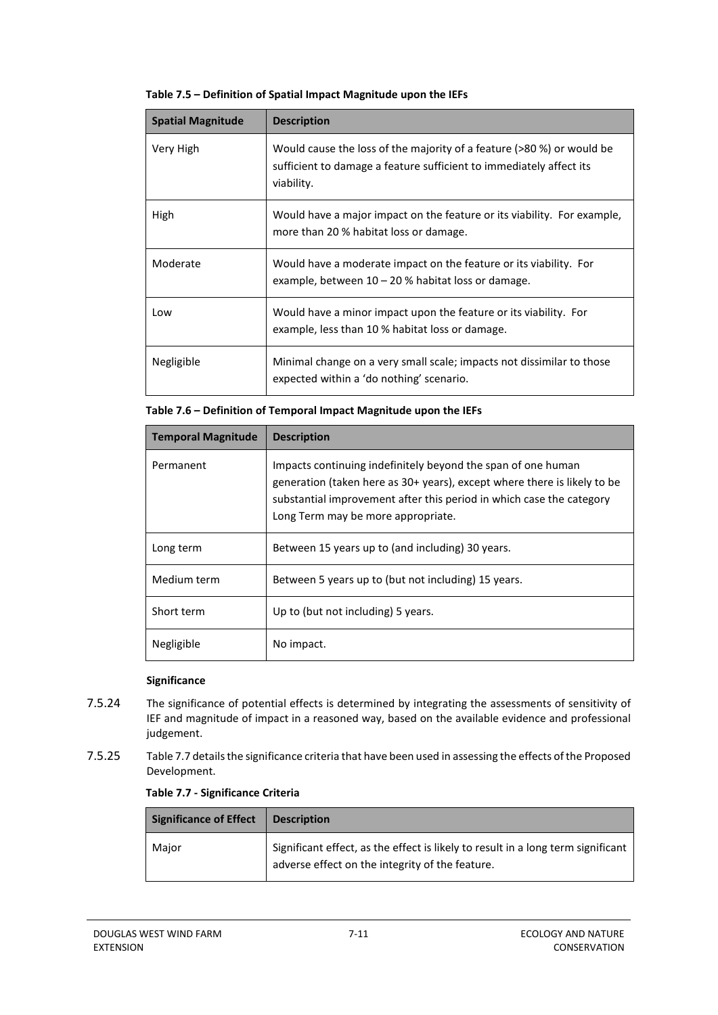| <b>Spatial Magnitude</b> | <b>Description</b>                                                                                                                                         |
|--------------------------|------------------------------------------------------------------------------------------------------------------------------------------------------------|
| Very High                | Would cause the loss of the majority of a feature (>80 %) or would be<br>sufficient to damage a feature sufficient to immediately affect its<br>viability. |
| <b>High</b>              | Would have a major impact on the feature or its viability. For example,<br>more than 20 % habitat loss or damage.                                          |
| Moderate                 | Would have a moderate impact on the feature or its viability. For<br>example, between $10 - 20$ % habitat loss or damage.                                  |
| Low                      | Would have a minor impact upon the feature or its viability. For<br>example, less than 10 % habitat loss or damage.                                        |
| Negligible               | Minimal change on a very small scale; impacts not dissimilar to those<br>expected within a 'do nothing' scenario.                                          |

| Table 7.5 – Definition of Spatial Impact Magnitude upon the IEFs |
|------------------------------------------------------------------|
|------------------------------------------------------------------|

| Table 7.6 - Definition of Temporal Impact Magnitude upon the IEFs |  |
|-------------------------------------------------------------------|--|
|-------------------------------------------------------------------|--|

| <b>Temporal Magnitude</b> | <b>Description</b>                                                                                                                                                                                                                                     |
|---------------------------|--------------------------------------------------------------------------------------------------------------------------------------------------------------------------------------------------------------------------------------------------------|
| Permanent                 | Impacts continuing indefinitely beyond the span of one human<br>generation (taken here as 30+ years), except where there is likely to be<br>substantial improvement after this period in which case the category<br>Long Term may be more appropriate. |
| Long term                 | Between 15 years up to (and including) 30 years.                                                                                                                                                                                                       |
| Medium term               | Between 5 years up to (but not including) 15 years.                                                                                                                                                                                                    |
| Short term                | Up to (but not including) 5 years.                                                                                                                                                                                                                     |
| Negligible                | No impact.                                                                                                                                                                                                                                             |

### **Significance**

- 7.5.24 The significance of potential effects is determined by integrating the assessments of sensitivity of IEF and magnitude of impact in a reasoned way, based on the available evidence and professional judgement.
- 7.5.25 Table 7.7 details the significance criteria that have been used in assessing the effects of the Proposed Development.

| Significance of Effect | <b>Description</b>                                                                                                                  |
|------------------------|-------------------------------------------------------------------------------------------------------------------------------------|
| Major                  | Significant effect, as the effect is likely to result in a long term significant<br>adverse effect on the integrity of the feature. |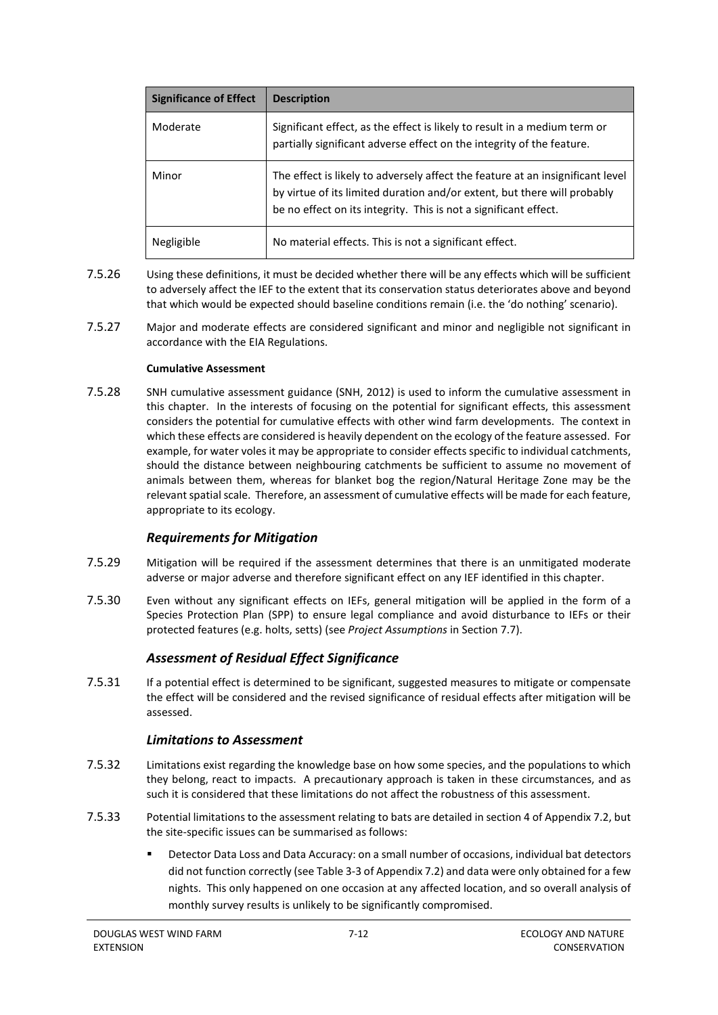| <b>Significance of Effect</b> | <b>Description</b>                                                                                                                                                                                                             |
|-------------------------------|--------------------------------------------------------------------------------------------------------------------------------------------------------------------------------------------------------------------------------|
| Moderate                      | Significant effect, as the effect is likely to result in a medium term or<br>partially significant adverse effect on the integrity of the feature.                                                                             |
| Minor                         | The effect is likely to adversely affect the feature at an insignificant level<br>by virtue of its limited duration and/or extent, but there will probably<br>be no effect on its integrity. This is not a significant effect. |
| Negligible                    | No material effects. This is not a significant effect.                                                                                                                                                                         |

- 7.5.26 Using these definitions, it must be decided whether there will be any effects which will be sufficient to adversely affect the IEF to the extent that its conservation status deteriorates above and beyond that which would be expected should baseline conditions remain (i.e. the 'do nothing' scenario).
- 7.5.27 Major and moderate effects are considered significant and minor and negligible not significant in accordance with the EIA Regulations.

### **Cumulative Assessment**

7.5.28 SNH cumulative assessment guidance (SNH, 2012) is used to inform the cumulative assessment in this chapter. In the interests of focusing on the potential for significant effects, this assessment considers the potential for cumulative effects with other wind farm developments. The context in which these effects are considered is heavily dependent on the ecology of the feature assessed. For example, for water voles it may be appropriate to consider effects specific to individual catchments, should the distance between neighbouring catchments be sufficient to assume no movement of animals between them, whereas for blanket bog the region/Natural Heritage Zone may be the relevant spatial scale. Therefore, an assessment of cumulative effects will be made for each feature, appropriate to its ecology.

## *Requirements for Mitigation*

- 7.5.29 Mitigation will be required if the assessment determines that there is an unmitigated moderate adverse or major adverse and therefore significant effect on any IEF identified in this chapter.
- 7.5.30 Even without any significant effects on IEFs, general mitigation will be applied in the form of a Species Protection Plan (SPP) to ensure legal compliance and avoid disturbance to IEFs or their protected features (e.g. holts, setts) (see *Project Assumptions* in Section [7.7\)](#page-25-0).

## *Assessment of Residual Effect Significance*

7.5.31 If a potential effect is determined to be significant, suggested measures to mitigate or compensate the effect will be considered and the revised significance of residual effects after mitigation will be assessed.

## *Limitations to Assessment*

- 7.5.32 Limitations exist regarding the knowledge base on how some species, and the populations to which they belong, react to impacts. A precautionary approach is taken in these circumstances, and as such it is considered that these limitations do not affect the robustness of this assessment.
- 7.5.33 Potential limitations to the assessment relating to bats are detailed in section 4 of Appendix 7.2, but the site-specific issues can be summarised as follows:
	- Detector Data Loss and Data Accuracy: on a small number of occasions, individual bat detectors did not function correctly (see Table 3-3 of Appendix 7.2) and data were only obtained for a few nights. This only happened on one occasion at any affected location, and so overall analysis of monthly survey results is unlikely to be significantly compromised.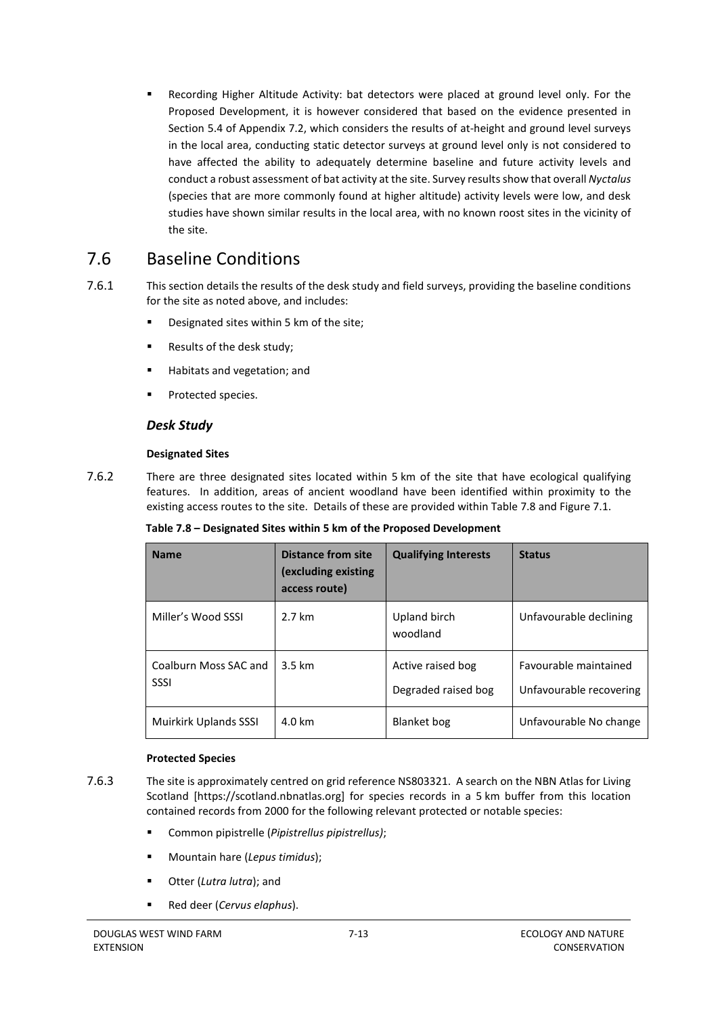Recording Higher Altitude Activity: bat detectors were placed at ground level only. For the Proposed Development, it is however considered that based on the evidence presented in Section 5.4 of Appendix 7.2, which considers the results of at-height and ground level surveys in the local area, conducting static detector surveys at ground level only is not considered to have affected the ability to adequately determine baseline and future activity levels and conduct a robust assessment of bat activity at the site. Survey results show that overall *Nyctalus* (species that are more commonly found at higher altitude) activity levels were low, and desk studies have shown similar results in the local area, with no known roost sites in the vicinity of the site.

# <span id="page-14-0"></span>7.6 Baseline Conditions

- 7.6.1 This section details the results of the desk study and field surveys, providing the baseline conditions for the site as noted above, and includes:
	- Designated sites within 5 km of the site;
	- Results of the desk study;
	- **Habitats and vegetation; and**
	- Protected species.

### *Desk Study*

#### **Designated Sites**

7.6.2 There are three designated sites located within 5 km of the site that have ecological qualifying features. In addition, areas of ancient woodland have been identified within proximity to the existing access routes to the site. Details of these are provided within Table 7.8 and Figure 7.1.

| <b>Name</b>                          | <b>Distance from site</b><br>(excluding existing<br>access route) | <b>Qualifying Interests</b>              | <b>Status</b>                                    |
|--------------------------------------|-------------------------------------------------------------------|------------------------------------------|--------------------------------------------------|
| Miller's Wood SSSI                   | 2.7 km                                                            | Upland birch<br>woodland                 | Unfavourable declining                           |
| Coalburn Moss SAC and<br><b>SSSI</b> | $3.5 \text{ km}$                                                  | Active raised bog<br>Degraded raised bog | Favourable maintained<br>Unfavourable recovering |
| Muirkirk Uplands SSSI                | 4.0 km                                                            | Blanket bog                              | Unfavourable No change                           |

### **Protected Species**

- 7.6.3 The site is approximately centred on grid reference NS803321. A search on the NBN Atlas for Living Scotland [https://scotland.nbnatlas.org] for species records in a 5 km buffer from this location contained records from 2000 for the following relevant protected or notable species:
	- Common pipistrelle (*Pipistrellus pipistrellus)*;
	- Mountain hare (*Lepus timidus*);
	- Otter (*Lutra lutra*); and
	- Red deer (*Cervus elaphus*).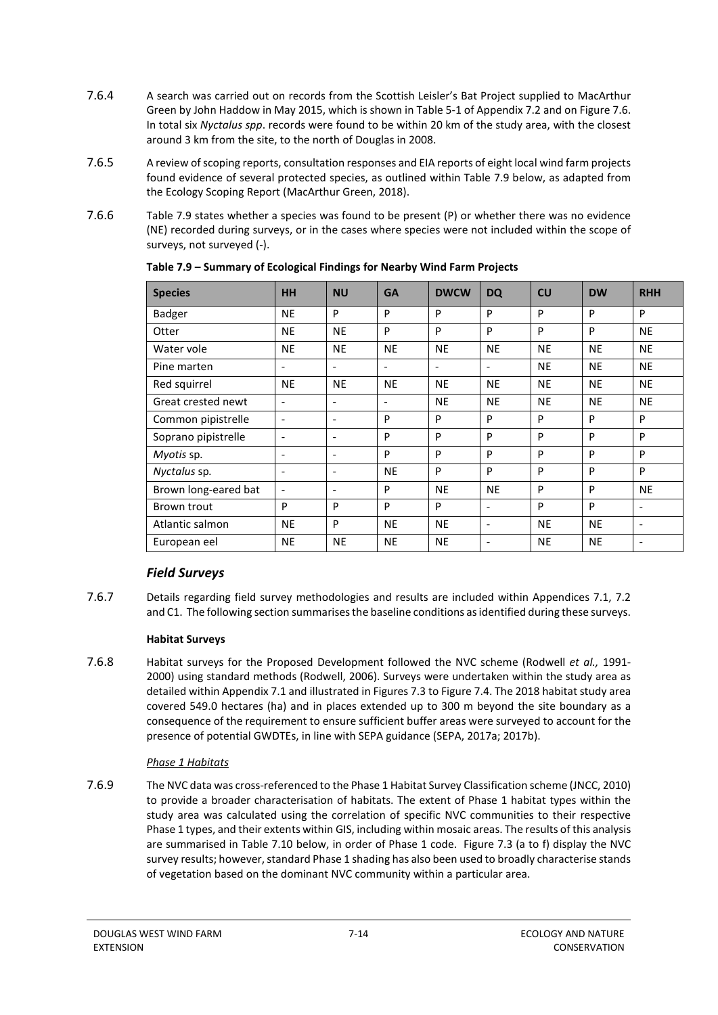- 7.6.4 A search was carried out on records from the Scottish Leisler's Bat Project supplied to MacArthur Green by John Haddow in May 2015, which is shown in Table 5-1 of Appendix 7.2 and on Figure 7.6. In total six *Nyctalus spp*. records were found to be within 20 km of the study area, with the closest around 3 km from the site, to the north of Douglas in 2008.
- 7.6.5 A review of scoping reports, consultation responses and EIA reports of eight local wind farm projects found evidence of several protected species, as outlined within Table 7.9 below, as adapted from the Ecology Scoping Report (MacArthur Green, 2018).
- 7.6.6 Table 7.9 states whether a species was found to be present (P) or whether there was no evidence (NE) recorded during surveys, or in the cases where species were not included within the scope of surveys, not surveyed (-).

| <b>Species</b>       | <b>HH</b>                | <b>NU</b>                | <b>GA</b>                | <b>DWCW</b>              | <b>DQ</b>                | CU        | <b>DW</b> | <b>RHH</b>               |
|----------------------|--------------------------|--------------------------|--------------------------|--------------------------|--------------------------|-----------|-----------|--------------------------|
| Badger               | <b>NE</b>                | P                        | P                        | P                        | P                        | P         | P         | P                        |
| Otter                | <b>NE</b>                | <b>NE</b>                | P                        | P                        | P                        | P         | P         | <b>NE</b>                |
| Water vole           | <b>NE</b>                | <b>NE</b>                | <b>NE</b>                | <b>NE</b>                | <b>NE</b>                | <b>NE</b> | <b>NE</b> | <b>NE</b>                |
| Pine marten          | $\overline{\phantom{a}}$ | $\overline{\phantom{a}}$ | -                        | $\overline{\phantom{a}}$ | $\overline{\phantom{a}}$ | <b>NE</b> | <b>NE</b> | <b>NE</b>                |
| Red squirrel         | <b>NE</b>                | <b>NE</b>                | <b>NE</b>                | <b>NE</b>                | <b>NE</b>                | <b>NE</b> | <b>NE</b> | <b>NE</b>                |
| Great crested newt   | $\overline{\phantom{a}}$ | $\overline{\phantom{a}}$ | $\overline{\phantom{a}}$ | <b>NE</b>                | <b>NE</b>                | <b>NE</b> | <b>NE</b> | <b>NE</b>                |
| Common pipistrelle   | $\overline{\phantom{a}}$ | $\overline{\phantom{a}}$ | P                        | P                        | P                        | P         | P         | P                        |
| Soprano pipistrelle  | $\overline{\phantom{a}}$ | $\overline{\phantom{a}}$ | P                        | P                        | P                        | P         | P         | P                        |
| Myotis sp.           | $\overline{\phantom{a}}$ | $\overline{\phantom{a}}$ | P                        | P                        | P                        | P         | P         | P                        |
| Nyctalus sp.         | $\overline{\phantom{a}}$ | $\overline{\phantom{a}}$ | <b>NE</b>                | P                        | P                        | P         | P         | P                        |
| Brown long-eared bat | $\overline{\phantom{a}}$ | $\overline{\phantom{a}}$ | P                        | <b>NE</b>                | <b>NE</b>                | P         | P         | <b>NE</b>                |
| Brown trout          | P                        | P                        | P                        | P                        | $\overline{\phantom{a}}$ | P         | P         | $\overline{\phantom{0}}$ |
| Atlantic salmon      | <b>NE</b>                | P                        | <b>NE</b>                | <b>NE</b>                | $\overline{\phantom{a}}$ | <b>NE</b> | <b>NE</b> | $\overline{\phantom{a}}$ |
| European eel         | <b>NE</b>                | <b>NE</b>                | <b>NE</b>                | <b>NE</b>                | $\overline{\phantom{a}}$ | <b>NE</b> | <b>NE</b> | $\overline{a}$           |

**Table 7.9 – Summary of Ecological Findings for Nearby Wind Farm Projects**

# *Field Surveys*

7.6.7 Details regarding field survey methodologies and results are included within Appendices 7.1, 7.2 and C1. The following section summarises the baseline conditions as identified during these surveys.

## **Habitat Surveys**

7.6.8 Habitat surveys for the Proposed Development followed the NVC scheme (Rodwell *et al.,* 1991- 2000) using standard methods (Rodwell, 2006). Surveys were undertaken within the study area as detailed within Appendix 7.1 and illustrated in Figures 7.3 to Figure 7.4. The 2018 habitat study area covered 549.0 hectares (ha) and in places extended up to 300 m beyond the site boundary as a consequence of the requirement to ensure sufficient buffer areas were surveyed to account for the presence of potential GWDTEs, in line with SEPA guidance (SEPA, 2017a; 2017b).

## *Phase 1 Habitats*

7.6.9 The NVC data was cross-referenced to the Phase 1 Habitat Survey Classification scheme (JNCC, 2010) to provide a broader characterisation of habitats. The extent of Phase 1 habitat types within the study area was calculated using the correlation of specific NVC communities to their respective Phase 1 types, and their extents within GIS, including within mosaic areas. The results of this analysis are summarised in Table 7.10 below, in order of Phase 1 code. Figure 7.3 (a to f) display the NVC survey results; however, standard Phase 1 shading has also been used to broadly characterise stands of vegetation based on the dominant NVC community within a particular area.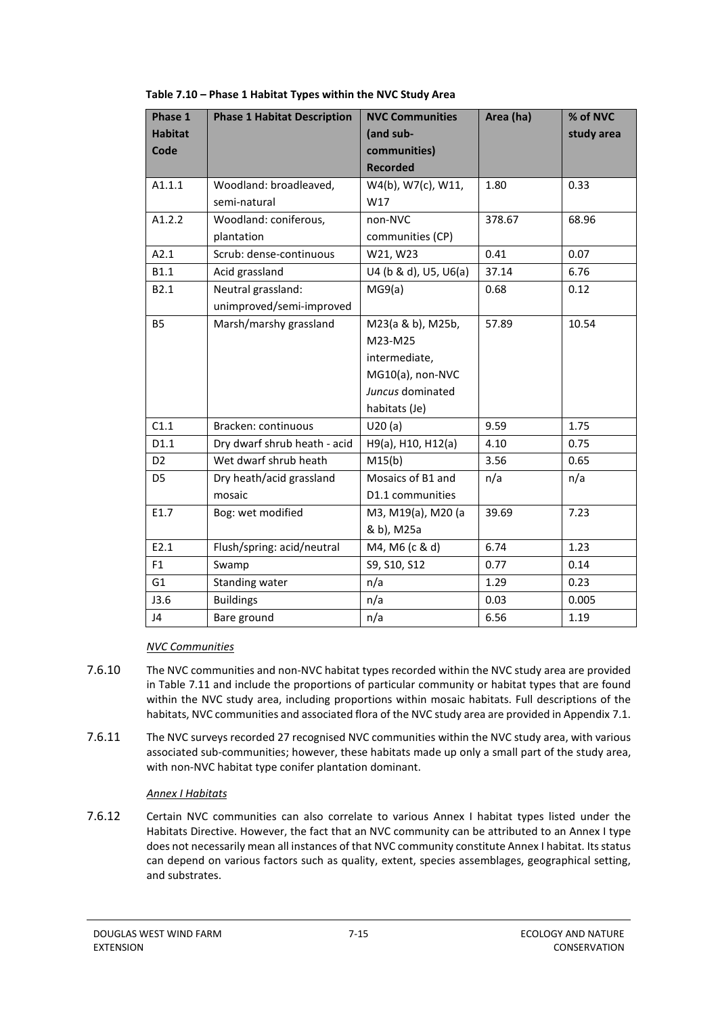| Phase 1<br><b>Habitat</b><br>Code | <b>Phase 1 Habitat Description</b>             | <b>NVC Communities</b><br>(and sub-<br>communities)<br><b>Recorded</b>                                 | Area (ha) | % of NVC<br>study area |
|-----------------------------------|------------------------------------------------|--------------------------------------------------------------------------------------------------------|-----------|------------------------|
| A1.1.1                            | Woodland: broadleaved,<br>semi-natural         | W4(b), W7(c), W11,<br>W17                                                                              | 1.80      | 0.33                   |
| A1.2.2                            | Woodland: coniferous,<br>plantation            | non-NVC<br>communities (CP)                                                                            | 378.67    | 68.96                  |
| A2.1                              | Scrub: dense-continuous                        | W21, W23                                                                                               | 0.41      | 0.07                   |
| B1.1                              | Acid grassland                                 | U4 (b & d), U5, U6(a)                                                                                  | 37.14     | 6.76                   |
| B2.1                              | Neutral grassland:<br>unimproved/semi-improved | MG9(a)                                                                                                 | 0.68      | 0.12                   |
| B <sub>5</sub>                    | Marsh/marshy grassland                         | M23(a & b), M25b,<br>M23-M25<br>intermediate,<br>MG10(a), non-NVC<br>Juncus dominated<br>habitats (Je) | 57.89     | 10.54                  |
| C1.1                              | Bracken: continuous                            | U20(a)                                                                                                 | 9.59      | 1.75                   |
| D1.1                              | Dry dwarf shrub heath - acid                   | H9(a), H10, H12(a)                                                                                     | 4.10      | 0.75                   |
| D <sub>2</sub>                    | Wet dwarf shrub heath                          | M15(b)                                                                                                 | 3.56      | 0.65                   |
| D <sub>5</sub>                    | Dry heath/acid grassland<br>mosaic             | Mosaics of B1 and<br>D1.1 communities                                                                  | n/a       | n/a                    |
| E1.7                              | Bog: wet modified                              | M3, M19(a), M20 (a<br>& b), M25a                                                                       | 39.69     | 7.23                   |
| E2.1                              | Flush/spring: acid/neutral                     | M4, M6 (c & d)                                                                                         | 6.74      | 1.23                   |
| F <sub>1</sub>                    | Swamp                                          | S9, S10, S12                                                                                           | 0.77      | 0.14                   |
| G <sub>1</sub>                    | Standing water                                 | n/a                                                                                                    | 1.29      | 0.23                   |
| J3.6                              | <b>Buildings</b>                               | n/a                                                                                                    | 0.03      | 0.005                  |
| J <sub>4</sub>                    | Bare ground                                    | n/a                                                                                                    | 6.56      | 1.19                   |

**Table 7.10 – Phase 1 Habitat Types within the NVC Study Area**

### *NVC Communities*

- 7.6.10 The NVC communities and non-NVC habitat types recorded within the NVC study area are provided in Table 7.11 and include the proportions of particular community or habitat types that are found within the NVC study area, including proportions within mosaic habitats. Full descriptions of the habitats, NVC communities and associated flora of the NVC study area are provided in Appendix 7.1.
- 7.6.11 The NVC surveys recorded 27 recognised NVC communities within the NVC study area, with various associated sub-communities; however, these habitats made up only a small part of the study area, with non-NVC habitat type conifer plantation dominant.

## *Annex I Habitats*

7.6.12 Certain NVC communities can also correlate to various Annex I habitat types listed under the Habitats Directive. However, the fact that an NVC community can be attributed to an Annex I type does not necessarily mean all instances of that NVC community constitute Annex I habitat. Its status can depend on various factors such as quality, extent, species assemblages, geographical setting, and substrates.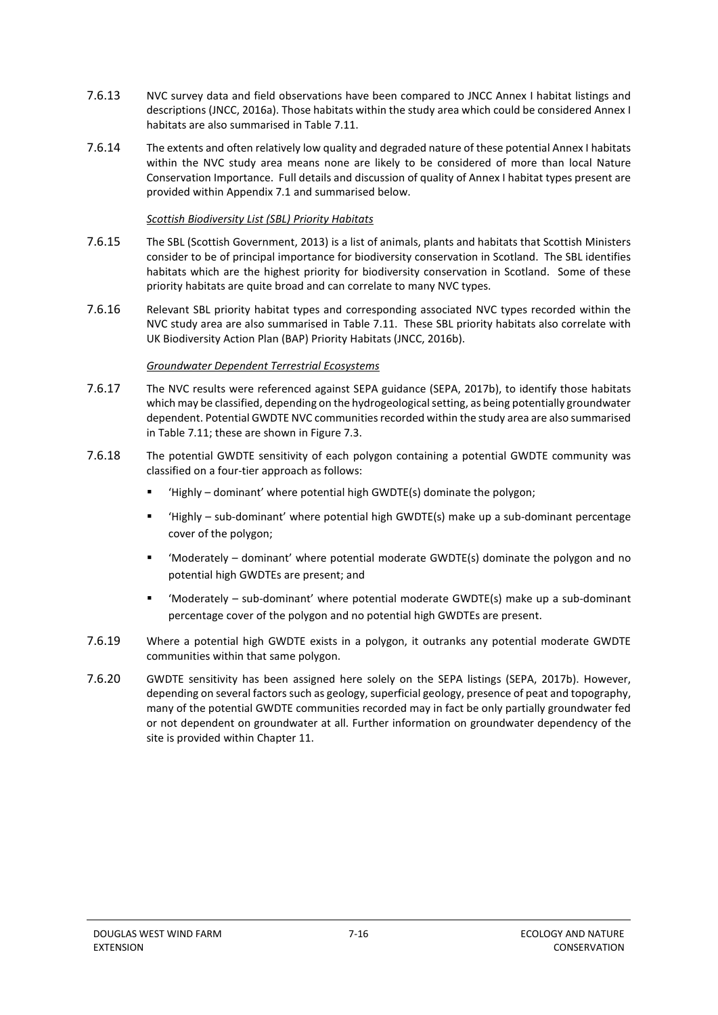- 7.6.13 NVC survey data and field observations have been compared to JNCC Annex I habitat listings and descriptions (JNCC, 2016a). Those habitats within the study area which could be considered Annex I habitats are also summarised in Table 7.11.
- 7.6.14 The extents and often relatively low quality and degraded nature of these potential Annex I habitats within the NVC study area means none are likely to be considered of more than local Nature Conservation Importance. Full details and discussion of quality of Annex I habitat types present are provided within Appendix 7.1 and summarised below.

### *Scottish Biodiversity List (SBL) Priority Habitats*

- 7.6.15 The SBL (Scottish Government, 2013) is a list of animals, plants and habitats that Scottish Ministers consider to be of principal importance for biodiversity conservation in Scotland. The SBL identifies habitats which are the highest priority for biodiversity conservation in Scotland. Some of these priority habitats are quite broad and can correlate to many NVC types.
- 7.6.16 Relevant SBL priority habitat types and corresponding associated NVC types recorded within the NVC study area are also summarised in Table 7.11. These SBL priority habitats also correlate with UK Biodiversity Action Plan (BAP) Priority Habitats (JNCC, 2016b).

### *Groundwater Dependent Terrestrial Ecosystems*

- 7.6.17 The NVC results were referenced against SEPA guidance (SEPA, 2017b), to identify those habitats which may be classified, depending on the hydrogeological setting, as being potentially groundwater dependent. Potential GWDTE NVC communities recorded within the study area are also summarised in Table 7.11; these are shown in Figure 7.3.
- 7.6.18 The potential GWDTE sensitivity of each polygon containing a potential GWDTE community was classified on a four-tier approach as follows:
	- 'Highly dominant' where potential high GWDTE(s) dominate the polygon;
	- 'Highly sub-dominant' where potential high GWDTE(s) make up a sub-dominant percentage cover of the polygon;
	- 'Moderately dominant' where potential moderate GWDTE(s) dominate the polygon and no potential high GWDTEs are present; and
	- 'Moderately sub-dominant' where potential moderate GWDTE(s) make up a sub-dominant percentage cover of the polygon and no potential high GWDTEs are present.
- 7.6.19 Where a potential high GWDTE exists in a polygon, it outranks any potential moderate GWDTE communities within that same polygon.
- 7.6.20 GWDTE sensitivity has been assigned here solely on the SEPA listings (SEPA, 2017b). However, depending on several factors such as geology, superficial geology, presence of peat and topography, many of the potential GWDTE communities recorded may in fact be only partially groundwater fed or not dependent on groundwater at all. Further information on groundwater dependency of the site is provided within Chapter 11.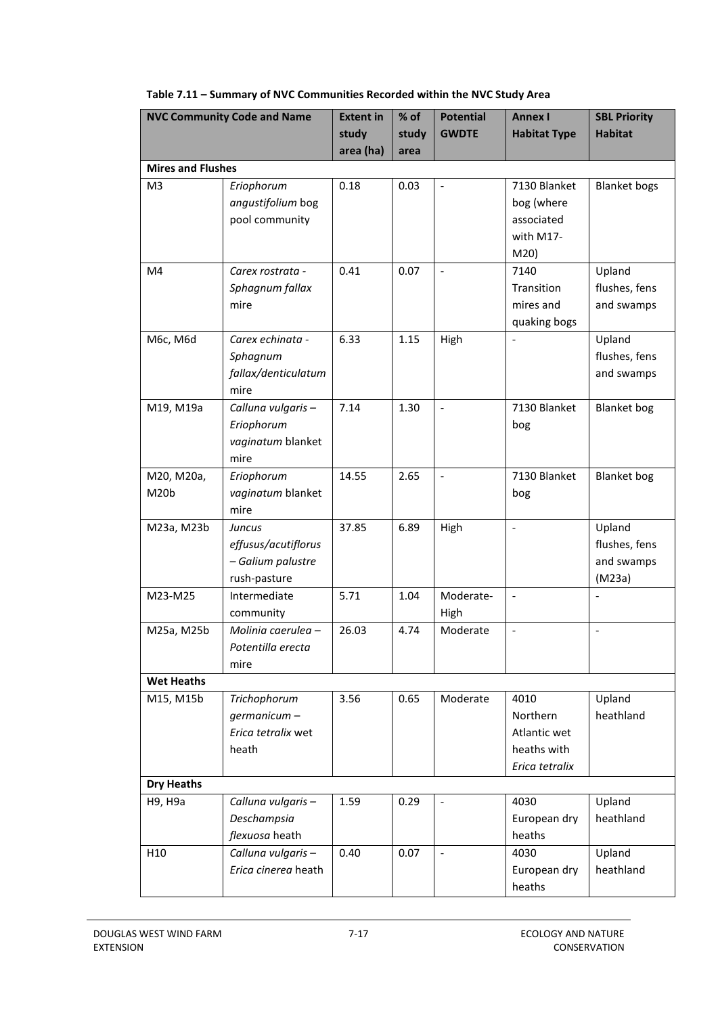| <b>NVC Community Code and Name</b> |                     | <b>Extent in</b> | % of  | <b>Potential</b>         | <b>Annex I</b>           | <b>SBL Priority</b> |
|------------------------------------|---------------------|------------------|-------|--------------------------|--------------------------|---------------------|
|                                    |                     | study            | study | <b>GWDTE</b>             | <b>Habitat Type</b>      | <b>Habitat</b>      |
|                                    |                     | area (ha)        | area  |                          |                          |                     |
| <b>Mires and Flushes</b>           |                     |                  |       |                          |                          |                     |
| M <sub>3</sub>                     | Eriophorum          | 0.18             | 0.03  | $\overline{a}$           | 7130 Blanket             | <b>Blanket bogs</b> |
|                                    | angustifolium bog   |                  |       |                          | bog (where               |                     |
|                                    | pool community      |                  |       |                          | associated               |                     |
|                                    |                     |                  |       |                          | with M17-                |                     |
|                                    |                     |                  |       |                          | M20)                     |                     |
| M4                                 | Carex rostrata -    | 0.41             | 0.07  | $\overline{\phantom{a}}$ | 7140                     | Upland              |
|                                    | Sphagnum fallax     |                  |       |                          | Transition               | flushes, fens       |
|                                    | mire                |                  |       |                          | mires and                | and swamps          |
|                                    |                     |                  |       |                          | quaking bogs             |                     |
| M6c, M6d                           | Carex echinata -    | 6.33             | 1.15  | High                     |                          | Upland              |
|                                    | Sphagnum            |                  |       |                          |                          | flushes, fens       |
|                                    | fallax/denticulatum |                  |       |                          |                          | and swamps          |
|                                    | mire                |                  |       |                          |                          |                     |
| M19, M19a                          | Calluna vulgaris-   | 7.14             | 1.30  | $\overline{\phantom{a}}$ | 7130 Blanket             | <b>Blanket</b> bog  |
|                                    | Eriophorum          |                  |       |                          | bog                      |                     |
|                                    | vaginatum blanket   |                  |       |                          |                          |                     |
|                                    | mire                |                  |       |                          |                          |                     |
| M20, M20a,                         | Eriophorum          | 14.55            | 2.65  | $\overline{\phantom{a}}$ | 7130 Blanket             | <b>Blanket</b> bog  |
| M20b                               | vaginatum blanket   |                  |       |                          | bog                      |                     |
|                                    | mire                |                  |       |                          |                          |                     |
| M23a, M23b                         | Juncus              | 37.85            | 6.89  | High                     |                          | Upland              |
|                                    | effusus/acutiflorus |                  |       |                          |                          | flushes, fens       |
|                                    | - Galium palustre   |                  |       |                          |                          | and swamps          |
|                                    | rush-pasture        |                  |       |                          |                          | (M23a)              |
| M23-M25                            | Intermediate        | 5.71             | 1.04  | Moderate-                | $\frac{1}{2}$            | $\overline{a}$      |
|                                    | community           |                  |       | High                     |                          |                     |
| M25a, M25b                         | Molinia caerulea -  | 26.03            | 4.74  | Moderate                 | $\overline{\phantom{a}}$ | $\blacksquare$      |
|                                    | Potentilla erecta   |                  |       |                          |                          |                     |
|                                    | mire                |                  |       |                          |                          |                     |
| <b>Wet Heaths</b>                  |                     |                  |       |                          |                          |                     |
| M15, M15b                          | Trichophorum        | 3.56             | 0.65  | Moderate                 | 4010                     | Upland              |
|                                    | germanicum -        |                  |       |                          | Northern                 | heathland           |
|                                    | Erica tetralix wet  |                  |       |                          | Atlantic wet             |                     |
|                                    | heath               |                  |       |                          | heaths with              |                     |
|                                    |                     |                  |       |                          | Erica tetralix           |                     |
| <b>Dry Heaths</b>                  |                     |                  |       |                          |                          |                     |
| H9, H9a                            | Calluna vulgaris-   | 1.59             | 0.29  |                          | 4030                     | Upland              |
|                                    | Deschampsia         |                  |       |                          | European dry             | heathland           |
|                                    | flexuosa heath      |                  |       |                          | heaths                   |                     |
| H <sub>10</sub>                    | Calluna vulgaris-   | 0.40             | 0.07  | $\overline{\phantom{a}}$ | 4030                     | Upland              |
|                                    | Erica cinerea heath |                  |       |                          | European dry             | heathland           |
|                                    |                     |                  |       |                          | heaths                   |                     |

# **Table 7.11 – Summary of NVC Communities Recorded within the NVC Study Area**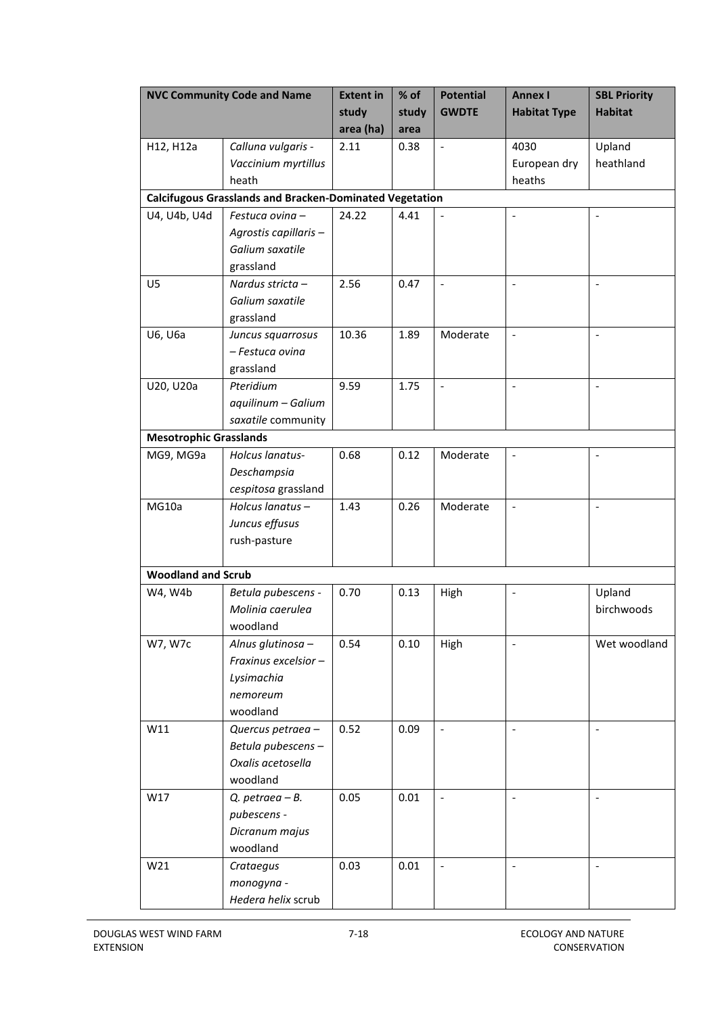|                               | <b>NVC Community Code and Name</b>                             | <b>Extent in</b> | % of  | <b>Potential</b>         | <b>Annex I</b>           | <b>SBL Priority</b>      |
|-------------------------------|----------------------------------------------------------------|------------------|-------|--------------------------|--------------------------|--------------------------|
|                               |                                                                | study            | study | <b>GWDTE</b>             | <b>Habitat Type</b>      | <b>Habitat</b>           |
|                               |                                                                | area (ha)        | area  |                          |                          |                          |
| H12, H12a                     | Calluna vulgaris -                                             | 2.11             | 0.38  | $\blacksquare$           | 4030                     | Upland                   |
|                               | Vaccinium myrtillus                                            |                  |       |                          | European dry             | heathland                |
|                               | heath                                                          |                  |       |                          | heaths                   |                          |
|                               | <b>Calcifugous Grasslands and Bracken-Dominated Vegetation</b> |                  |       |                          |                          |                          |
| U4, U4b, U4d                  | Festuca ovina-                                                 | 24.22            | 4.41  | $\overline{\phantom{a}}$ |                          |                          |
|                               | Agrostis capillaris -                                          |                  |       |                          |                          |                          |
|                               | Galium saxatile                                                |                  |       |                          |                          |                          |
|                               | grassland                                                      |                  |       |                          |                          |                          |
| U5                            | Nardus stricta -                                               | 2.56             | 0.47  | $\overline{\phantom{a}}$ | $\overline{\phantom{a}}$ | $\overline{\phantom{a}}$ |
|                               | Galium saxatile                                                |                  |       |                          |                          |                          |
|                               | grassland                                                      |                  |       |                          |                          |                          |
| U6, U6a                       | Juncus squarrosus                                              | 10.36            | 1.89  | Moderate                 | $\blacksquare$           | $\mathbf{r}$             |
|                               | - Festuca ovina                                                |                  |       |                          |                          |                          |
|                               | grassland                                                      |                  |       |                          |                          |                          |
| U20, U20a                     | Pteridium                                                      | 9.59             | 1.75  | $\overline{\phantom{0}}$ |                          |                          |
|                               | aquilinum - Galium                                             |                  |       |                          |                          |                          |
|                               | saxatile community                                             |                  |       |                          |                          |                          |
| <b>Mesotrophic Grasslands</b> |                                                                |                  |       |                          |                          |                          |
| MG9, MG9a                     | Holcus lanatus-                                                | 0.68             | 0.12  | Moderate                 | $\blacksquare$           | $\overline{\phantom{a}}$ |
|                               | Deschampsia                                                    |                  |       |                          |                          |                          |
|                               | cespitosa grassland                                            |                  |       |                          |                          |                          |
| MG10a                         | Holcus lanatus-                                                | 1.43             | 0.26  | Moderate                 | $\blacksquare$           | $\overline{\phantom{a}}$ |
|                               | Juncus effusus                                                 |                  |       |                          |                          |                          |
|                               | rush-pasture                                                   |                  |       |                          |                          |                          |
|                               |                                                                |                  |       |                          |                          |                          |
| <b>Woodland and Scrub</b>     |                                                                |                  |       |                          |                          |                          |
| W4, W4b                       | Betula pubescens -                                             | 0.70             | 0.13  | High                     | $\overline{\phantom{a}}$ | Upland                   |
|                               | Molinia caerulea                                               |                  |       |                          |                          | birchwoods               |
|                               | woodland                                                       |                  |       |                          |                          |                          |
| W7, W7c                       | Alnus glutinosa -                                              | 0.54             | 0.10  | High                     | $\overline{\phantom{a}}$ | Wet woodland             |
|                               | Fraxinus excelsior -                                           |                  |       |                          |                          |                          |
|                               | Lysimachia                                                     |                  |       |                          |                          |                          |
|                               | nemoreum                                                       |                  |       |                          |                          |                          |
|                               | woodland                                                       |                  |       |                          |                          |                          |
| W11                           | Quercus petraea -                                              | 0.52             | 0.09  | $\overline{\phantom{a}}$ | $\overline{\phantom{a}}$ |                          |
|                               | Betula pubescens-                                              |                  |       |                          |                          |                          |
|                               | Oxalis acetosella                                              |                  |       |                          |                          |                          |
|                               | woodland                                                       |                  |       |                          |                          |                          |
| W17                           | $Q.$ petraea - B.                                              | 0.05             | 0.01  | $\overline{\phantom{a}}$ |                          | $\overline{\phantom{a}}$ |
|                               | pubescens -                                                    |                  |       |                          |                          |                          |
|                               | Dicranum majus                                                 |                  |       |                          |                          |                          |
|                               | woodland                                                       |                  |       |                          |                          |                          |
| W21                           | Crataegus                                                      | 0.03             | 0.01  |                          |                          |                          |
|                               | monogyna -                                                     |                  |       |                          |                          |                          |
|                               | Hedera helix scrub                                             |                  |       |                          |                          |                          |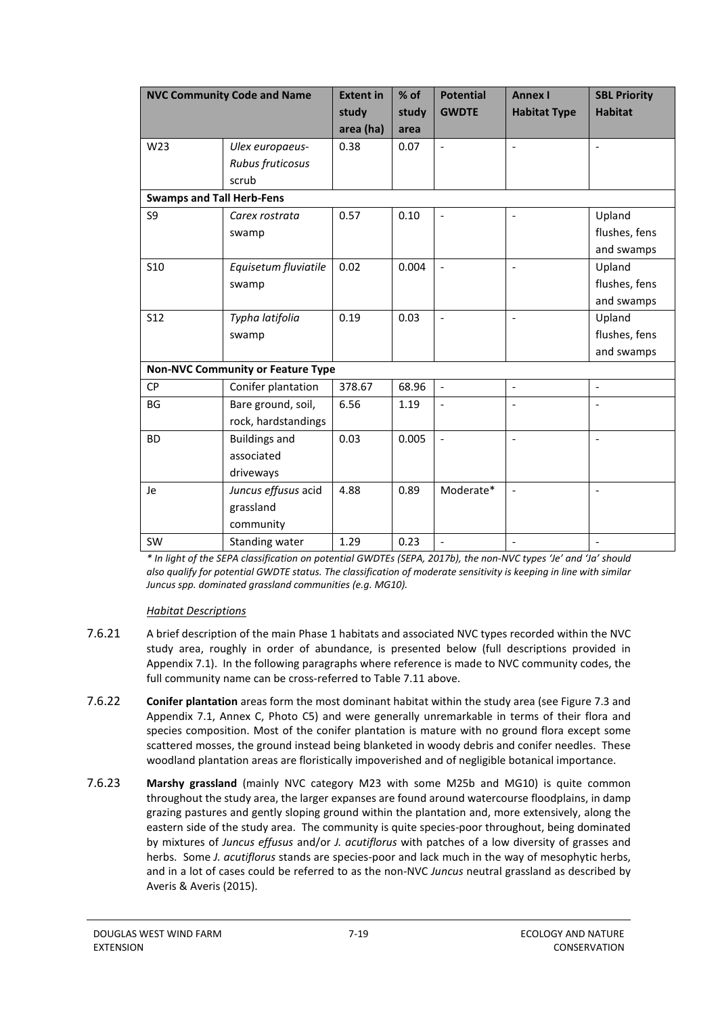|                                  | <b>NVC Community Code and Name</b>       | <b>Extent in</b><br>study<br>area (ha) | $%$ of<br>study<br>area | <b>Potential</b><br><b>GWDTE</b> | <b>Annex I</b><br><b>Habitat Type</b> | <b>SBL Priority</b><br><b>Habitat</b> |
|----------------------------------|------------------------------------------|----------------------------------------|-------------------------|----------------------------------|---------------------------------------|---------------------------------------|
| W23                              | Ulex europaeus-                          | 0.38                                   | 0.07                    | $\qquad \qquad \blacksquare$     |                                       |                                       |
|                                  | Rubus fruticosus                         |                                        |                         |                                  |                                       |                                       |
|                                  | scrub                                    |                                        |                         |                                  |                                       |                                       |
| <b>Swamps and Tall Herb-Fens</b> |                                          |                                        |                         |                                  |                                       |                                       |
| S9                               | Carex rostrata                           | 0.57                                   | 0.10                    | $\overline{\phantom{a}}$         | $\overline{\phantom{a}}$              | Upland                                |
|                                  | swamp                                    |                                        |                         |                                  |                                       | flushes, fens                         |
|                                  |                                          |                                        |                         |                                  |                                       | and swamps                            |
| <b>S10</b>                       | Equisetum fluviatile                     | 0.02                                   | 0.004                   | $\overline{\phantom{0}}$         | $\overline{\phantom{a}}$              | Upland                                |
|                                  | swamp                                    |                                        |                         |                                  |                                       | flushes, fens                         |
|                                  |                                          |                                        |                         |                                  |                                       | and swamps                            |
| <b>S12</b>                       | Typha latifolia                          | 0.19                                   | 0.03                    | $\blacksquare$                   | $\blacksquare$                        | Upland                                |
|                                  | swamp                                    |                                        |                         |                                  |                                       | flushes, fens                         |
|                                  |                                          |                                        |                         |                                  |                                       | and swamps                            |
|                                  | <b>Non-NVC Community or Feature Type</b> |                                        |                         |                                  |                                       |                                       |
| <b>CP</b>                        | Conifer plantation                       | 378.67                                 | 68.96                   | $\mathcal{L}$                    | $\overline{\phantom{a}}$              | $\Box$                                |
| <b>BG</b>                        | Bare ground, soil,                       | 6.56                                   | 1.19                    | $\overline{\phantom{a}}$         | $\blacksquare$                        | $\overline{\phantom{a}}$              |
|                                  | rock, hardstandings                      |                                        |                         |                                  |                                       |                                       |
| <b>BD</b>                        | <b>Buildings and</b>                     | 0.03                                   | 0.005                   | $\overline{a}$                   | $\overline{\phantom{a}}$              | $\overline{a}$                        |
|                                  | associated                               |                                        |                         |                                  |                                       |                                       |
|                                  | driveways                                |                                        |                         |                                  |                                       |                                       |
| Je                               | Juncus effusus acid                      | 4.88                                   | 0.89                    | Moderate*                        |                                       | $\tilde{\phantom{a}}$                 |
|                                  | grassland                                |                                        |                         |                                  |                                       |                                       |
|                                  | community                                |                                        |                         |                                  |                                       |                                       |
| SW                               | Standing water                           | 1.29                                   | 0.23                    | $\overline{a}$                   |                                       |                                       |

*\* In light of the SEPA classification on potential GWDTEs (SEPA, 2017b), the non-NVC types 'Je' and 'Ja' should also qualify for potential GWDTE status. The classification of moderate sensitivity is keeping in line with similar Juncus spp. dominated grassland communities (e.g. MG10).*

### *Habitat Descriptions*

- 7.6.21 A brief description of the main Phase 1 habitats and associated NVC types recorded within the NVC study area, roughly in order of abundance, is presented below (full descriptions provided in Appendix 7.1). In the following paragraphs where reference is made to NVC community codes, the full community name can be cross-referred to Table 7.11 above.
- 7.6.22 **Conifer plantation** areas form the most dominant habitat within the study area (see Figure 7.3 and Appendix 7.1, Annex C, Photo C5) and were generally unremarkable in terms of their flora and species composition. Most of the conifer plantation is mature with no ground flora except some scattered mosses, the ground instead being blanketed in woody debris and conifer needles. These woodland plantation areas are floristically impoverished and of negligible botanical importance.
- 7.6.23 **Marshy grassland** (mainly NVC category M23 with some M25b and MG10) is quite common throughout the study area, the larger expanses are found around watercourse floodplains, in damp grazing pastures and gently sloping ground within the plantation and, more extensively, along the eastern side of the study area. The community is quite species-poor throughout, being dominated by mixtures of *Juncus effusus* and/or *J. acutiflorus* with patches of a low diversity of grasses and herbs. Some *J. acutiflorus* stands are species-poor and lack much in the way of mesophytic herbs, and in a lot of cases could be referred to as the non-NVC *Juncus* neutral grassland as described by Averis & Averis (2015).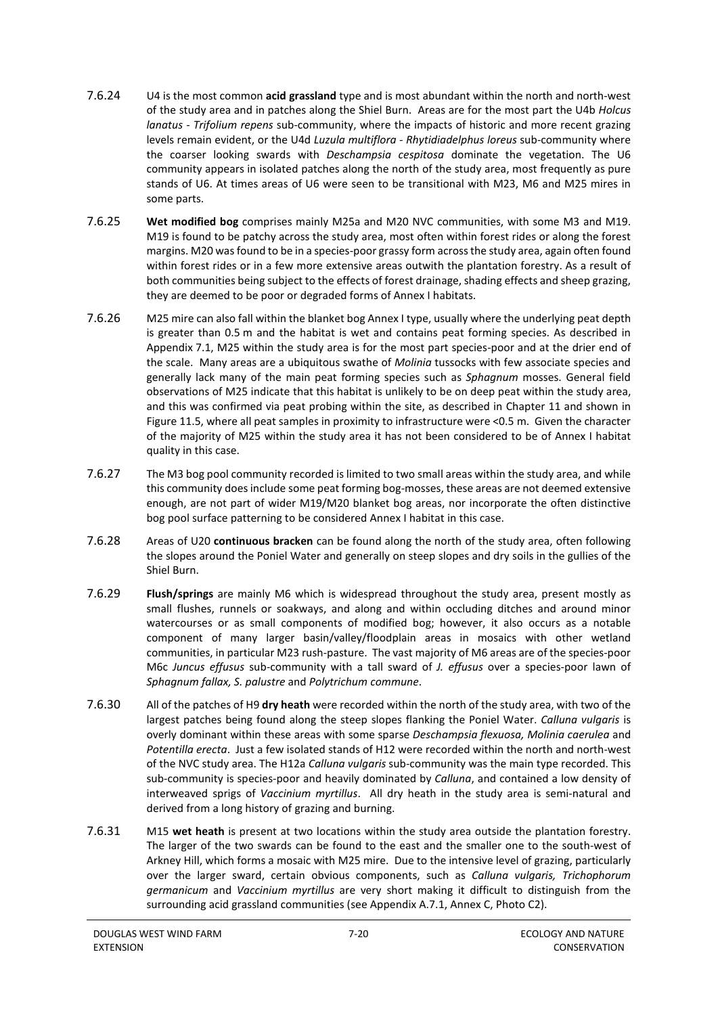- 7.6.24 U4 is the most common **acid grassland** type and is most abundant within the north and north-west of the study area and in patches along the Shiel Burn. Areas are for the most part the U4b *Holcus lanatus - Trifolium repens* sub-community, where the impacts of historic and more recent grazing levels remain evident, or the U4d *Luzula multiflora - Rhytidiadelphus loreus* sub-community where the coarser looking swards with *Deschampsia cespitosa* dominate the vegetation. The U6 community appears in isolated patches along the north of the study area, most frequently as pure stands of U6. At times areas of U6 were seen to be transitional with M23, M6 and M25 mires in some parts.
- 7.6.25 **Wet modified bog** comprises mainly M25a and M20 NVC communities, with some M3 and M19. M19 is found to be patchy across the study area, most often within forest rides or along the forest margins. M20 was found to be in a species-poor grassy form across the study area, again often found within forest rides or in a few more extensive areas outwith the plantation forestry. As a result of both communities being subject to the effects of forest drainage, shading effects and sheep grazing, they are deemed to be poor or degraded forms of Annex I habitats.
- 7.6.26 M25 mire can also fall within the blanket bog Annex I type, usually where the underlying peat depth is greater than 0.5 m and the habitat is wet and contains peat forming species. As described in Appendix 7.1, M25 within the study area is for the most part species-poor and at the drier end of the scale. Many areas are a ubiquitous swathe of *Molinia* tussocks with few associate species and generally lack many of the main peat forming species such as *Sphagnum* mosses. General field observations of M25 indicate that this habitat is unlikely to be on deep peat within the study area, and this was confirmed via peat probing within the site, as described in Chapter 11 and shown in Figure 11.5, where all peat samples in proximity to infrastructure were <0.5 m. Given the character of the majority of M25 within the study area it has not been considered to be of Annex I habitat quality in this case.
- 7.6.27 The M3 bog pool community recorded is limited to two small areas within the study area, and while this community does include some peat forming bog-mosses, these areas are not deemed extensive enough, are not part of wider M19/M20 blanket bog areas, nor incorporate the often distinctive bog pool surface patterning to be considered Annex I habitat in this case.
- 7.6.28 Areas of U20 **continuous bracken** can be found along the north of the study area, often following the slopes around the Poniel Water and generally on steep slopes and dry soils in the gullies of the Shiel Burn.
- 7.6.29 **Flush/springs** are mainly M6 which is widespread throughout the study area, present mostly as small flushes, runnels or soakways, and along and within occluding ditches and around minor watercourses or as small components of modified bog; however, it also occurs as a notable component of many larger basin/valley/floodplain areas in mosaics with other wetland communities, in particular M23 rush-pasture. The vast majority of M6 areas are of the species-poor M6c *Juncus effusus* sub-community with a tall sward of *J. effusus* over a species-poor lawn of *Sphagnum fallax, S. palustre* and *Polytrichum commune*.
- 7.6.30 All of the patches of H9 **dry heath** were recorded within the north of the study area, with two of the largest patches being found along the steep slopes flanking the Poniel Water. *Calluna vulgaris* is overly dominant within these areas with some sparse *Deschampsia flexuosa, Molinia caerulea* and *Potentilla erecta*. Just a few isolated stands of H12 were recorded within the north and north-west of the NVC study area. The H12a *Calluna vulgaris* sub-community was the main type recorded. This sub-community is species-poor and heavily dominated by *Calluna*, and contained a low density of interweaved sprigs of *Vaccinium myrtillus*. All dry heath in the study area is semi-natural and derived from a long history of grazing and burning.
- 7.6.31 M15 **wet heath** is present at two locations within the study area outside the plantation forestry. The larger of the two swards can be found to the east and the smaller one to the south-west of Arkney Hill, which forms a mosaic with M25 mire. Due to the intensive level of grazing, particularly over the larger sward, certain obvious components, such as *Calluna vulgaris, Trichophorum germanicum* and *Vaccinium myrtillus* are very short making it difficult to distinguish from the surrounding acid grassland communities (see Appendix A.7.1, Annex C, Photo C2).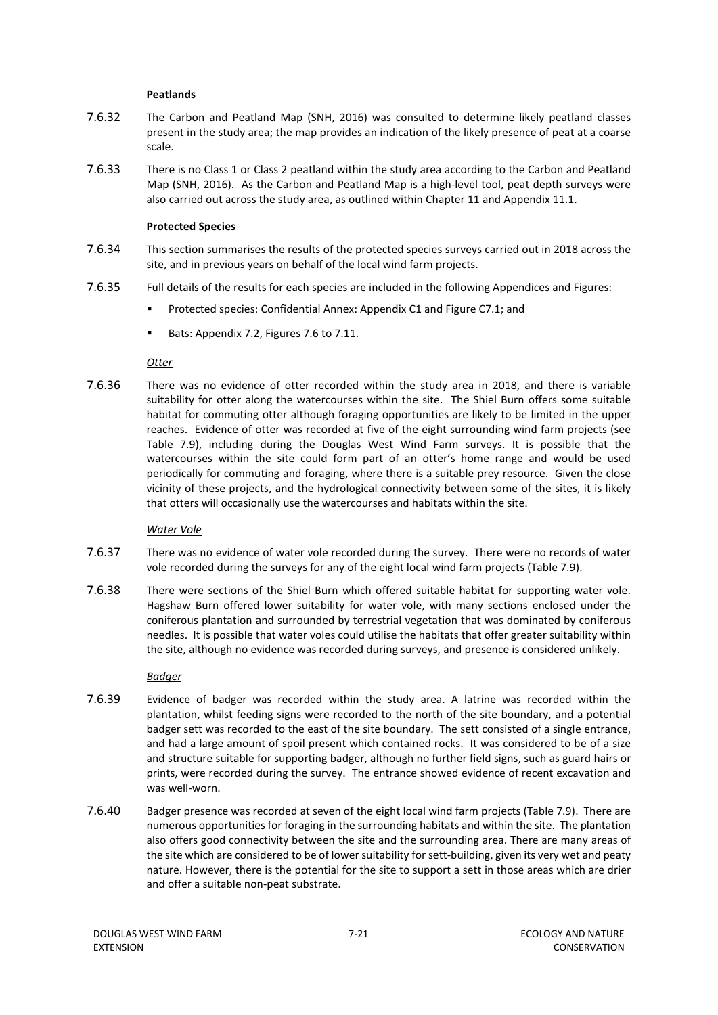#### **Peatlands**

- 7.6.32 The Carbon and Peatland Map (SNH, 2016) was consulted to determine likely peatland classes present in the study area; the map provides an indication of the likely presence of peat at a coarse scale.
- 7.6.33 There is no Class 1 or Class 2 peatland within the study area according to the Carbon and Peatland Map (SNH, 2016). As the Carbon and Peatland Map is a high-level tool, peat depth surveys were also carried out across the study area, as outlined within Chapter 11 and Appendix 11.1.

### **Protected Species**

- 7.6.34 This section summarises the results of the protected species surveys carried out in 2018 across the site, and in previous years on behalf of the local wind farm projects.
- 7.6.35 Full details of the results for each species are included in the following Appendices and Figures:
	- Protected species: Confidential Annex: Appendix C1 and Figure C7.1; and
	- Bats: Appendix 7.2, Figures 7.6 to 7.11.

#### *Otter*

7.6.36 There was no evidence of otter recorded within the study area in 2018, and there is variable suitability for otter along the watercourses within the site. The Shiel Burn offers some suitable habitat for commuting otter although foraging opportunities are likely to be limited in the upper reaches. Evidence of otter was recorded at five of the eight surrounding wind farm projects (see Table 7.9), including during the Douglas West Wind Farm surveys. It is possible that the watercourses within the site could form part of an otter's home range and would be used periodically for commuting and foraging, where there is a suitable prey resource. Given the close vicinity of these projects, and the hydrological connectivity between some of the sites, it is likely that otters will occasionally use the watercourses and habitats within the site.

#### *Water Vole*

- 7.6.37 There was no evidence of water vole recorded during the survey. There were no records of water vole recorded during the surveys for any of the eight local wind farm projects (Table 7.9).
- 7.6.38 There were sections of the Shiel Burn which offered suitable habitat for supporting water vole. Hagshaw Burn offered lower suitability for water vole, with many sections enclosed under the coniferous plantation and surrounded by terrestrial vegetation that was dominated by coniferous needles. It is possible that water voles could utilise the habitats that offer greater suitability within the site, although no evidence was recorded during surveys, and presence is considered unlikely.

### *Badger*

- 7.6.39 Evidence of badger was recorded within the study area. A latrine was recorded within the plantation, whilst feeding signs were recorded to the north of the site boundary, and a potential badger sett was recorded to the east of the site boundary. The sett consisted of a single entrance, and had a large amount of spoil present which contained rocks. It was considered to be of a size and structure suitable for supporting badger, although no further field signs, such as guard hairs or prints, were recorded during the survey. The entrance showed evidence of recent excavation and was well-worn.
- 7.6.40 Badger presence was recorded at seven of the eight local wind farm projects (Table 7.9). There are numerous opportunities for foraging in the surrounding habitats and within the site. The plantation also offers good connectivity between the site and the surrounding area. There are many areas of the site which are considered to be of lower suitability for sett-building, given its very wet and peaty nature. However, there is the potential for the site to support a sett in those areas which are drier and offer a suitable non-peat substrate.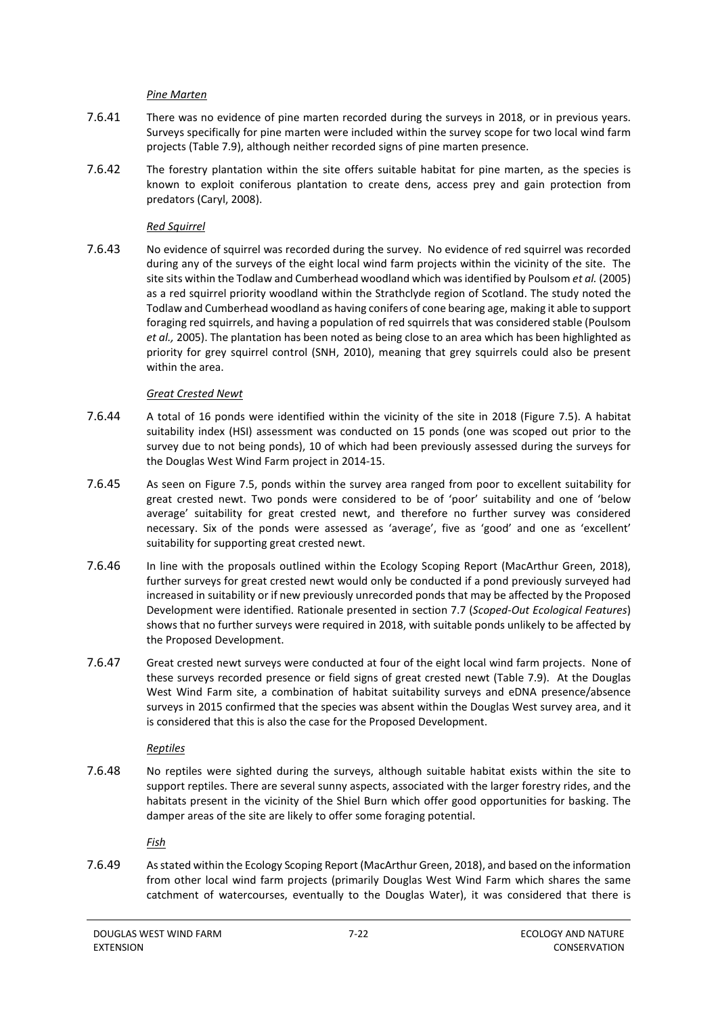#### *Pine Marten*

- 7.6.41 There was no evidence of pine marten recorded during the surveys in 2018, or in previous years. Surveys specifically for pine marten were included within the survey scope for two local wind farm projects (Table 7.9), although neither recorded signs of pine marten presence.
- 7.6.42 The forestry plantation within the site offers suitable habitat for pine marten, as the species is known to exploit coniferous plantation to create dens, access prey and gain protection from predators (Caryl, 2008).

### *Red Squirrel*

7.6.43 No evidence of squirrel was recorded during the survey. No evidence of red squirrel was recorded during any of the surveys of the eight local wind farm projects within the vicinity of the site. The site sits within the Todlaw and Cumberhead woodland which was identified by Poulsom *et al.* (2005) as a red squirrel priority woodland within the Strathclyde region of Scotland. The study noted the Todlaw and Cumberhead woodland as having conifers of cone bearing age, making it able to support foraging red squirrels, and having a population of red squirrels that was considered stable (Poulsom *et al.,* 2005). The plantation has been noted as being close to an area which has been highlighted as priority for grey squirrel control (SNH, 2010), meaning that grey squirrels could also be present within the area.

### *Great Crested Newt*

- 7.6.44 A total of 16 ponds were identified within the vicinity of the site in 2018 (Figure 7.5). A habitat suitability index (HSI) assessment was conducted on 15 ponds (one was scoped out prior to the survey due to not being ponds), 10 of which had been previously assessed during the surveys for the Douglas West Wind Farm project in 2014-15.
- 7.6.45 As seen on Figure 7.5, ponds within the survey area ranged from poor to excellent suitability for great crested newt. Two ponds were considered to be of 'poor' suitability and one of 'below average' suitability for great crested newt, and therefore no further survey was considered necessary. Six of the ponds were assessed as 'average', five as 'good' and one as 'excellent' suitability for supporting great crested newt.
- 7.6.46 In line with the proposals outlined within the Ecology Scoping Report (MacArthur Green, 2018), further surveys for great crested newt would only be conducted if a pond previously surveyed had increased in suitability or if new previously unrecorded ponds that may be affected by the Proposed Development were identified. Rationale presented in section [7.7](#page-25-0) (*Scoped-Out Ecological Features*) shows that no further surveys were required in 2018, with suitable ponds unlikely to be affected by the Proposed Development.
- 7.6.47 Great crested newt surveys were conducted at four of the eight local wind farm projects. None of these surveys recorded presence or field signs of great crested newt (Table 7.9). At the Douglas West Wind Farm site, a combination of habitat suitability surveys and eDNA presence/absence surveys in 2015 confirmed that the species was absent within the Douglas West survey area, and it is considered that this is also the case for the Proposed Development.

### *Reptiles*

7.6.48 No reptiles were sighted during the surveys, although suitable habitat exists within the site to support reptiles. There are several sunny aspects, associated with the larger forestry rides, and the habitats present in the vicinity of the Shiel Burn which offer good opportunities for basking. The damper areas of the site are likely to offer some foraging potential.

*Fish*

7.6.49 As stated within the Ecology Scoping Report (MacArthur Green, 2018), and based on the information from other local wind farm projects (primarily Douglas West Wind Farm which shares the same catchment of watercourses, eventually to the Douglas Water), it was considered that there is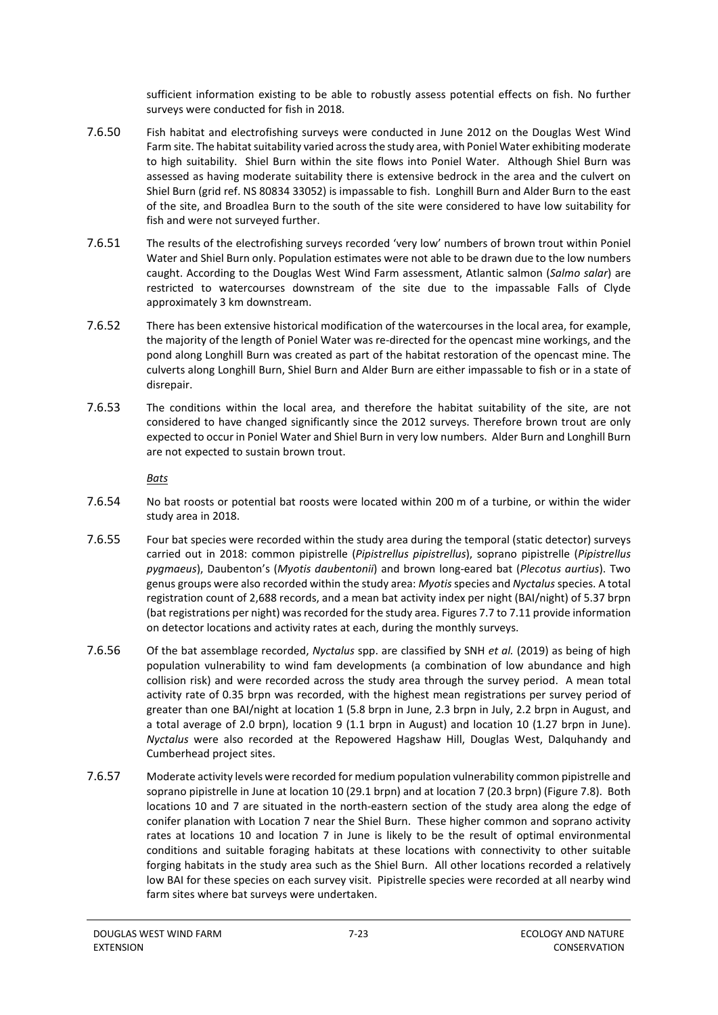sufficient information existing to be able to robustly assess potential effects on fish. No further surveys were conducted for fish in 2018.

- 7.6.50 Fish habitat and electrofishing surveys were conducted in June 2012 on the Douglas West Wind Farm site. The habitat suitability varied across the study area, with Poniel Water exhibiting moderate to high suitability. Shiel Burn within the site flows into Poniel Water. Although Shiel Burn was assessed as having moderate suitability there is extensive bedrock in the area and the culvert on Shiel Burn (grid ref. NS 80834 33052) is impassable to fish. Longhill Burn and Alder Burn to the east of the site, and Broadlea Burn to the south of the site were considered to have low suitability for fish and were not surveyed further.
- 7.6.51 The results of the electrofishing surveys recorded 'very low' numbers of brown trout within Poniel Water and Shiel Burn only. Population estimates were not able to be drawn due to the low numbers caught. According to the Douglas West Wind Farm assessment, Atlantic salmon (*Salmo salar*) are restricted to watercourses downstream of the site due to the impassable Falls of Clyde approximately 3 km downstream.
- 7.6.52 There has been extensive historical modification of the watercourses in the local area, for example, the majority of the length of Poniel Water was re-directed for the opencast mine workings, and the pond along Longhill Burn was created as part of the habitat restoration of the opencast mine. The culverts along Longhill Burn, Shiel Burn and Alder Burn are either impassable to fish or in a state of disrepair.
- 7.6.53 The conditions within the local area, and therefore the habitat suitability of the site, are not considered to have changed significantly since the 2012 surveys. Therefore brown trout are only expected to occur in Poniel Water and Shiel Burn in very low numbers. Alder Burn and Longhill Burn are not expected to sustain brown trout.

*Bats*

- 7.6.54 No bat roosts or potential bat roosts were located within 200 m of a turbine, or within the wider study area in 2018.
- 7.6.55 Four bat species were recorded within the study area during the temporal (static detector) surveys carried out in 2018: common pipistrelle (*Pipistrellus pipistrellus*), soprano pipistrelle (*Pipistrellus pygmaeus*), Daubenton's (*Myotis daubentonii*) and brown long-eared bat (*Plecotus aurtius*). Two genus groups were also recorded within the study area: *Myotis*species and *Nyctalus* species. A total registration count of 2,688 records, and a mean bat activity index per night (BAI/night) of 5.37 brpn (bat registrations per night) was recorded for the study area. Figures 7.7 to 7.11 provide information on detector locations and activity rates at each, during the monthly surveys.
- 7.6.56 Of the bat assemblage recorded, *Nyctalus* spp. are classified by SNH *et al.* (2019) as being of high population vulnerability to wind fam developments (a combination of low abundance and high collision risk) and were recorded across the study area through the survey period. A mean total activity rate of 0.35 brpn was recorded, with the highest mean registrations per survey period of greater than one BAI/night at location 1 (5.8 brpn in June, 2.3 brpn in July, 2.2 brpn in August, and a total average of 2.0 brpn), location 9 (1.1 brpn in August) and location 10 (1.27 brpn in June). *Nyctalus* were also recorded at the Repowered Hagshaw Hill, Douglas West, Dalquhandy and Cumberhead project sites.
- 7.6.57 Moderate activity levels were recorded for medium population vulnerability common pipistrelle and soprano pipistrelle in June at location 10 (29.1 brpn) and at location 7 (20.3 brpn) (Figure 7.8). Both locations 10 and 7 are situated in the north-eastern section of the study area along the edge of conifer planation with Location 7 near the Shiel Burn. These higher common and soprano activity rates at locations 10 and location 7 in June is likely to be the result of optimal environmental conditions and suitable foraging habitats at these locations with connectivity to other suitable forging habitats in the study area such as the Shiel Burn. All other locations recorded a relatively low BAI for these species on each survey visit. Pipistrelle species were recorded at all nearby wind farm sites where bat surveys were undertaken.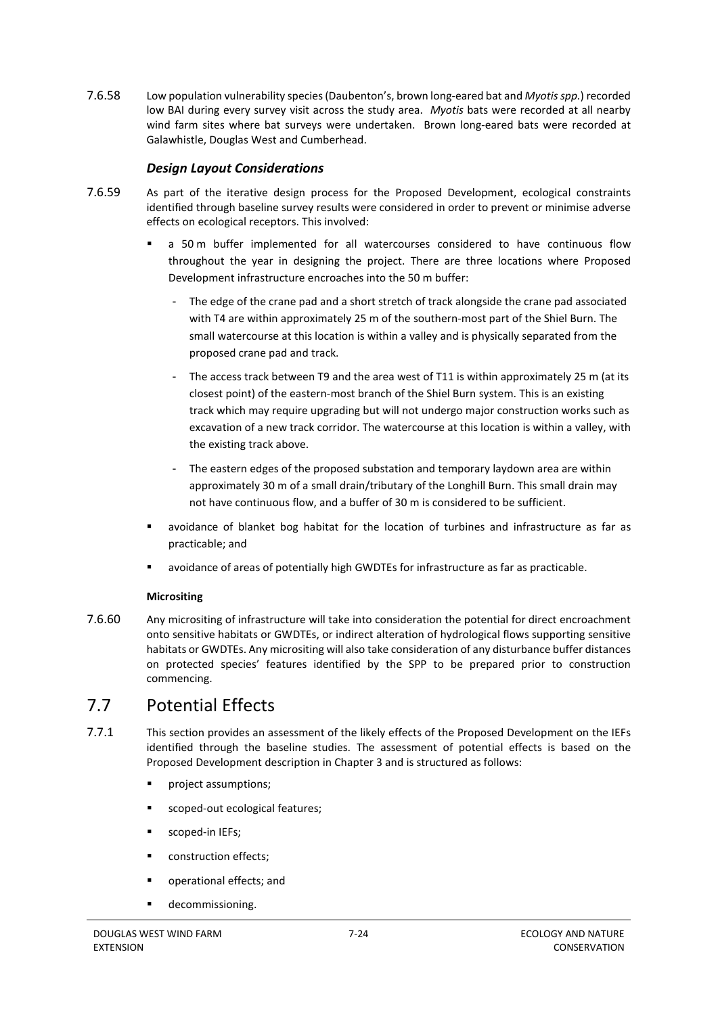7.6.58 Low population vulnerability species (Daubenton's, brown long-eared bat and *Myotis spp.*) recorded low BAI during every survey visit across the study area. *Myotis* bats were recorded at all nearby wind farm sites where bat surveys were undertaken. Brown long-eared bats were recorded at Galawhistle, Douglas West and Cumberhead.

# *Design Layout Considerations*

- 7.6.59 As part of the iterative design process for the Proposed Development, ecological constraints identified through baseline survey results were considered in order to prevent or minimise adverse effects on ecological receptors. This involved:
	- a 50 m buffer implemented for all watercourses considered to have continuous flow throughout the year in designing the project. There are three locations where Proposed Development infrastructure encroaches into the 50 m buffer:
		- The edge of the crane pad and a short stretch of track alongside the crane pad associated with T4 are within approximately 25 m of the southern-most part of the Shiel Burn. The small watercourse at this location is within a valley and is physically separated from the proposed crane pad and track.
		- The access track between T9 and the area west of T11 is within approximately 25 m (at its closest point) of the eastern-most branch of the Shiel Burn system. This is an existing track which may require upgrading but will not undergo major construction works such as excavation of a new track corridor. The watercourse at this location is within a valley, with the existing track above.
		- The eastern edges of the proposed substation and temporary laydown area are within approximately 30 m of a small drain/tributary of the Longhill Burn. This small drain may not have continuous flow, and a buffer of 30 m is considered to be sufficient.
	- avoidance of blanket bog habitat for the location of turbines and infrastructure as far as practicable; and
	- avoidance of areas of potentially high GWDTEs for infrastructure as far as practicable.

## **Micrositing**

7.6.60 Any micrositing of infrastructure will take into consideration the potential for direct encroachment onto sensitive habitats or GWDTEs, or indirect alteration of hydrological flows supporting sensitive habitats or GWDTEs. Any micrositing will also take consideration of any disturbance buffer distances on protected species' features identified by the SPP to be prepared prior to construction commencing.

# <span id="page-25-0"></span>7.7 Potential Effects

- 7.7.1 This section provides an assessment of the likely effects of the Proposed Development on the IEFs identified through the baseline studies. The assessment of potential effects is based on the Proposed Development description in Chapter 3 and is structured as follows:
	- project assumptions;
	- scoped-out ecological features;
	- **scoped-in IEFs;**
	- construction effects;
	- operational effects; and
	- **decommissioning.**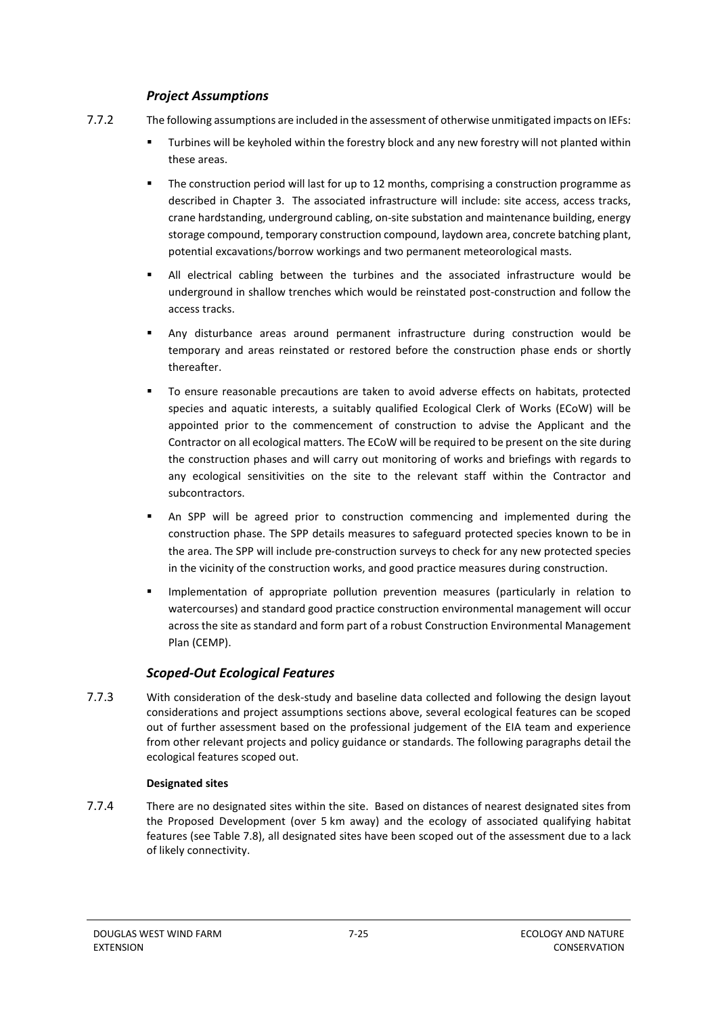# *Project Assumptions*

- 7.7.2 The following assumptions are included in the assessment of otherwise unmitigated impacts on IEFs:
	- Turbines will be keyholed within the forestry block and any new forestry will not planted within these areas.
	- The construction period will last for up to 12 months, comprising a construction programme as described in Chapter 3. The associated infrastructure will include: site access, access tracks, crane hardstanding, underground cabling, on-site substation and maintenance building, energy storage compound, temporary construction compound, laydown area, concrete batching plant, potential excavations/borrow workings and two permanent meteorological masts.
	- All electrical cabling between the turbines and the associated infrastructure would be underground in shallow trenches which would be reinstated post-construction and follow the access tracks.
	- Any disturbance areas around permanent infrastructure during construction would be temporary and areas reinstated or restored before the construction phase ends or shortly thereafter.
	- To ensure reasonable precautions are taken to avoid adverse effects on habitats, protected species and aquatic interests, a suitably qualified Ecological Clerk of Works (ECoW) will be appointed prior to the commencement of construction to advise the Applicant and the Contractor on all ecological matters. The ECoW will be required to be present on the site during the construction phases and will carry out monitoring of works and briefings with regards to any ecological sensitivities on the site to the relevant staff within the Contractor and subcontractors.
	- An SPP will be agreed prior to construction commencing and implemented during the construction phase. The SPP details measures to safeguard protected species known to be in the area. The SPP will include pre-construction surveys to check for any new protected species in the vicinity of the construction works, and good practice measures during construction.
	- Implementation of appropriate pollution prevention measures (particularly in relation to watercourses) and standard good practice construction environmental management will occur across the site as standard and form part of a robust Construction Environmental Management Plan (CEMP).

# *Scoped-Out Ecological Features*

7.7.3 With consideration of the desk-study and baseline data collected and following the design layout considerations and project assumptions sections above, several ecological features can be scoped out of further assessment based on the professional judgement of the EIA team and experience from other relevant projects and policy guidance or standards. The following paragraphs detail the ecological features scoped out.

## **Designated sites**

7.7.4 There are no designated sites within the site. Based on distances of nearest designated sites from the Proposed Development (over 5 km away) and the ecology of associated qualifying habitat features (see Table 7.8), all designated sites have been scoped out of the assessment due to a lack of likely connectivity.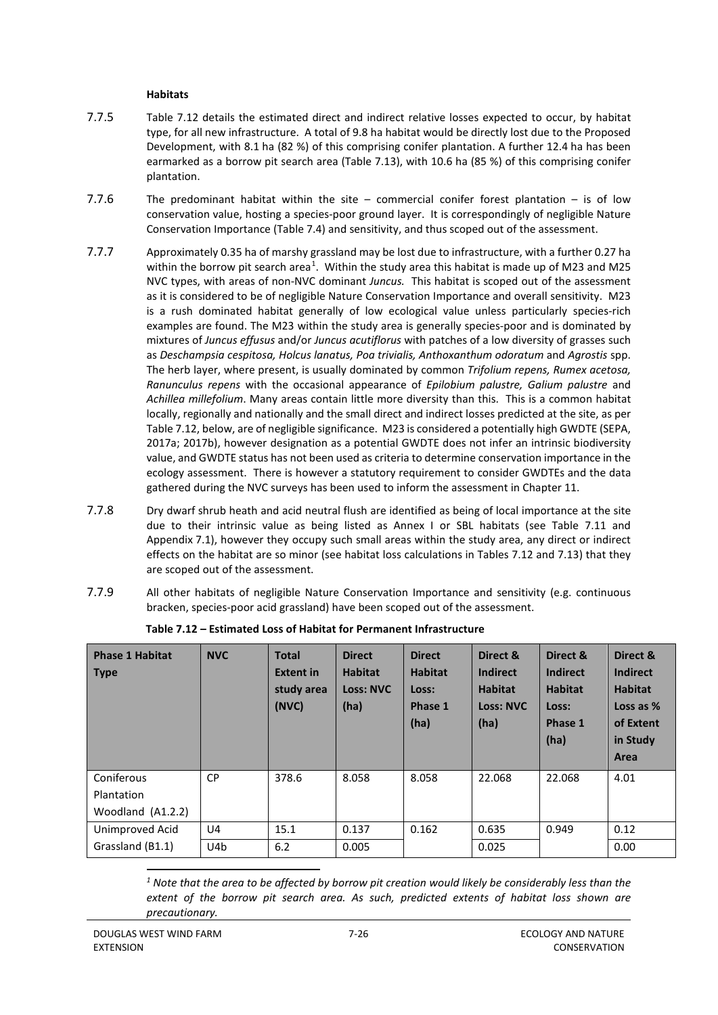#### **Habitats**

- 7.7.5 Table 7.12 details the estimated direct and indirect relative losses expected to occur, by habitat type, for all new infrastructure. A total of 9.8 ha habitat would be directly lost due to the Proposed Development, with 8.1 ha (82 %) of this comprising conifer plantation. A further 12.4 ha has been earmarked as a borrow pit search area (Table 7.13), with 10.6 ha (85 %) of this comprising conifer plantation.
- 7.7.6 The predominant habitat within the site commercial conifer forest plantation is of low conservation value, hosting a species-poor ground layer. It is correspondingly of negligible Nature Conservation Importance (Table 7.4) and sensitivity, and thus scoped out of the assessment.
- 7.7.7 Approximately 0.35 ha of marshy grassland may be lost due to infrastructure, with a further 0.27 ha within the borrow pit search area<sup>[1](#page-27-0)</sup>. Within the study area this habitat is made up of M23 and M25 NVC types, with areas of non-NVC dominant *Juncus.* This habitat is scoped out of the assessment as it is considered to be of negligible Nature Conservation Importance and overall sensitivity. M23 is a rush dominated habitat generally of low ecological value unless particularly species-rich examples are found. The M23 within the study area is generally species-poor and is dominated by mixtures of *Juncus effusus* and/or *Juncus acutiflorus* with patches of a low diversity of grasses such as *Deschampsia cespitosa, Holcus lanatus, Poa trivialis, Anthoxanthum odoratum* and *Agrostis* spp. The herb layer, where present, is usually dominated by common *Trifolium repens, Rumex acetosa, Ranunculus repens* with the occasional appearance of *Epilobium palustre, Galium palustre* and *Achillea millefolium*. Many areas contain little more diversity than this. This is a common habitat locally, regionally and nationally and the small direct and indirect losses predicted at the site, as per Table 7.12, below, are of negligible significance. M23 is considered a potentially high GWDTE (SEPA, 2017a; 2017b), however designation as a potential GWDTE does not infer an intrinsic biodiversity value, and GWDTE status has not been used as criteria to determine conservation importance in the ecology assessment. There is however a statutory requirement to consider GWDTEs and the data gathered during the NVC surveys has been used to inform the assessment in Chapter 11.
- 7.7.8 Dry dwarf shrub heath and acid neutral flush are identified as being of local importance at the site due to their intrinsic value as being listed as Annex I or SBL habitats (see Table 7.11 and Appendix 7.1), however they occupy such small areas within the study area, any direct or indirect effects on the habitat are so minor (see habitat loss calculations in Tables 7.12 and 7.13) that they are scoped out of the assessment.
- 7.7.9 All other habitats of negligible Nature Conservation Importance and sensitivity (e.g. continuous bracken, species-poor acid grassland) have been scoped out of the assessment.

| <b>Phase 1 Habitat</b><br><b>Type</b> | <b>NVC</b>       | <b>Total</b><br><b>Extent in</b><br>study area<br>(NVC) | <b>Direct</b><br><b>Habitat</b><br><b>Loss: NVC</b><br>(ha) | <b>Direct</b><br><b>Habitat</b><br>Loss:<br>Phase 1<br>(ha) | Direct &<br><b>Indirect</b><br><b>Habitat</b><br><b>Loss: NVC</b><br>(ha) | Direct &<br><b>Indirect</b><br><b>Habitat</b><br>Loss:<br>Phase 1<br>(ha) | Direct &<br><b>Indirect</b><br><b>Habitat</b><br>Loss as %<br>of Extent<br>in Study<br>Area |
|---------------------------------------|------------------|---------------------------------------------------------|-------------------------------------------------------------|-------------------------------------------------------------|---------------------------------------------------------------------------|---------------------------------------------------------------------------|---------------------------------------------------------------------------------------------|
| Coniferous<br>Plantation              | <b>CP</b>        | 378.6                                                   | 8.058                                                       | 8.058                                                       | 22.068                                                                    | 22.068                                                                    | 4.01                                                                                        |
| Woodland (A1.2.2)                     |                  |                                                         |                                                             |                                                             |                                                                           |                                                                           |                                                                                             |
| Unimproved Acid                       | U4               | 15.1                                                    | 0.137                                                       | 0.162                                                       | 0.635                                                                     | 0.949                                                                     | 0.12                                                                                        |
| Grassland (B1.1)                      | U <sub>4</sub> b | 6.2                                                     | 0.005                                                       |                                                             | 0.025                                                                     |                                                                           | 0.00                                                                                        |

**Table 7.12 – Estimated Loss of Habitat for Permanent Infrastructure**

<span id="page-27-0"></span> *1 Note that the area to be affected by borrow pit creation would likely be considerably less than the extent of the borrow pit search area. As such, predicted extents of habitat loss shown are precautionary.*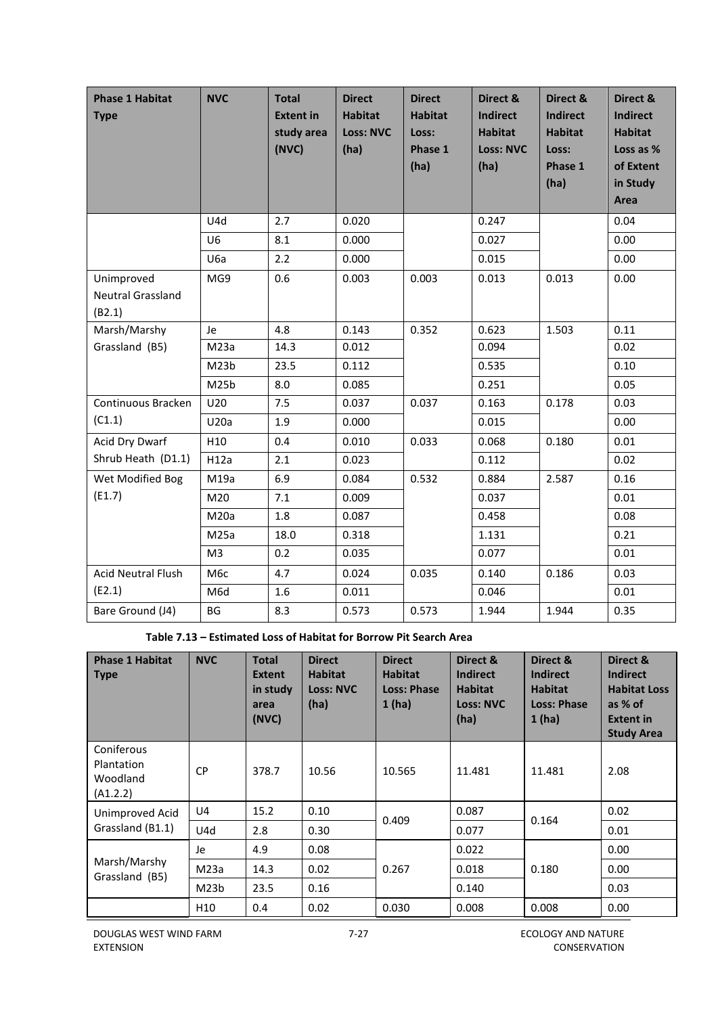| <b>Phase 1 Habitat</b><br><b>Type</b>            | <b>NVC</b>       | <b>Total</b><br><b>Extent in</b><br>study area<br>(NVC) | <b>Direct</b><br><b>Habitat</b><br><b>Loss: NVC</b><br>(ha) | <b>Direct</b><br><b>Habitat</b><br>Loss:<br>Phase 1<br>(ha) | Direct &<br><b>Indirect</b><br><b>Habitat</b><br><b>Loss: NVC</b><br>(ha) | Direct &<br><b>Indirect</b><br><b>Habitat</b><br>Loss:<br>Phase 1<br>(ha) | Direct &<br><b>Indirect</b><br><b>Habitat</b><br>Loss as %<br>of Extent<br>in Study<br>Area |
|--------------------------------------------------|------------------|---------------------------------------------------------|-------------------------------------------------------------|-------------------------------------------------------------|---------------------------------------------------------------------------|---------------------------------------------------------------------------|---------------------------------------------------------------------------------------------|
|                                                  | U <sub>4</sub> d | 2.7                                                     | 0.020                                                       |                                                             | 0.247                                                                     |                                                                           | 0.04                                                                                        |
|                                                  | U <sub>6</sub>   | 8.1                                                     | 0.000                                                       |                                                             | 0.027                                                                     |                                                                           | 0.00                                                                                        |
|                                                  | U <sub>6a</sub>  | 2.2                                                     | 0.000                                                       |                                                             | 0.015                                                                     |                                                                           | 0.00                                                                                        |
| Unimproved<br><b>Neutral Grassland</b><br>(B2.1) | MG9              | 0.6                                                     | 0.003                                                       | 0.003                                                       | 0.013                                                                     | 0.013                                                                     | 0.00                                                                                        |
| Marsh/Marshy                                     | Je               | 4.8                                                     | 0.143                                                       | 0.352                                                       | 0.623                                                                     | 1.503                                                                     | 0.11                                                                                        |
| Grassland (B5)                                   | M23a             | 14.3                                                    | 0.012                                                       |                                                             | 0.094                                                                     |                                                                           | 0.02                                                                                        |
|                                                  | M23b             | 23.5                                                    | 0.112                                                       |                                                             | 0.535                                                                     |                                                                           | 0.10                                                                                        |
|                                                  | M25b             | 8.0                                                     | 0.085                                                       |                                                             | 0.251                                                                     |                                                                           | 0.05                                                                                        |
| Continuous Bracken                               | U20              | 7.5                                                     | 0.037                                                       | 0.037                                                       | 0.163                                                                     | 0.178                                                                     | 0.03                                                                                        |
| (C1.1)                                           | U20a             | 1.9                                                     | 0.000                                                       |                                                             | 0.015                                                                     |                                                                           | 0.00                                                                                        |
| Acid Dry Dwarf                                   | H10              | 0.4                                                     | 0.010                                                       | 0.033                                                       | 0.068                                                                     | 0.180                                                                     | 0.01                                                                                        |
| Shrub Heath (D1.1)                               | H12a             | 2.1                                                     | 0.023                                                       |                                                             | 0.112                                                                     |                                                                           | 0.02                                                                                        |
| Wet Modified Bog                                 | M19a             | 6.9                                                     | 0.084                                                       | 0.532                                                       | 0.884                                                                     | 2.587                                                                     | 0.16                                                                                        |
| (E1.7)                                           | M20              | 7.1                                                     | 0.009                                                       |                                                             | 0.037                                                                     |                                                                           | 0.01                                                                                        |
|                                                  | M20a             | $1.8\,$                                                 | 0.087                                                       |                                                             | 0.458                                                                     |                                                                           | 0.08                                                                                        |
|                                                  | M25a             | 18.0                                                    | 0.318                                                       |                                                             | 1.131                                                                     |                                                                           | 0.21                                                                                        |
|                                                  | M <sub>3</sub>   | 0.2                                                     | 0.035                                                       |                                                             | 0.077                                                                     |                                                                           | 0.01                                                                                        |
| <b>Acid Neutral Flush</b>                        | M <sub>6</sub> c | 4.7                                                     | 0.024                                                       | 0.035                                                       | 0.140                                                                     | 0.186                                                                     | 0.03                                                                                        |
| (E2.1)                                           | M6d              | 1.6                                                     | 0.011                                                       |                                                             | 0.046                                                                     |                                                                           | 0.01                                                                                        |
| Bare Ground (J4)                                 | BG               | 8.3                                                     | 0.573                                                       | 0.573                                                       | 1.944                                                                     | 1.944                                                                     | 0.35                                                                                        |

**Table 7.13 – Estimated Loss of Habitat for Borrow Pit Search Area**

| <b>Phase 1 Habitat</b><br><b>Type</b>            | <b>NVC</b>       | <b>Total</b><br>Extent<br>in study<br>area<br>(NVC) | <b>Direct</b><br><b>Habitat</b><br><b>Loss: NVC</b><br>(ha) | <b>Direct</b><br><b>Habitat</b><br><b>Loss: Phase</b><br>1(ha) | Direct &<br><b>Indirect</b><br><b>Habitat</b><br><b>Loss: NVC</b><br>(ha) | Direct &<br><b>Indirect</b><br><b>Habitat</b><br><b>Loss: Phase</b><br>1(ha) | Direct &<br><b>Indirect</b><br><b>Habitat Loss</b><br>as % of<br><b>Extent in</b><br><b>Study Area</b> |
|--------------------------------------------------|------------------|-----------------------------------------------------|-------------------------------------------------------------|----------------------------------------------------------------|---------------------------------------------------------------------------|------------------------------------------------------------------------------|--------------------------------------------------------------------------------------------------------|
| Coniferous<br>Plantation<br>Woodland<br>(A1.2.2) | <b>CP</b>        | 378.7                                               | 10.56                                                       | 10.565                                                         | 11.481                                                                    | 11.481                                                                       | 2.08                                                                                                   |
| Unimproved Acid                                  | U4               | 15.2                                                | 0.10                                                        |                                                                | 0.087                                                                     |                                                                              | 0.02                                                                                                   |
| Grassland (B1.1)                                 | U <sub>4</sub> d | 2.8                                                 | 0.30                                                        | 0.164<br>0.409<br>0.077                                        |                                                                           |                                                                              | 0.01                                                                                                   |
|                                                  | Je               | 4.9                                                 | 0.08                                                        |                                                                | 0.022                                                                     |                                                                              | 0.00                                                                                                   |
| Marsh/Marshy<br>Grassland (B5)                   | M <sub>23a</sub> | 14.3                                                | 0.02                                                        | 0.267                                                          | 0.018                                                                     | 0.180                                                                        | 0.00                                                                                                   |
|                                                  | M <sub>23b</sub> | 23.5                                                | 0.16                                                        |                                                                | 0.140                                                                     |                                                                              | 0.03                                                                                                   |
|                                                  | H <sub>10</sub>  | 0.4                                                 | 0.02                                                        | 0.030                                                          | 0.008                                                                     | 0.008                                                                        | 0.00                                                                                                   |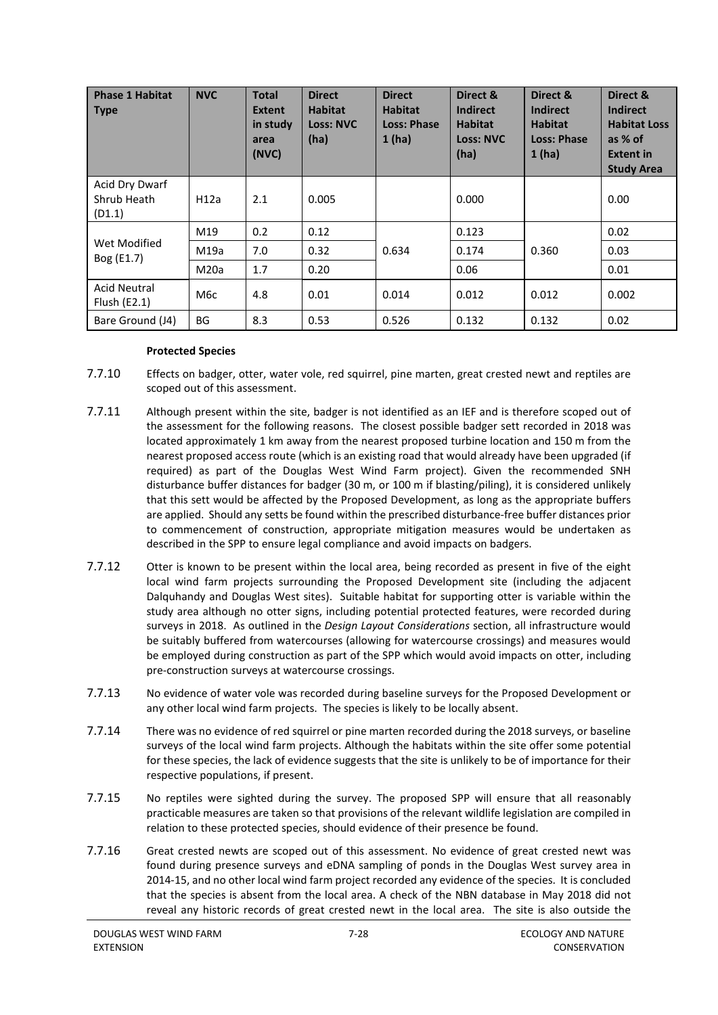| <b>Phase 1 Habitat</b><br><b>Type</b>   | <b>NVC</b> | <b>Total</b><br><b>Extent</b><br>in study<br>area<br>(NVC) | <b>Direct</b><br><b>Habitat</b><br><b>Loss: NVC</b><br>(ha) | <b>Direct</b><br><b>Habitat</b><br><b>Loss: Phase</b><br>1(ha) | Direct &<br><b>Indirect</b><br><b>Habitat</b><br><b>Loss: NVC</b><br>(ha) | Direct &<br><b>Indirect</b><br><b>Habitat</b><br><b>Loss: Phase</b><br>1(ha) | Direct &<br><b>Indirect</b><br><b>Habitat Loss</b><br>as % of<br><b>Extent in</b><br><b>Study Area</b> |
|-----------------------------------------|------------|------------------------------------------------------------|-------------------------------------------------------------|----------------------------------------------------------------|---------------------------------------------------------------------------|------------------------------------------------------------------------------|--------------------------------------------------------------------------------------------------------|
| Acid Dry Dwarf<br>Shrub Heath<br>(D1.1) | H12a       | 2.1                                                        | 0.005                                                       |                                                                | 0.000                                                                     |                                                                              | 0.00                                                                                                   |
| Wet Modified<br>Bog (E1.7)              | M19        | 0.2                                                        | 0.12                                                        |                                                                | 0.123                                                                     |                                                                              | 0.02                                                                                                   |
|                                         | M19a       | 7.0                                                        | 0.32                                                        | 0.634                                                          | 0.174                                                                     | 0.360                                                                        | 0.03                                                                                                   |
|                                         | M20a       | 1.7                                                        | 0.20                                                        |                                                                | 0.06                                                                      |                                                                              | 0.01                                                                                                   |
| <b>Acid Neutral</b><br>Flush (E2.1)     | M6c        | 4.8                                                        | 0.01                                                        | 0.014                                                          | 0.012                                                                     | 0.012                                                                        | 0.002                                                                                                  |
| Bare Ground (J4)                        | <b>BG</b>  | 8.3                                                        | 0.53                                                        | 0.526                                                          | 0.132                                                                     | 0.132                                                                        | 0.02                                                                                                   |

#### **Protected Species**

- 7.7.10 Effects on badger, otter, water vole, red squirrel, pine marten, great crested newt and reptiles are scoped out of this assessment.
- 7.7.11 Although present within the site, badger is not identified as an IEF and is therefore scoped out of the assessment for the following reasons. The closest possible badger sett recorded in 2018 was located approximately 1 km away from the nearest proposed turbine location and 150 m from the nearest proposed access route (which is an existing road that would already have been upgraded (if required) as part of the Douglas West Wind Farm project). Given the recommended SNH disturbance buffer distances for badger (30 m, or 100 m if blasting/piling), it is considered unlikely that this sett would be affected by the Proposed Development, as long as the appropriate buffers are applied. Should any setts be found within the prescribed disturbance-free buffer distances prior to commencement of construction, appropriate mitigation measures would be undertaken as described in the SPP to ensure legal compliance and avoid impacts on badgers.
- 7.7.12 Otter is known to be present within the local area, being recorded as present in five of the eight local wind farm projects surrounding the Proposed Development site (including the adjacent Dalquhandy and Douglas West sites). Suitable habitat for supporting otter is variable within the study area although no otter signs, including potential protected features, were recorded during surveys in 2018. As outlined in the *Design Layout Considerations* section, all infrastructure would be suitably buffered from watercourses (allowing for watercourse crossings) and measures would be employed during construction as part of the SPP which would avoid impacts on otter, including pre-construction surveys at watercourse crossings.
- 7.7.13 No evidence of water vole was recorded during baseline surveys for the Proposed Development or any other local wind farm projects. The species is likely to be locally absent.
- 7.7.14 There was no evidence of red squirrel or pine marten recorded during the 2018 surveys, or baseline surveys of the local wind farm projects. Although the habitats within the site offer some potential for these species, the lack of evidence suggests that the site is unlikely to be of importance for their respective populations, if present.
- 7.7.15 No reptiles were sighted during the survey. The proposed SPP will ensure that all reasonably practicable measures are taken so that provisions of the relevant wildlife legislation are compiled in relation to these protected species, should evidence of their presence be found.
- 7.7.16 Great crested newts are scoped out of this assessment. No evidence of great crested newt was found during presence surveys and eDNA sampling of ponds in the Douglas West survey area in 2014-15, and no other local wind farm project recorded any evidence of the species. It is concluded that the species is absent from the local area. A check of the NBN database in May 2018 did not reveal any historic records of great crested newt in the local area. The site is also outside the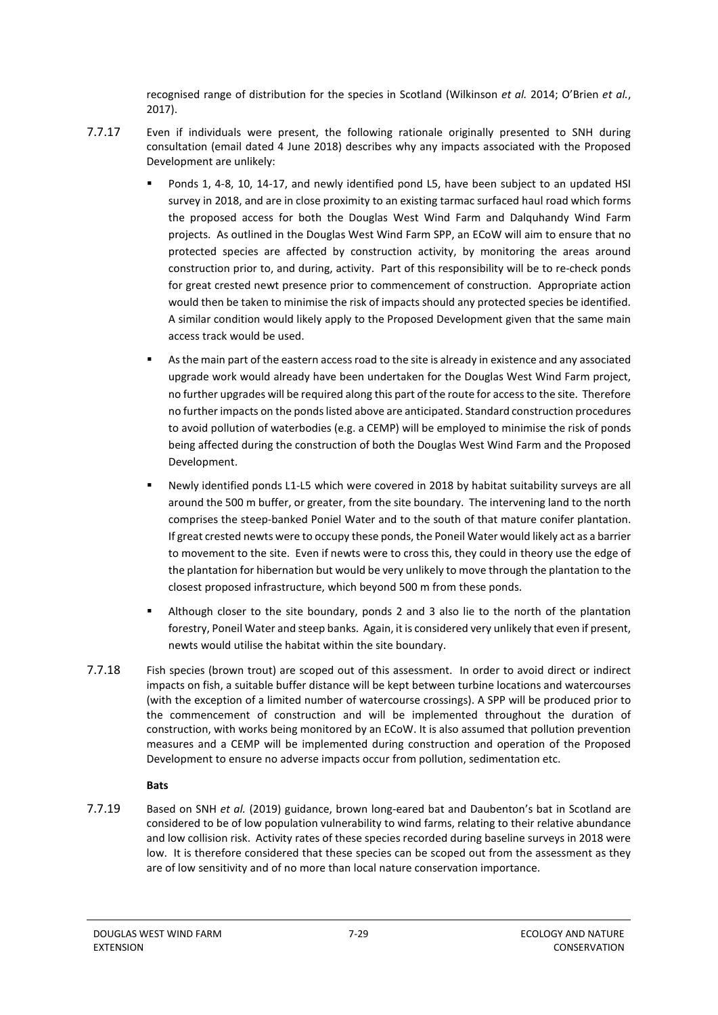recognised range of distribution for the species in Scotland (Wilkinson *et al.* 2014; O'Brien *et al.*, 2017).

- 7.7.17 Even if individuals were present, the following rationale originally presented to SNH during consultation (email dated 4 June 2018) describes why any impacts associated with the Proposed Development are unlikely:
	- Ponds 1, 4-8, 10, 14-17, and newly identified pond L5, have been subject to an updated HSI survey in 2018, and are in close proximity to an existing tarmac surfaced haul road which forms the proposed access for both the Douglas West Wind Farm and Dalquhandy Wind Farm projects. As outlined in the Douglas West Wind Farm SPP, an ECoW will aim to ensure that no protected species are affected by construction activity, by monitoring the areas around construction prior to, and during, activity. Part of this responsibility will be to re-check ponds for great crested newt presence prior to commencement of construction. Appropriate action would then be taken to minimise the risk of impacts should any protected species be identified. A similar condition would likely apply to the Proposed Development given that the same main access track would be used.
	- As the main part of the eastern access road to the site is already in existence and any associated upgrade work would already have been undertaken for the Douglas West Wind Farm project, no further upgrades will be required along this part of the route for access to the site. Therefore no further impacts on the ponds listed above are anticipated. Standard construction procedures to avoid pollution of waterbodies (e.g. a CEMP) will be employed to minimise the risk of ponds being affected during the construction of both the Douglas West Wind Farm and the Proposed Development.
	- Newly identified ponds L1-L5 which were covered in 2018 by habitat suitability surveys are all around the 500 m buffer, or greater, from the site boundary. The intervening land to the north comprises the steep-banked Poniel Water and to the south of that mature conifer plantation. If great crested newts were to occupy these ponds, the Poneil Water would likely act as a barrier to movement to the site. Even if newts were to cross this, they could in theory use the edge of the plantation for hibernation but would be very unlikely to move through the plantation to the closest proposed infrastructure, which beyond 500 m from these ponds.
	- Although closer to the site boundary, ponds 2 and 3 also lie to the north of the plantation forestry, Poneil Water and steep banks. Again, it is considered very unlikely that even if present, newts would utilise the habitat within the site boundary.
- 7.7.18 Fish species (brown trout) are scoped out of this assessment. In order to avoid direct or indirect impacts on fish, a suitable buffer distance will be kept between turbine locations and watercourses (with the exception of a limited number of watercourse crossings). A SPP will be produced prior to the commencement of construction and will be implemented throughout the duration of construction, with works being monitored by an ECoW. It is also assumed that pollution prevention measures and a CEMP will be implemented during construction and operation of the Proposed Development to ensure no adverse impacts occur from pollution, sedimentation etc.

### **Bats**

7.7.19 Based on SNH *et al.* (2019) guidance, brown long-eared bat and Daubenton's bat in Scotland are considered to be of low population vulnerability to wind farms, relating to their relative abundance and low collision risk. Activity rates of these species recorded during baseline surveys in 2018 were low. It is therefore considered that these species can be scoped out from the assessment as they are of low sensitivity and of no more than local nature conservation importance.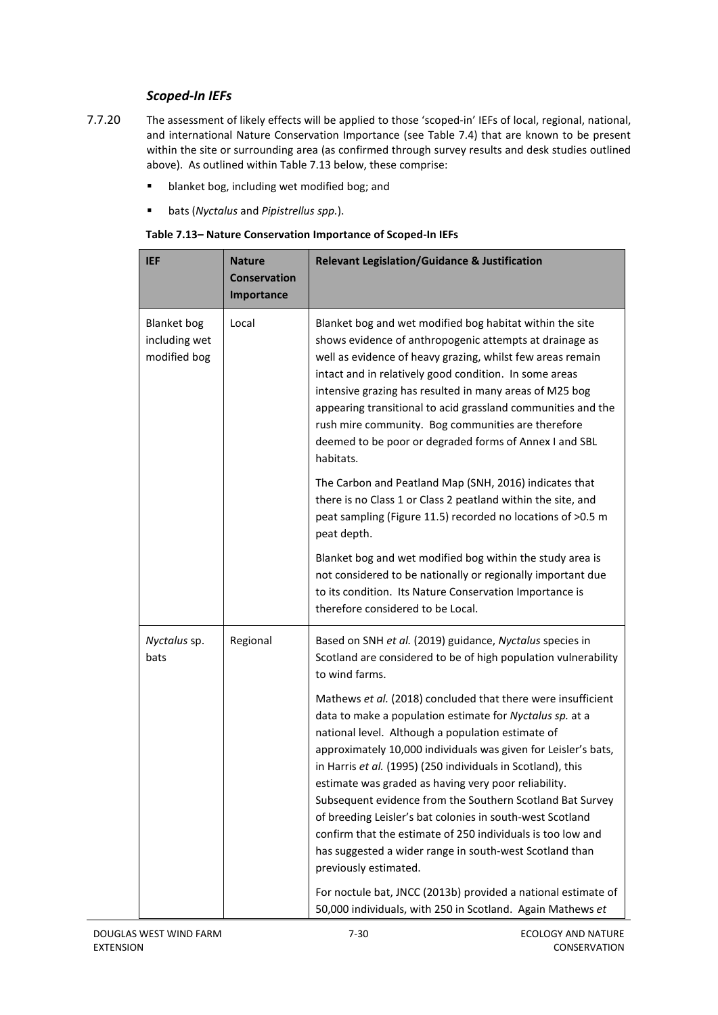# *Scoped-In IEFs*

- 7.7.20 The assessment of likely effects will be applied to those 'scoped-in' IEFs of local, regional, national, and international Nature Conservation Importance (see Table 7.4) that are known to be present within the site or surrounding area (as confirmed through survey results and desk studies outlined above). As outlined within Table 7.13 below, these comprise:
	- **•** blanket bog, including wet modified bog; and
	- bats (*Nyctalus* and *Pipistrellus spp.*).

### **Table 7.13– Nature Conservation Importance of Scoped-In IEFs**

| <b>IEF</b>                                          | <b>Nature</b><br><b>Conservation</b><br>Importance | <b>Relevant Legislation/Guidance &amp; Justification</b>                                                                                                                                                                                                                                                                                                                                                                                                                                                                                                                                                                                            |
|-----------------------------------------------------|----------------------------------------------------|-----------------------------------------------------------------------------------------------------------------------------------------------------------------------------------------------------------------------------------------------------------------------------------------------------------------------------------------------------------------------------------------------------------------------------------------------------------------------------------------------------------------------------------------------------------------------------------------------------------------------------------------------------|
| <b>Blanket</b> bog<br>including wet<br>modified bog | Local                                              | Blanket bog and wet modified bog habitat within the site<br>shows evidence of anthropogenic attempts at drainage as<br>well as evidence of heavy grazing, whilst few areas remain<br>intact and in relatively good condition. In some areas<br>intensive grazing has resulted in many areas of M25 bog<br>appearing transitional to acid grassland communities and the<br>rush mire community. Bog communities are therefore<br>deemed to be poor or degraded forms of Annex I and SBL<br>habitats.                                                                                                                                                 |
|                                                     |                                                    | The Carbon and Peatland Map (SNH, 2016) indicates that<br>there is no Class 1 or Class 2 peatland within the site, and<br>peat sampling (Figure 11.5) recorded no locations of >0.5 m<br>peat depth.                                                                                                                                                                                                                                                                                                                                                                                                                                                |
|                                                     |                                                    | Blanket bog and wet modified bog within the study area is<br>not considered to be nationally or regionally important due<br>to its condition. Its Nature Conservation Importance is<br>therefore considered to be Local.                                                                                                                                                                                                                                                                                                                                                                                                                            |
| Nyctalus sp.<br>bats                                | Regional                                           | Based on SNH et al. (2019) guidance, Nyctalus species in<br>Scotland are considered to be of high population vulnerability<br>to wind farms.                                                                                                                                                                                                                                                                                                                                                                                                                                                                                                        |
|                                                     |                                                    | Mathews et al. (2018) concluded that there were insufficient<br>data to make a population estimate for Nyctalus sp. at a<br>national level. Although a population estimate of<br>approximately 10,000 individuals was given for Leisler's bats,<br>in Harris et al. (1995) (250 individuals in Scotland), this<br>estimate was graded as having very poor reliability.<br>Subsequent evidence from the Southern Scotland Bat Survey<br>of breeding Leisler's bat colonies in south-west Scotland<br>confirm that the estimate of 250 individuals is too low and<br>has suggested a wider range in south-west Scotland than<br>previously estimated. |
|                                                     |                                                    | For noctule bat, JNCC (2013b) provided a national estimate of<br>50,000 individuals, with 250 in Scotland. Again Mathews et                                                                                                                                                                                                                                                                                                                                                                                                                                                                                                                         |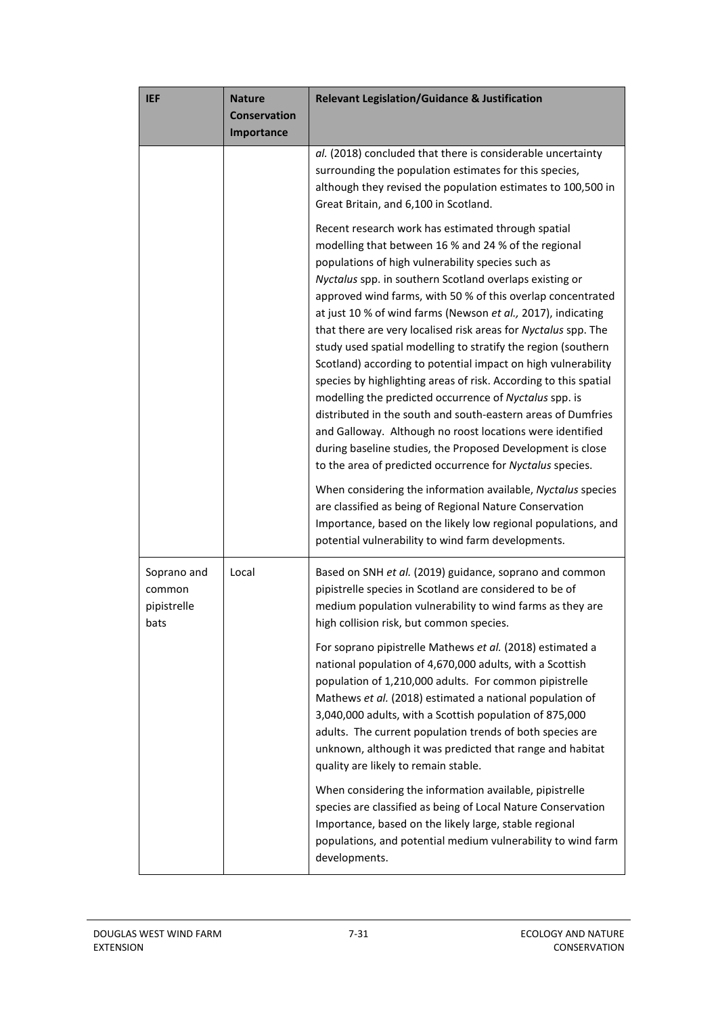| <b>IEF</b>                                   | <b>Nature</b>                     | <b>Relevant Legislation/Guidance &amp; Justification</b>                                                                                                                                                                                                                                                                                                                                                                                                                                                                                                                                                                                                                                                                                                                                                                                                                                                                                                                                                                                                                                                                                                                                              |
|----------------------------------------------|-----------------------------------|-------------------------------------------------------------------------------------------------------------------------------------------------------------------------------------------------------------------------------------------------------------------------------------------------------------------------------------------------------------------------------------------------------------------------------------------------------------------------------------------------------------------------------------------------------------------------------------------------------------------------------------------------------------------------------------------------------------------------------------------------------------------------------------------------------------------------------------------------------------------------------------------------------------------------------------------------------------------------------------------------------------------------------------------------------------------------------------------------------------------------------------------------------------------------------------------------------|
|                                              | <b>Conservation</b><br>Importance |                                                                                                                                                                                                                                                                                                                                                                                                                                                                                                                                                                                                                                                                                                                                                                                                                                                                                                                                                                                                                                                                                                                                                                                                       |
|                                              |                                   | al. (2018) concluded that there is considerable uncertainty<br>surrounding the population estimates for this species,<br>although they revised the population estimates to 100,500 in<br>Great Britain, and 6,100 in Scotland.                                                                                                                                                                                                                                                                                                                                                                                                                                                                                                                                                                                                                                                                                                                                                                                                                                                                                                                                                                        |
|                                              |                                   | Recent research work has estimated through spatial<br>modelling that between 16 % and 24 % of the regional<br>populations of high vulnerability species such as<br>Nyctalus spp. in southern Scotland overlaps existing or<br>approved wind farms, with 50 % of this overlap concentrated<br>at just 10 % of wind farms (Newson et al., 2017), indicating<br>that there are very localised risk areas for Nyctalus spp. The<br>study used spatial modelling to stratify the region (southern<br>Scotland) according to potential impact on high vulnerability<br>species by highlighting areas of risk. According to this spatial<br>modelling the predicted occurrence of Nyctalus spp. is<br>distributed in the south and south-eastern areas of Dumfries<br>and Galloway. Although no roost locations were identified<br>during baseline studies, the Proposed Development is close<br>to the area of predicted occurrence for Nyctalus species.<br>When considering the information available, Nyctalus species<br>are classified as being of Regional Nature Conservation<br>Importance, based on the likely low regional populations, and<br>potential vulnerability to wind farm developments. |
| Soprano and<br>common<br>pipistrelle<br>bats | Local                             | Based on SNH et al. (2019) guidance, soprano and common<br>pipistrelle species in Scotland are considered to be of<br>medium population vulnerability to wind farms as they are<br>high collision risk, but common species.                                                                                                                                                                                                                                                                                                                                                                                                                                                                                                                                                                                                                                                                                                                                                                                                                                                                                                                                                                           |
|                                              |                                   | For soprano pipistrelle Mathews et al. (2018) estimated a<br>national population of 4,670,000 adults, with a Scottish<br>population of 1,210,000 adults. For common pipistrelle<br>Mathews et al. (2018) estimated a national population of<br>3,040,000 adults, with a Scottish population of 875,000<br>adults. The current population trends of both species are<br>unknown, although it was predicted that range and habitat<br>quality are likely to remain stable.                                                                                                                                                                                                                                                                                                                                                                                                                                                                                                                                                                                                                                                                                                                              |
|                                              |                                   | When considering the information available, pipistrelle<br>species are classified as being of Local Nature Conservation<br>Importance, based on the likely large, stable regional<br>populations, and potential medium vulnerability to wind farm<br>developments.                                                                                                                                                                                                                                                                                                                                                                                                                                                                                                                                                                                                                                                                                                                                                                                                                                                                                                                                    |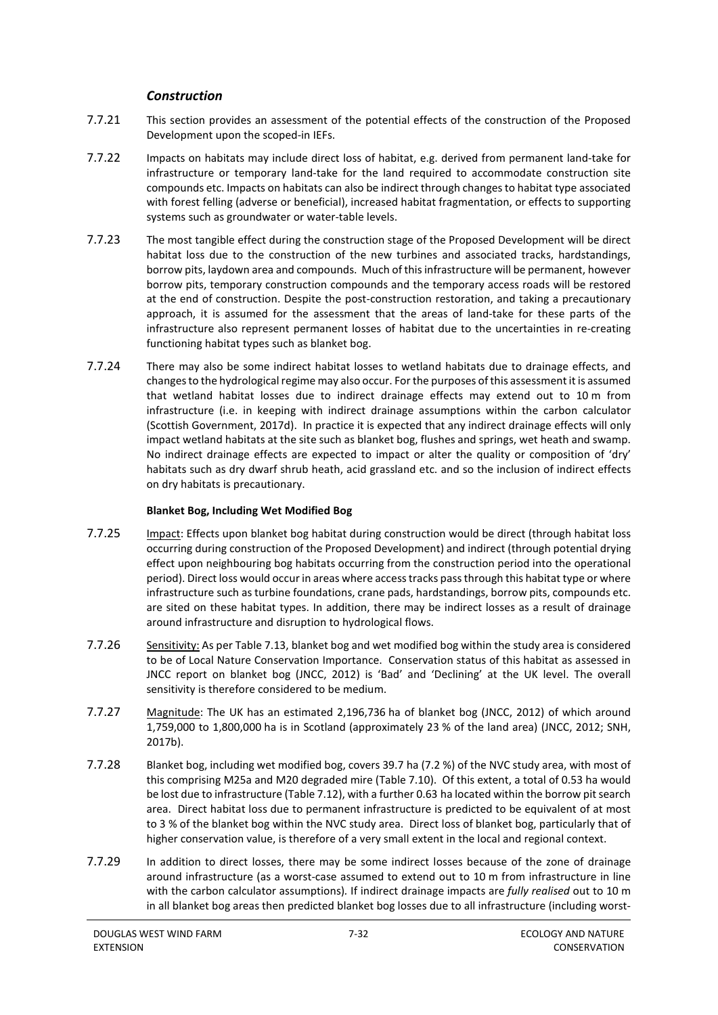# *Construction*

- 7.7.21 This section provides an assessment of the potential effects of the construction of the Proposed Development upon the scoped-in IEFs.
- 7.7.22 Impacts on habitats may include direct loss of habitat, e.g. derived from permanent land-take for infrastructure or temporary land-take for the land required to accommodate construction site compounds etc. Impacts on habitats can also be indirect through changes to habitat type associated with forest felling (adverse or beneficial), increased habitat fragmentation, or effects to supporting systems such as groundwater or water-table levels.
- 7.7.23 The most tangible effect during the construction stage of the Proposed Development will be direct habitat loss due to the construction of the new turbines and associated tracks, hardstandings, borrow pits, laydown area and compounds. Much of this infrastructure will be permanent, however borrow pits, temporary construction compounds and the temporary access roads will be restored at the end of construction. Despite the post-construction restoration, and taking a precautionary approach, it is assumed for the assessment that the areas of land-take for these parts of the infrastructure also represent permanent losses of habitat due to the uncertainties in re-creating functioning habitat types such as blanket bog.
- 7.7.24 There may also be some indirect habitat losses to wetland habitats due to drainage effects, and changes to the hydrological regime may also occur. For the purposes of this assessment it is assumed that wetland habitat losses due to indirect drainage effects may extend out to 10 m from infrastructure (i.e. in keeping with indirect drainage assumptions within the carbon calculator (Scottish Government, 2017d). In practice it is expected that any indirect drainage effects will only impact wetland habitats at the site such as blanket bog, flushes and springs, wet heath and swamp. No indirect drainage effects are expected to impact or alter the quality or composition of 'dry' habitats such as dry dwarf shrub heath, acid grassland etc. and so the inclusion of indirect effects on dry habitats is precautionary.

### **Blanket Bog, Including Wet Modified Bog**

- 7.7.25 Impact: Effects upon blanket bog habitat during construction would be direct (through habitat loss occurring during construction of the Proposed Development) and indirect (through potential drying effect upon neighbouring bog habitats occurring from the construction period into the operational period). Direct loss would occur in areas where access tracks pass through this habitat type or where infrastructure such as turbine foundations, crane pads, hardstandings, borrow pits, compounds etc. are sited on these habitat types. In addition, there may be indirect losses as a result of drainage around infrastructure and disruption to hydrological flows.
- 7.7.26 Sensitivity: As per Table 7.13, blanket bog and wet modified bog within the study area is considered to be of Local Nature Conservation Importance. Conservation status of this habitat as assessed in JNCC report on blanket bog (JNCC, 2012) is 'Bad' and 'Declining' at the UK level. The overall sensitivity is therefore considered to be medium.
- 7.7.27 Magnitude: The UK has an estimated 2,196,736 ha of blanket bog (JNCC, 2012) of which around 1,759,000 to 1,800,000 ha is in Scotland (approximately 23 % of the land area) (JNCC, 2012; SNH, 2017b).
- 7.7.28 Blanket bog, including wet modified bog, covers 39.7 ha (7.2 %) of the NVC study area, with most of this comprising M25a and M20 degraded mire (Table 7.10). Of this extent, a total of 0.53 ha would be lost due to infrastructure (Table 7.12), with a further 0.63 ha located within the borrow pit search area. Direct habitat loss due to permanent infrastructure is predicted to be equivalent of at most to 3 % of the blanket bog within the NVC study area. Direct loss of blanket bog, particularly that of higher conservation value, is therefore of a very small extent in the local and regional context.
- 7.7.29 In addition to direct losses, there may be some indirect losses because of the zone of drainage around infrastructure (as a worst-case assumed to extend out to 10 m from infrastructure in line with the carbon calculator assumptions)*.* If indirect drainage impacts are *fully realised* out to 10 m in all blanket bog areas then predicted blanket bog losses due to all infrastructure (including worst-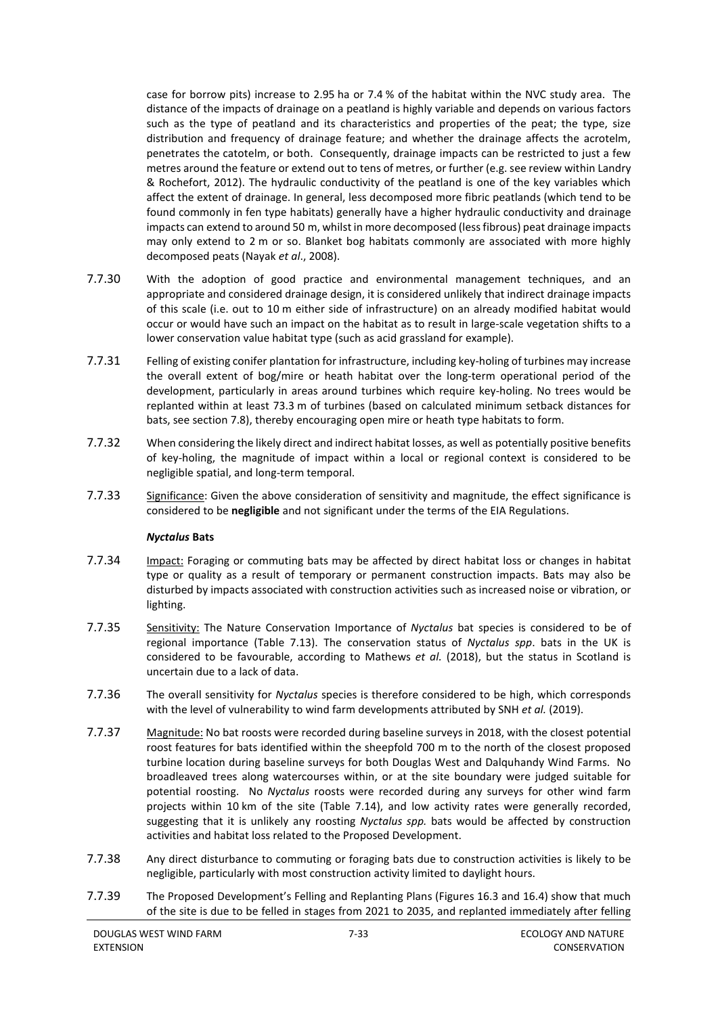case for borrow pits) increase to 2.95 ha or 7.4 % of the habitat within the NVC study area. The distance of the impacts of drainage on a peatland is highly variable and depends on various factors such as the type of peatland and its characteristics and properties of the peat; the type, size distribution and frequency of drainage feature; and whether the drainage affects the acrotelm, penetrates the catotelm, or both. Consequently, drainage impacts can be restricted to just a few metres around the feature or extend out to tens of metres, or further (e.g. see review within Landry & Rochefort, 2012). The hydraulic conductivity of the peatland is one of the key variables which affect the extent of drainage. In general, less decomposed more fibric peatlands (which tend to be found commonly in fen type habitats) generally have a higher hydraulic conductivity and drainage impacts can extend to around 50 m, whilst in more decomposed (less fibrous) peat drainage impacts may only extend to 2 m or so. Blanket bog habitats commonly are associated with more highly decomposed peats (Nayak *et al*., 2008).

- 7.7.30 With the adoption of good practice and environmental management techniques, and an appropriate and considered drainage design, it is considered unlikely that indirect drainage impacts of this scale (i.e. out to 10 m either side of infrastructure) on an already modified habitat would occur or would have such an impact on the habitat as to result in large-scale vegetation shifts to a lower conservation value habitat type (such as acid grassland for example).
- 7.7.31 Felling of existing conifer plantation for infrastructure, including key-holing of turbines may increase the overall extent of bog/mire or heath habitat over the long-term operational period of the development, particularly in areas around turbines which require key-holing. No trees would be replanted within at least 73.3 m of turbines (based on calculated minimum setback distances for bats, see section 7.8), thereby encouraging open mire or heath type habitats to form.
- 7.7.32 When considering the likely direct and indirect habitat losses, as well as potentially positive benefits of key-holing, the magnitude of impact within a local or regional context is considered to be negligible spatial, and long-term temporal.
- 7.7.33 Significance: Given the above consideration of sensitivity and magnitude, the effect significance is considered to be **negligible** and not significant under the terms of the EIA Regulations.

### *Nyctalus* **Bats**

- 7.7.34 Impact: Foraging or commuting bats may be affected by direct habitat loss or changes in habitat type or quality as a result of temporary or permanent construction impacts. Bats may also be disturbed by impacts associated with construction activities such as increased noise or vibration, or lighting.
- 7.7.35 Sensitivity: The Nature Conservation Importance of *Nyctalus* bat species is considered to be of regional importance (Table 7.13). The conservation status of *Nyctalus spp*. bats in the UK is considered to be favourable, according to Mathews *et al.* (2018), but the status in Scotland is uncertain due to a lack of data.
- 7.7.36 The overall sensitivity for *Nyctalus* species is therefore considered to be high, which corresponds with the level of vulnerability to wind farm developments attributed by SNH *et al.* (2019).
- 7.7.37 Magnitude: No bat roosts were recorded during baseline surveys in 2018, with the closest potential roost features for bats identified within the sheepfold 700 m to the north of the closest proposed turbine location during baseline surveys for both Douglas West and Dalquhandy Wind Farms. No broadleaved trees along watercourses within, or at the site boundary were judged suitable for potential roosting. No *Nyctalus* roosts were recorded during any surveys for other wind farm projects within 10 km of the site (Table 7.14), and low activity rates were generally recorded, suggesting that it is unlikely any roosting *Nyctalus spp.* bats would be affected by construction activities and habitat loss related to the Proposed Development.
- 7.7.38 Any direct disturbance to commuting or foraging bats due to construction activities is likely to be negligible, particularly with most construction activity limited to daylight hours.
- 7.7.39 The Proposed Development's Felling and Replanting Plans (Figures 16.3 and 16.4) show that much of the site is due to be felled in stages from 2021 to 2035, and replanted immediately after felling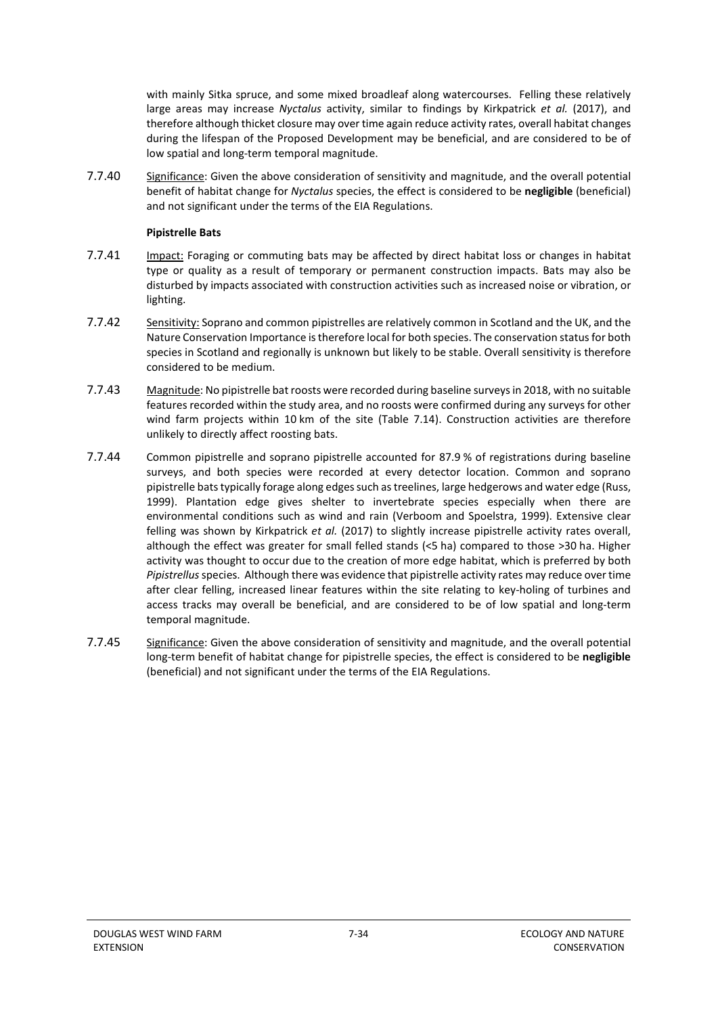with mainly Sitka spruce, and some mixed broadleaf along watercourses. Felling these relatively large areas may increase *Nyctalus* activity, similar to findings by Kirkpatrick *et al.* (2017), and therefore although thicket closure may over time again reduce activity rates, overall habitat changes during the lifespan of the Proposed Development may be beneficial, and are considered to be of low spatial and long-term temporal magnitude.

7.7.40 Significance: Given the above consideration of sensitivity and magnitude, and the overall potential benefit of habitat change for *Nyctalus* species, the effect is considered to be **negligible** (beneficial) and not significant under the terms of the EIA Regulations.

#### **Pipistrelle Bats**

- 7.7.41 Impact: Foraging or commuting bats may be affected by direct habitat loss or changes in habitat type or quality as a result of temporary or permanent construction impacts. Bats may also be disturbed by impacts associated with construction activities such as increased noise or vibration, or lighting.
- 7.7.42 Sensitivity: Soprano and common pipistrelles are relatively common in Scotland and the UK, and the Nature Conservation Importance is therefore local for both species. The conservation status for both species in Scotland and regionally is unknown but likely to be stable. Overall sensitivity is therefore considered to be medium.
- 7.7.43 Magnitude: No pipistrelle bat roosts were recorded during baseline surveysin 2018, with no suitable features recorded within the study area, and no roosts were confirmed during any surveys for other wind farm projects within 10 km of the site (Table 7.14). Construction activities are therefore unlikely to directly affect roosting bats.
- 7.7.44 Common pipistrelle and soprano pipistrelle accounted for 87.9 % of registrations during baseline surveys, and both species were recorded at every detector location. Common and soprano pipistrelle bats typically forage along edges such as treelines, large hedgerows and water edge (Russ, 1999). Plantation edge gives shelter to invertebrate species especially when there are environmental conditions such as wind and rain (Verboom and Spoelstra, 1999). Extensive clear felling was shown by Kirkpatrick *et al.* (2017) to slightly increase pipistrelle activity rates overall, although the effect was greater for small felled stands (<5 ha) compared to those >30 ha. Higher activity was thought to occur due to the creation of more edge habitat, which is preferred by both *Pipistrellus*species. Although there was evidence that pipistrelle activity rates may reduce over time after clear felling, increased linear features within the site relating to key-holing of turbines and access tracks may overall be beneficial, and are considered to be of low spatial and long-term temporal magnitude.
- 7.7.45 Significance: Given the above consideration of sensitivity and magnitude, and the overall potential long-term benefit of habitat change for pipistrelle species, the effect is considered to be **negligible** (beneficial) and not significant under the terms of the EIA Regulations.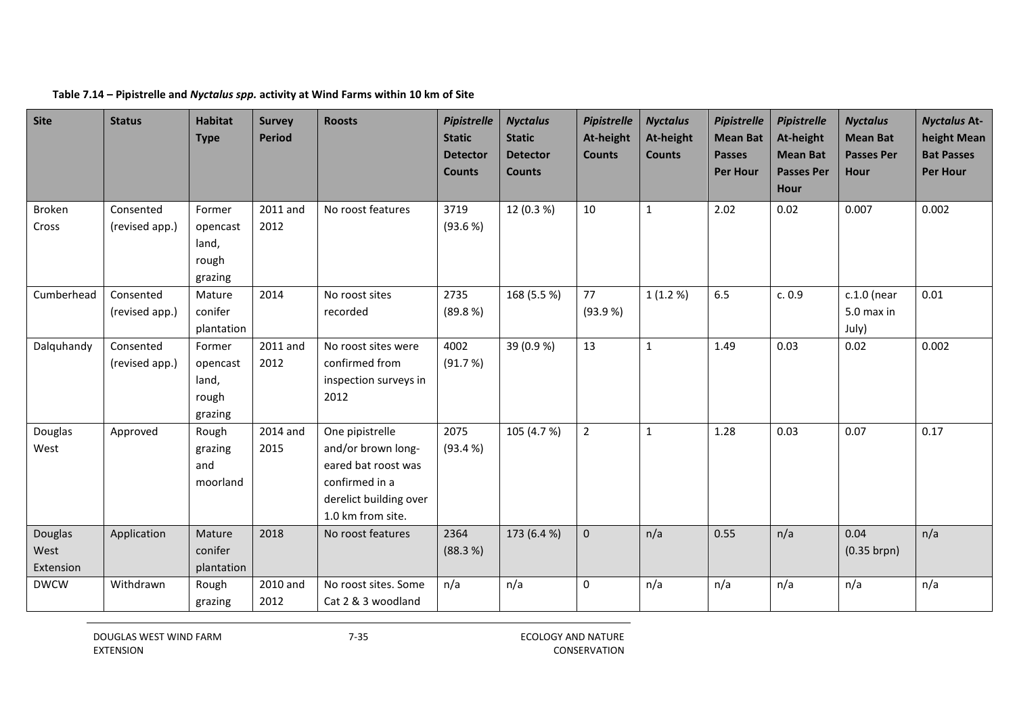| <b>Site</b>     | <b>Status</b>  | <b>Habitat</b><br><b>Type</b> | <b>Survey</b><br><b>Period</b> | <b>Roosts</b>                               | Pipistrelle<br><b>Static</b><br><b>Detector</b><br><b>Counts</b> | <b>Nyctalus</b><br><b>Static</b><br><b>Detector</b><br><b>Counts</b> | <b>Pipistrelle</b><br>At-height<br><b>Counts</b> | <b>Nyctalus</b><br>At-height<br><b>Counts</b> | Pipistrelle<br><b>Mean Bat</b><br><b>Passes</b><br><b>Per Hour</b> | Pipistrelle<br>At-height<br><b>Mean Bat</b><br><b>Passes Per</b><br>Hour | <b>Nyctalus</b><br><b>Mean Bat</b><br><b>Passes Per</b><br>Hour | <b>Nyctalus At-</b><br>height Mean<br><b>Bat Passes</b><br><b>Per Hour</b> |
|-----------------|----------------|-------------------------------|--------------------------------|---------------------------------------------|------------------------------------------------------------------|----------------------------------------------------------------------|--------------------------------------------------|-----------------------------------------------|--------------------------------------------------------------------|--------------------------------------------------------------------------|-----------------------------------------------------------------|----------------------------------------------------------------------------|
| Broken          | Consented      | Former                        | 2011 and                       | No roost features                           | 3719                                                             | 12 (0.3 %)                                                           | 10                                               | $\mathbf{1}$                                  | 2.02                                                               | 0.02                                                                     | 0.007                                                           | 0.002                                                                      |
| Cross           | (revised app.) | opencast                      | 2012                           |                                             | (93.6 %)                                                         |                                                                      |                                                  |                                               |                                                                    |                                                                          |                                                                 |                                                                            |
|                 |                | land,                         |                                |                                             |                                                                  |                                                                      |                                                  |                                               |                                                                    |                                                                          |                                                                 |                                                                            |
|                 |                | rough                         |                                |                                             |                                                                  |                                                                      |                                                  |                                               |                                                                    |                                                                          |                                                                 |                                                                            |
|                 |                | grazing                       |                                |                                             |                                                                  |                                                                      |                                                  |                                               |                                                                    |                                                                          |                                                                 |                                                                            |
| Cumberhead      | Consented      | Mature                        | 2014                           | No roost sites                              | 2735                                                             | 168 (5.5 %)                                                          | 77                                               | 1(1.2%)                                       | 6.5                                                                | c. 0.9                                                                   | $c.1.0$ (near                                                   | 0.01                                                                       |
|                 | (revised app.) | conifer                       |                                | recorded                                    | (89.8 %)                                                         |                                                                      | (93.9%                                           |                                               |                                                                    |                                                                          | 5.0 max in                                                      |                                                                            |
|                 |                | plantation                    |                                |                                             |                                                                  |                                                                      |                                                  |                                               |                                                                    |                                                                          | July)                                                           |                                                                            |
| Dalquhandy      | Consented      | Former                        | 2011 and                       | No roost sites were                         | 4002                                                             | 39 (0.9 %)                                                           | 13                                               | $\mathbf{1}$                                  | 1.49                                                               | 0.03                                                                     | 0.02                                                            | 0.002                                                                      |
|                 | (revised app.) | opencast                      | 2012                           | confirmed from                              | (91.7%)                                                          |                                                                      |                                                  |                                               |                                                                    |                                                                          |                                                                 |                                                                            |
|                 |                | land,                         |                                | inspection surveys in                       |                                                                  |                                                                      |                                                  |                                               |                                                                    |                                                                          |                                                                 |                                                                            |
|                 |                | rough                         |                                | 2012                                        |                                                                  |                                                                      |                                                  |                                               |                                                                    |                                                                          |                                                                 |                                                                            |
|                 |                | grazing                       |                                |                                             |                                                                  |                                                                      |                                                  |                                               |                                                                    |                                                                          |                                                                 |                                                                            |
| Douglas         | Approved       | Rough                         | 2014 and                       | One pipistrelle                             | 2075                                                             | 105 (4.7%)                                                           | $\overline{2}$                                   | $\mathbf{1}$                                  | 1.28                                                               | 0.03                                                                     | 0.07                                                            | 0.17                                                                       |
| West            |                | grazing                       | 2015                           | and/or brown long-                          | (93.4%                                                           |                                                                      |                                                  |                                               |                                                                    |                                                                          |                                                                 |                                                                            |
|                 |                | and                           |                                | eared bat roost was                         |                                                                  |                                                                      |                                                  |                                               |                                                                    |                                                                          |                                                                 |                                                                            |
|                 |                | moorland                      |                                | confirmed in a                              |                                                                  |                                                                      |                                                  |                                               |                                                                    |                                                                          |                                                                 |                                                                            |
|                 |                |                               |                                | derelict building over<br>1.0 km from site. |                                                                  |                                                                      |                                                  |                                               |                                                                    |                                                                          |                                                                 |                                                                            |
|                 |                | Mature                        | 2018                           | No roost features                           | 2364                                                             |                                                                      | $\mathbf{0}$                                     | n/a                                           | 0.55                                                               | n/a                                                                      | 0.04                                                            | n/a                                                                        |
| Douglas<br>West | Application    | conifer                       |                                |                                             | (88.3 %)                                                         | 173 (6.4 %)                                                          |                                                  |                                               |                                                                    |                                                                          | $(0.35 b$ rpn $)$                                               |                                                                            |
| Extension       |                | plantation                    |                                |                                             |                                                                  |                                                                      |                                                  |                                               |                                                                    |                                                                          |                                                                 |                                                                            |
| <b>DWCW</b>     | Withdrawn      | Rough                         | 2010 and                       | No roost sites. Some                        | n/a                                                              | n/a                                                                  | $\mathbf 0$                                      | n/a                                           | n/a                                                                | n/a                                                                      | n/a                                                             | n/a                                                                        |
|                 |                | grazing                       | 2012                           | Cat 2 & 3 woodland                          |                                                                  |                                                                      |                                                  |                                               |                                                                    |                                                                          |                                                                 |                                                                            |
|                 |                |                               |                                |                                             |                                                                  |                                                                      |                                                  |                                               |                                                                    |                                                                          |                                                                 |                                                                            |

**Table 7.14 – Pipistrelle and** *Nyctalus spp.* **activity at Wind Farms within 10 km of Site**

DOUGLAS WEST WIND FARM EXTENSION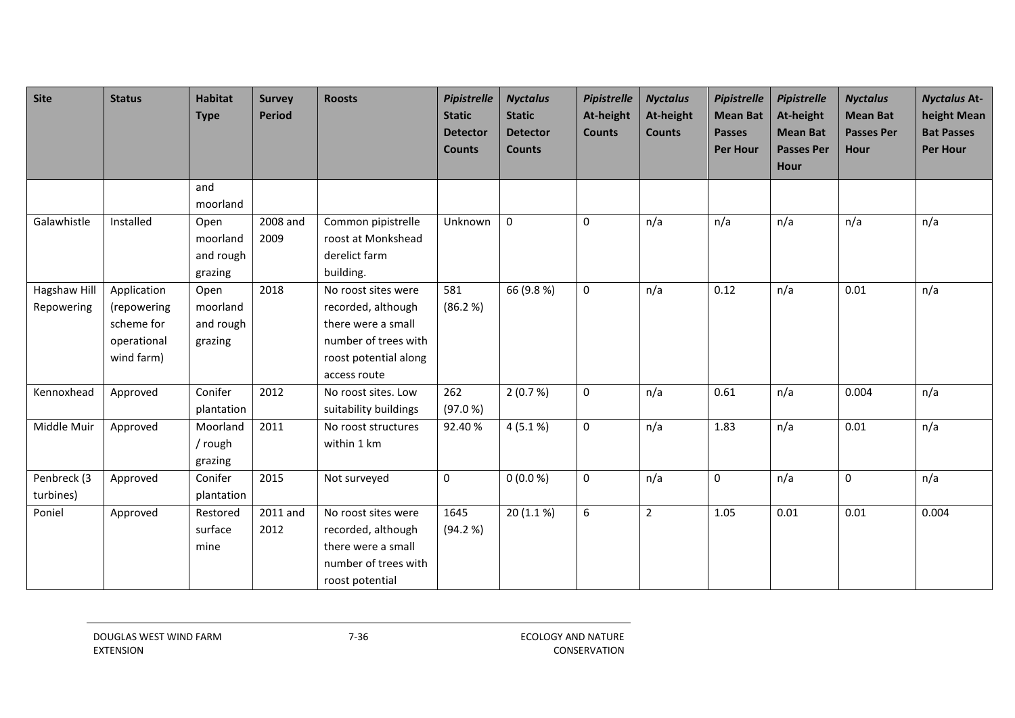| Site                              | <b>Status</b>                                                         | <b>Habitat</b><br><b>Type</b>            | <b>Survey</b><br><b>Period</b> | <b>Roosts</b>                                                                                                                    | <b>Pipistrelle</b><br><b>Static</b><br><b>Detector</b><br><b>Counts</b> | <b>Nyctalus</b><br><b>Static</b><br><b>Detector</b><br><b>Counts</b> | Pipistrelle<br>At-height<br><b>Counts</b> | <b>Nyctalus</b><br>At-height<br><b>Counts</b> | <b>Pipistrelle</b><br><b>Mean Bat</b><br><b>Passes</b><br><b>Per Hour</b> | Pipistrelle<br>At-height<br><b>Mean Bat</b><br><b>Passes Per</b><br>Hour | <b>Nyctalus</b><br><b>Mean Bat</b><br><b>Passes Per</b><br>Hour | <b>Nyctalus At-</b><br>height Mean<br><b>Bat Passes</b><br><b>Per Hour</b> |
|-----------------------------------|-----------------------------------------------------------------------|------------------------------------------|--------------------------------|----------------------------------------------------------------------------------------------------------------------------------|-------------------------------------------------------------------------|----------------------------------------------------------------------|-------------------------------------------|-----------------------------------------------|---------------------------------------------------------------------------|--------------------------------------------------------------------------|-----------------------------------------------------------------|----------------------------------------------------------------------------|
|                                   |                                                                       | and<br>moorland                          |                                |                                                                                                                                  |                                                                         |                                                                      |                                           |                                               |                                                                           |                                                                          |                                                                 |                                                                            |
| Galawhistle                       | Installed                                                             | Open<br>moorland<br>and rough<br>grazing | 2008 and<br>2009               | Common pipistrelle<br>roost at Monkshead<br>derelict farm<br>building.                                                           | Unknown                                                                 | $\mathbf 0$                                                          | $\mathbf 0$                               | n/a                                           | n/a                                                                       | n/a                                                                      | n/a                                                             | n/a                                                                        |
| <b>Hagshaw Hill</b><br>Repowering | Application<br>(repowering<br>scheme for<br>operational<br>wind farm) | Open<br>moorland<br>and rough<br>grazing | 2018                           | No roost sites were<br>recorded, although<br>there were a small<br>number of trees with<br>roost potential along<br>access route | 581<br>(86.2 %)                                                         | 66 (9.8 %)                                                           | $\mathbf 0$                               | n/a                                           | 0.12                                                                      | n/a                                                                      | 0.01                                                            | n/a                                                                        |
| Kennoxhead                        | Approved                                                              | Conifer<br>plantation                    | 2012                           | No roost sites. Low<br>suitability buildings                                                                                     | 262<br>(97.0 %)                                                         | 2(0.7%)                                                              | $\boldsymbol{0}$                          | n/a                                           | 0.61                                                                      | n/a                                                                      | 0.004                                                           | n/a                                                                        |
| Middle Muir                       | Approved                                                              | Moorland<br>/ rough<br>grazing           | 2011                           | No roost structures<br>within 1 km                                                                                               | 92.40%                                                                  | 4(5.1%                                                               | $\mathbf 0$                               | n/a                                           | 1.83                                                                      | n/a                                                                      | 0.01                                                            | n/a                                                                        |
| Penbreck (3<br>turbines)          | Approved                                                              | Conifer<br>plantation                    | 2015                           | Not surveyed                                                                                                                     | $\mathbf 0$                                                             | 0(0.0%                                                               | $\mathbf 0$                               | n/a                                           | $\mathbf 0$                                                               | n/a                                                                      | $\mathbf 0$                                                     | n/a                                                                        |
| Poniel                            | Approved                                                              | Restored<br>surface<br>mine              | 2011 and<br>2012               | No roost sites were<br>recorded, although<br>there were a small<br>number of trees with<br>roost potential                       | 1645<br>(94.2 %)                                                        | 20 (1.1 %)                                                           | $\boldsymbol{6}$                          | $\overline{2}$                                | 1.05                                                                      | 0.01                                                                     | 0.01                                                            | 0.004                                                                      |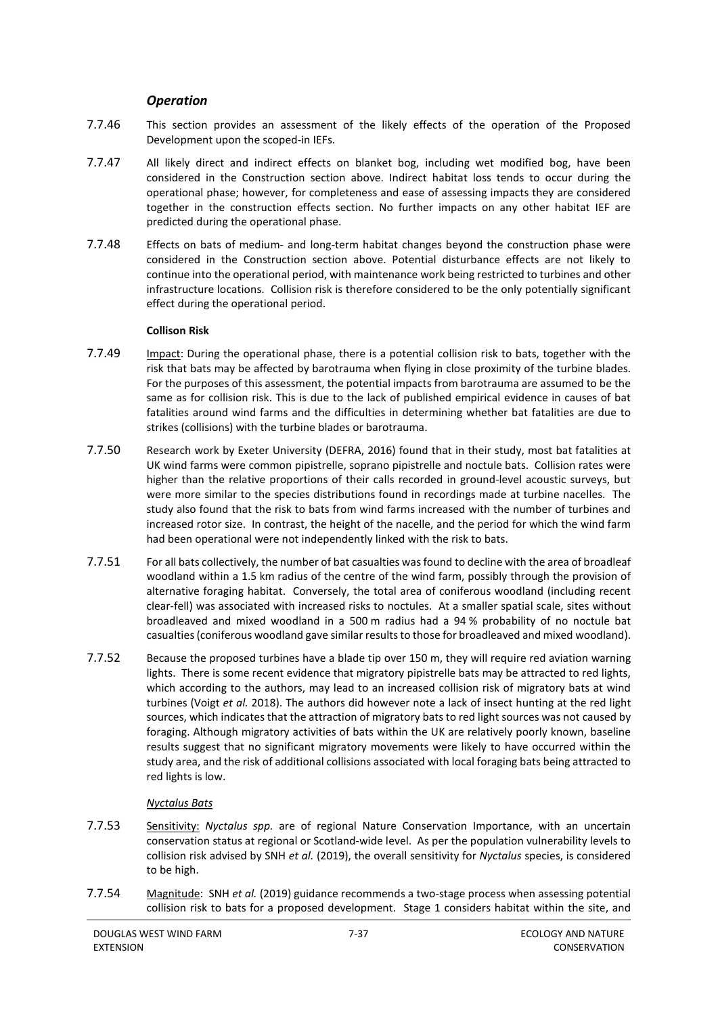## *Operation*

- 7.7.46 This section provides an assessment of the likely effects of the operation of the Proposed Development upon the scoped-in IEFs.
- 7.7.47 All likely direct and indirect effects on blanket bog, including wet modified bog, have been considered in the Construction section above. Indirect habitat loss tends to occur during the operational phase; however, for completeness and ease of assessing impacts they are considered together in the construction effects section. No further impacts on any other habitat IEF are predicted during the operational phase.
- 7.7.48 Effects on bats of medium- and long-term habitat changes beyond the construction phase were considered in the Construction section above. Potential disturbance effects are not likely to continue into the operational period, with maintenance work being restricted to turbines and other infrastructure locations. Collision risk is therefore considered to be the only potentially significant effect during the operational period.

### **Collison Risk**

- 7.7.49 Impact: During the operational phase, there is a potential collision risk to bats, together with the risk that bats may be affected by barotrauma when flying in close proximity of the turbine blades. For the purposes of this assessment, the potential impacts from barotrauma are assumed to be the same as for collision risk. This is due to the lack of published empirical evidence in causes of bat fatalities around wind farms and the difficulties in determining whether bat fatalities are due to strikes (collisions) with the turbine blades or barotrauma.
- 7.7.50 Research work by Exeter University (DEFRA, 2016) found that in their study, most bat fatalities at UK wind farms were common pipistrelle, soprano pipistrelle and noctule bats. Collision rates were higher than the relative proportions of their calls recorded in ground-level acoustic surveys, but were more similar to the species distributions found in recordings made at turbine nacelles. The study also found that the risk to bats from wind farms increased with the number of turbines and increased rotor size. In contrast, the height of the nacelle, and the period for which the wind farm had been operational were not independently linked with the risk to bats.
- 7.7.51 For all bats collectively, the number of bat casualties was found to decline with the area of broadleaf woodland within a 1.5 km radius of the centre of the wind farm, possibly through the provision of alternative foraging habitat. Conversely, the total area of coniferous woodland (including recent clear-fell) was associated with increased risks to noctules. At a smaller spatial scale, sites without broadleaved and mixed woodland in a 500 m radius had a 94 % probability of no noctule bat casualties (coniferous woodland gave similar results to those for broadleaved and mixed woodland).
- 7.7.52 Because the proposed turbines have a blade tip over 150 m, they will require red aviation warning lights. There is some recent evidence that migratory pipistrelle bats may be attracted to red lights, which according to the authors, may lead to an increased collision risk of migratory bats at wind turbines (Voigt *et al.* 2018). The authors did however note a lack of insect hunting at the red light sources, which indicates that the attraction of migratory bats to red light sources was not caused by foraging. Although migratory activities of bats within the UK are relatively poorly known, baseline results suggest that no significant migratory movements were likely to have occurred within the study area, and the risk of additional collisions associated with local foraging bats being attracted to red lights is low.

## *Nyctalus Bats*

- 7.7.53 Sensitivity: *Nyctalus spp.* are of regional Nature Conservation Importance, with an uncertain conservation status at regional or Scotland-wide level. As per the population vulnerability levels to collision risk advised by SNH *et al.* (2019), the overall sensitivity for *Nyctalus* species, is considered to be high.
- 7.7.54 Magnitude: SNH *et al.* (2019) guidance recommends a two-stage process when assessing potential collision risk to bats for a proposed development. Stage 1 considers habitat within the site, and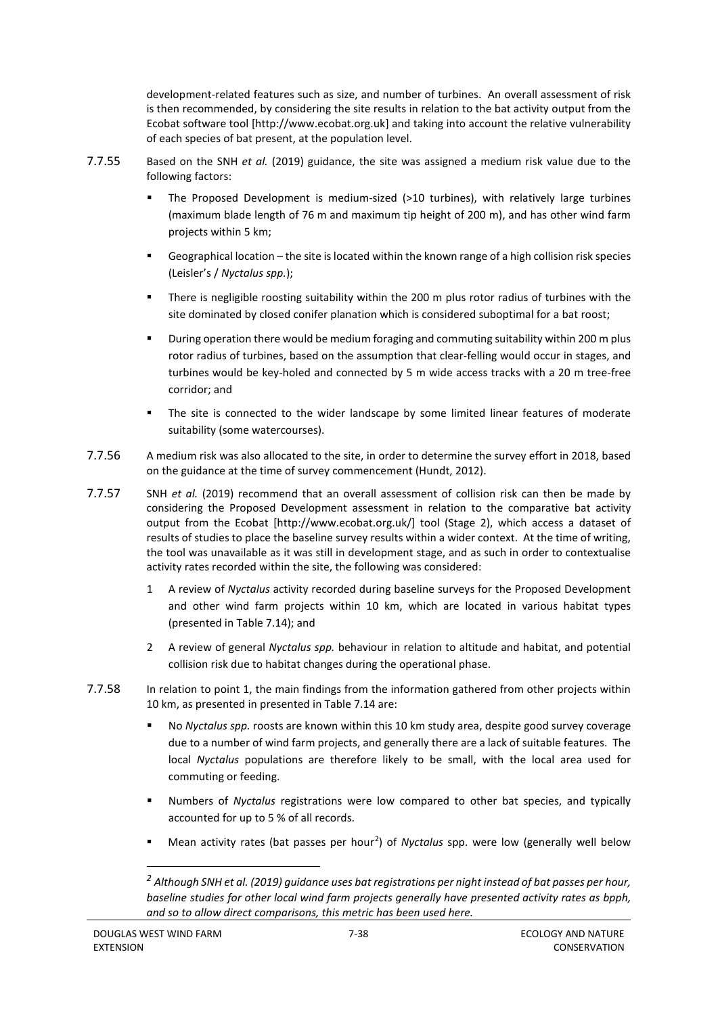development-related features such as size, and number of turbines. An overall assessment of risk is then recommended, by considering the site results in relation to the bat activity output from the Ecobat software tool [http://www.ecobat.org.uk] and taking into account the relative vulnerability of each species of bat present, at the population level.

- 7.7.55 Based on the SNH *et al.* (2019) guidance, the site was assigned a medium risk value due to the following factors:
	- The Proposed Development is medium-sized (>10 turbines), with relatively large turbines (maximum blade length of 76 m and maximum tip height of 200 m), and has other wind farm projects within 5 km;
	- Geographical location the site is located within the known range of a high collision risk species (Leisler's / *Nyctalus spp.*);
	- There is negligible roosting suitability within the 200 m plus rotor radius of turbines with the site dominated by closed conifer planation which is considered suboptimal for a bat roost;
	- During operation there would be medium foraging and commuting suitability within 200 m plus rotor radius of turbines, based on the assumption that clear-felling would occur in stages, and turbines would be key-holed and connected by 5 m wide access tracks with a 20 m tree-free corridor; and
	- The site is connected to the wider landscape by some limited linear features of moderate suitability (some watercourses).
- 7.7.56 A medium risk was also allocated to the site, in order to determine the survey effort in 2018, based on the guidance at the time of survey commencement (Hundt, 2012).
- 7.7.57 SNH *et al.* (2019) recommend that an overall assessment of collision risk can then be made by considering the Proposed Development assessment in relation to the comparative bat activity output from the Ecobat [http://www.ecobat.org.uk/] tool (Stage 2), which access a dataset of results of studies to place the baseline survey results within a wider context. At the time of writing, the tool was unavailable as it was still in development stage, and as such in order to contextualise activity rates recorded within the site, the following was considered:
	- 1 A review of *Nyctalus* activity recorded during baseline surveys for the Proposed Development and other wind farm projects within 10 km, which are located in various habitat types (presented in Table 7.14); and
	- 2 A review of general *Nyctalus spp.* behaviour in relation to altitude and habitat, and potential collision risk due to habitat changes during the operational phase.
- 7.7.58 In relation to point 1, the main findings from the information gathered from other projects within 10 km, as presented in presented in Table 7.14 are:
	- No *Nyctalus spp.* roosts are known within this 10 km study area, despite good survey coverage due to a number of wind farm projects, and generally there are a lack of suitable features. The local *Nyctalus* populations are therefore likely to be small, with the local area used for commuting or feeding.
	- Numbers of *Nyctalus* registrations were low compared to other bat species, and typically accounted for up to 5 % of all records.
	- Mean activity rates (bat passes per hour<sup>[2](#page-39-0)</sup>) of *Nyctalus* spp. were low (generally well below

<span id="page-39-0"></span>*<sup>2</sup> Although SNH et al. (2019) guidance uses bat registrations per night instead of bat passes per hour, baseline studies for other local wind farm projects generally have presented activity rates as bpph, and so to allow direct comparisons, this metric has been used here.*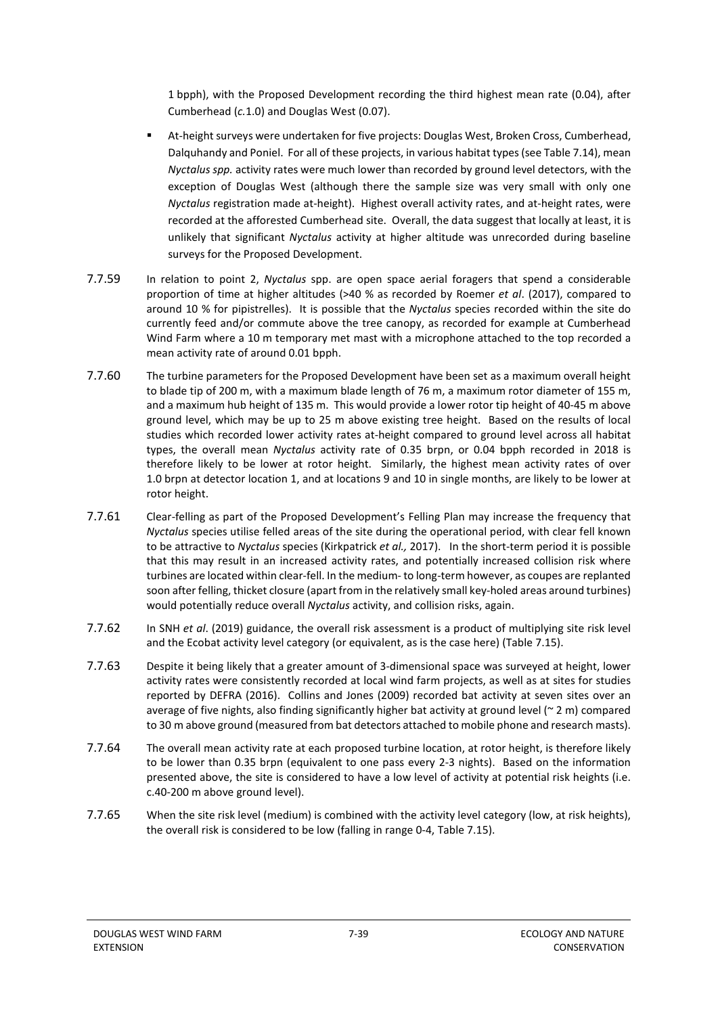1 bpph), with the Proposed Development recording the third highest mean rate (0.04), after Cumberhead (*c.*1.0) and Douglas West (0.07).

- At-height surveys were undertaken for five projects: Douglas West, Broken Cross, Cumberhead, Dalquhandy and Poniel. For all of these projects, in various habitat types(see Table 7.14), mean *Nyctalus spp.* activity rates were much lower than recorded by ground level detectors, with the exception of Douglas West (although there the sample size was very small with only one *Nyctalus* registration made at-height). Highest overall activity rates, and at-height rates, were recorded at the afforested Cumberhead site. Overall, the data suggest that locally at least, it is unlikely that significant *Nyctalus* activity at higher altitude was unrecorded during baseline surveys for the Proposed Development.
- 7.7.59 In relation to point 2, *Nyctalus* spp. are open space aerial foragers that spend a considerable proportion of time at higher altitudes (>40 % as recorded by Roemer *et al*. (2017), compared to around 10 % for pipistrelles). It is possible that the *Nyctalus* species recorded within the site do currently feed and/or commute above the tree canopy, as recorded for example at Cumberhead Wind Farm where a 10 m temporary met mast with a microphone attached to the top recorded a mean activity rate of around 0.01 bpph.
- 7.7.60 The turbine parameters for the Proposed Development have been set as a maximum overall height to blade tip of 200 m, with a maximum blade length of 76 m, a maximum rotor diameter of 155 m, and a maximum hub height of 135 m. This would provide a lower rotor tip height of 40-45 m above ground level, which may be up to 25 m above existing tree height. Based on the results of local studies which recorded lower activity rates at-height compared to ground level across all habitat types, the overall mean *Nyctalus* activity rate of 0.35 brpn, or 0.04 bpph recorded in 2018 is therefore likely to be lower at rotor height. Similarly, the highest mean activity rates of over 1.0 brpn at detector location 1, and at locations 9 and 10 in single months, are likely to be lower at rotor height.
- 7.7.61 Clear-felling as part of the Proposed Development's Felling Plan may increase the frequency that *Nyctalus* species utilise felled areas of the site during the operational period, with clear fell known to be attractive to *Nyctalus* species (Kirkpatrick *et al.,* 2017). In the short-term period it is possible that this may result in an increased activity rates, and potentially increased collision risk where turbines are located within clear-fell. In the medium- to long-term however, as coupes are replanted soon after felling, thicket closure (apart from in the relatively small key-holed areas around turbines) would potentially reduce overall *Nyctalus* activity, and collision risks, again.
- 7.7.62 In SNH *et al*. (2019) guidance, the overall risk assessment is a product of multiplying site risk level and the Ecobat activity level category (or equivalent, as is the case here) (Table 7.15).
- 7.7.63 Despite it being likely that a greater amount of 3-dimensional space was surveyed at height, lower activity rates were consistently recorded at local wind farm projects, as well as at sites for studies reported by DEFRA (2016). Collins and Jones (2009) recorded bat activity at seven sites over an average of five nights, also finding significantly higher bat activity at ground level (~ 2 m) compared to 30 m above ground (measured from bat detectors attached to mobile phone and research masts).
- 7.7.64 The overall mean activity rate at each proposed turbine location, at rotor height, is therefore likely to be lower than 0.35 brpn (equivalent to one pass every 2-3 nights). Based on the information presented above, the site is considered to have a low level of activity at potential risk heights (i.e. c.40-200 m above ground level).
- 7.7.65 When the site risk level (medium) is combined with the activity level category (low, at risk heights), the overall risk is considered to be low (falling in range 0-4, Table 7.15).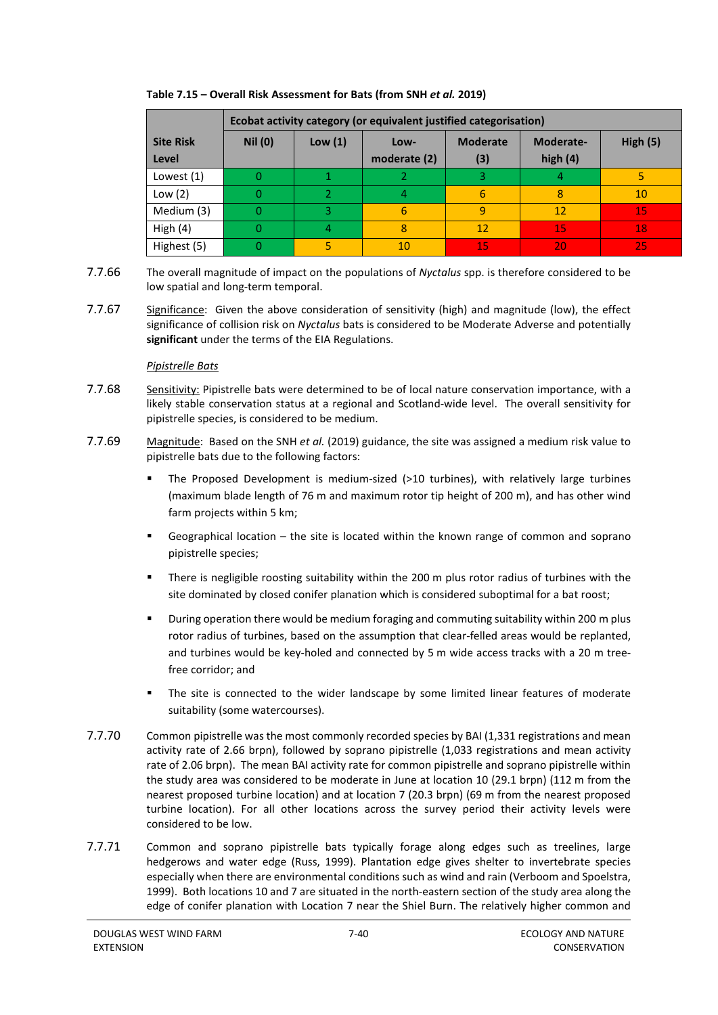|                           | Ecobat activity category (or equivalent justified categorisation) |               |                      |                        |                         |         |  |  |  |  |
|---------------------------|-------------------------------------------------------------------|---------------|----------------------|------------------------|-------------------------|---------|--|--|--|--|
| <b>Site Risk</b><br>Level | <b>Nil (0)</b>                                                    | Low $(1)$     | Low-<br>moderate (2) | <b>Moderate</b><br>(3) | Moderate-<br>high $(4)$ | High(5) |  |  |  |  |
| Lowest $(1)$              |                                                                   |               |                      |                        | 4                       |         |  |  |  |  |
| Low $(2)$                 | 0                                                                 | $\mathcal{P}$ | 4                    | 6                      | 8                       | 10      |  |  |  |  |
| Medium (3)                | 0                                                                 | 3             | 6                    | ٩                      | 12                      | 15      |  |  |  |  |
| High $(4)$                | 0                                                                 | 4             | 8                    | 12                     | 15                      | 18      |  |  |  |  |
| Highest (5)               | 0                                                                 | ц             | 10                   | 15                     | 20                      | 25      |  |  |  |  |

## **Table 7.15 – Overall Risk Assessment for Bats (from SNH** *et al.* **2019)**

- 7.7.66 The overall magnitude of impact on the populations of *Nyctalus* spp. is therefore considered to be low spatial and long-term temporal.
- 7.7.67 Significance: Given the above consideration of sensitivity (high) and magnitude (low), the effect significance of collision risk on *Nyctalus* bats is considered to be Moderate Adverse and potentially **significant** under the terms of the EIA Regulations.

### *Pipistrelle Bats*

- 7.7.68 Sensitivity: Pipistrelle bats were determined to be of local nature conservation importance, with a likely stable conservation status at a regional and Scotland-wide level. The overall sensitivity for pipistrelle species, is considered to be medium.
- 7.7.69 Magnitude: Based on the SNH *et al.* (2019) guidance, the site was assigned a medium risk value to pipistrelle bats due to the following factors:
	- The Proposed Development is medium-sized (>10 turbines), with relatively large turbines (maximum blade length of 76 m and maximum rotor tip height of 200 m), and has other wind farm projects within 5 km;
	- Geographical location the site is located within the known range of common and soprano pipistrelle species;
	- There is negligible roosting suitability within the 200 m plus rotor radius of turbines with the site dominated by closed conifer planation which is considered suboptimal for a bat roost;
	- **•** During operation there would be medium foraging and commuting suitability within 200 m plus rotor radius of turbines, based on the assumption that clear-felled areas would be replanted, and turbines would be key-holed and connected by 5 m wide access tracks with a 20 m treefree corridor; and
	- The site is connected to the wider landscape by some limited linear features of moderate suitability (some watercourses).
- 7.7.70 Common pipistrelle was the most commonly recorded species by BAI (1,331 registrations and mean activity rate of 2.66 brpn), followed by soprano pipistrelle (1,033 registrations and mean activity rate of 2.06 brpn). The mean BAI activity rate for common pipistrelle and soprano pipistrelle within the study area was considered to be moderate in June at location 10 (29.1 brpn) (112 m from the nearest proposed turbine location) and at location 7 (20.3 brpn) (69 m from the nearest proposed turbine location). For all other locations across the survey period their activity levels were considered to be low.
- 7.7.71 Common and soprano pipistrelle bats typically forage along edges such as treelines, large hedgerows and water edge (Russ, 1999). Plantation edge gives shelter to invertebrate species especially when there are environmental conditions such as wind and rain (Verboom and Spoelstra, 1999). Both locations 10 and 7 are situated in the north-eastern section of the study area along the edge of conifer planation with Location 7 near the Shiel Burn. The relatively higher common and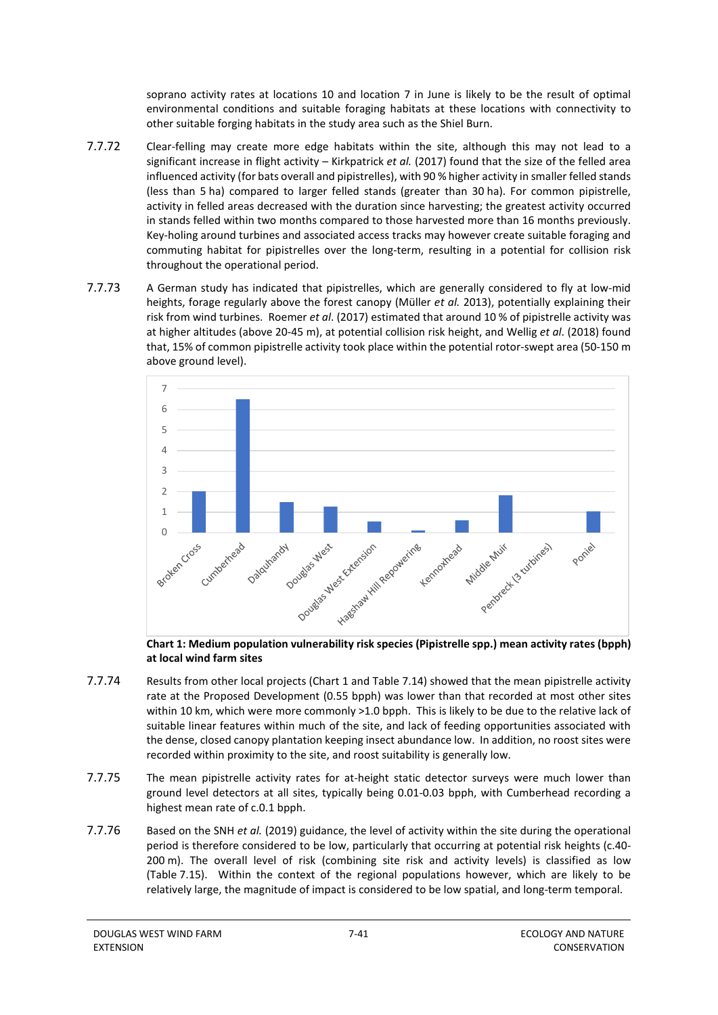soprano activity rates at locations 10 and location 7 in June is likely to be the result of optimal environmental conditions and suitable foraging habitats at these locations with connectivity to other suitable forging habitats in the study area such as the Shiel Burn.

- 7.7.72 Clear-felling may create more edge habitats within the site, although this may not lead to a significant increase in flight activity – Kirkpatrick *et al.* (2017) found that the size of the felled area influenced activity (for bats overall and pipistrelles), with 90 % higher activity in smaller felled stands (less than 5 ha) compared to larger felled stands (greater than 30 ha). For common pipistrelle, activity in felled areas decreased with the duration since harvesting; the greatest activity occurred in stands felled within two months compared to those harvested more than 16 months previously. Key-holing around turbines and associated access tracks may however create suitable foraging and commuting habitat for pipistrelles over the long-term, resulting in a potential for collision risk throughout the operational period.
- 7.7.73 A German study has indicated that pipistrelles, which are generally considered to fly at low-mid heights, forage regularly above the forest canopy (Müller *et al.* 2013), potentially explaining their risk from wind turbines. Roemer *et al*. (2017) estimated that around 10 % of pipistrelle activity was at higher altitudes (above 20-45 m), at potential collision risk height, and Wellig *et al*. (2018) found that, 15% of common pipistrelle activity took place within the potential rotor-swept area (50-150 m above ground level).



**Chart 1: Medium population vulnerability risk species (Pipistrelle spp.) mean activity rates (bpph) at local wind farm sites**

- 7.7.74 Results from other local projects (Chart 1 and Table 7.14) showed that the mean pipistrelle activity rate at the Proposed Development (0.55 bpph) was lower than that recorded at most other sites within 10 km, which were more commonly >1.0 bpph. This is likely to be due to the relative lack of suitable linear features within much of the site, and lack of feeding opportunities associated with the dense, closed canopy plantation keeping insect abundance low. In addition, no roost sites were recorded within proximity to the site, and roost suitability is generally low.
- 7.7.75 The mean pipistrelle activity rates for at-height static detector surveys were much lower than ground level detectors at all sites, typically being 0.01-0.03 bpph, with Cumberhead recording a highest mean rate of c.0.1 bpph.
- 7.7.76 Based on the SNH *et al.* (2019) guidance, the level of activity within the site during the operational period is therefore considered to be low, particularly that occurring at potential risk heights (c.40- 200 m). The overall level of risk (combining site risk and activity levels) is classified as low (Table 7.15). Within the context of the regional populations however, which are likely to be relatively large, the magnitude of impact is considered to be low spatial, and long-term temporal.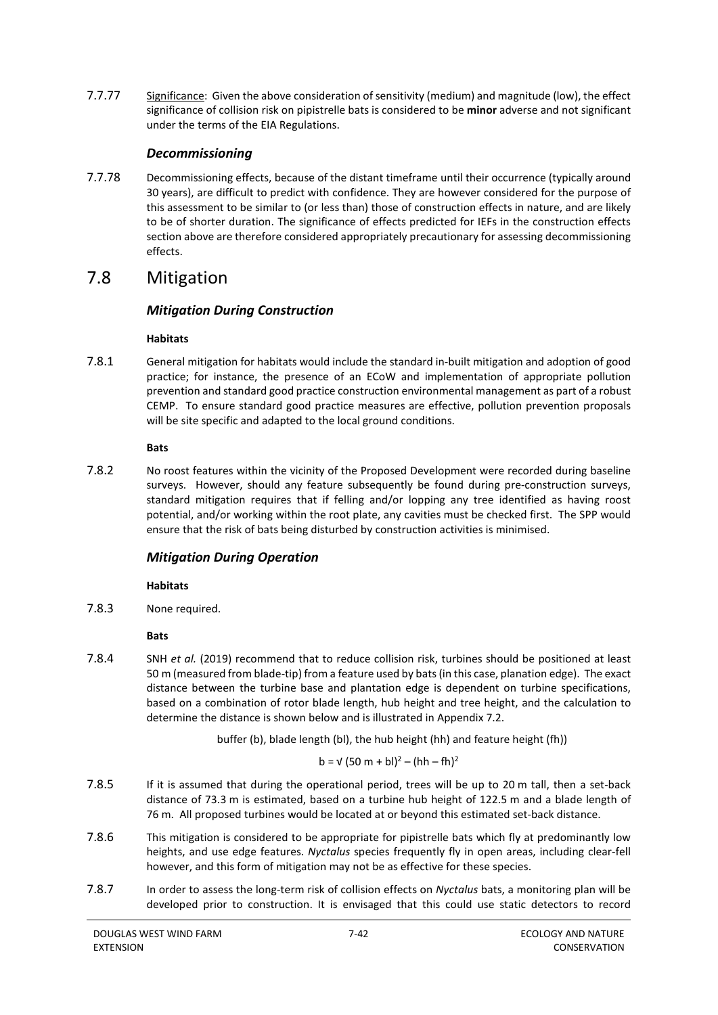7.7.77 Significance: Given the above consideration of sensitivity (medium) and magnitude (low), the effect significance of collision risk on pipistrelle bats is considered to be **minor** adverse and not significant under the terms of the EIA Regulations.

# *Decommissioning*

7.7.78 Decommissioning effects, because of the distant timeframe until their occurrence (typically around 30 years), are difficult to predict with confidence. They are however considered for the purpose of this assessment to be similar to (or less than) those of construction effects in nature, and are likely to be of shorter duration. The significance of effects predicted for IEFs in the construction effects section above are therefore considered appropriately precautionary for assessing decommissioning effects.

# <span id="page-43-0"></span>7.8 Mitigation

# *Mitigation During Construction*

## **Habitats**

7.8.1 General mitigation for habitats would include the standard in-built mitigation and adoption of good practice; for instance, the presence of an ECoW and implementation of appropriate pollution prevention and standard good practice construction environmental management as part of a robust CEMP. To ensure standard good practice measures are effective, pollution prevention proposals will be site specific and adapted to the local ground conditions.

### **Bats**

7.8.2 No roost features within the vicinity of the Proposed Development were recorded during baseline surveys. However, should any feature subsequently be found during pre-construction surveys, standard mitigation requires that if felling and/or lopping any tree identified as having roost potential, and/or working within the root plate, any cavities must be checked first. The SPP would ensure that the risk of bats being disturbed by construction activities is minimised.

# *Mitigation During Operation*

# **Habitats**

7.8.3 None required.

## **Bats**

7.8.4 SNH *et al.* (2019) recommend that to reduce collision risk, turbines should be positioned at least 50 m (measured from blade-tip) from a feature used by bats (in this case, planation edge). The exact distance between the turbine base and plantation edge is dependent on turbine specifications, based on a combination of rotor blade length, hub height and tree height, and the calculation to determine the distance is shown below and is illustrated in Appendix 7.2.

buffer (b), blade length (bl), the hub height (hh) and feature height (fh))

## $b = \sqrt{(50 \text{ m} + \text{bl})^2 - (\text{hh} - \text{fh})^2}$

- 7.8.5 If it is assumed that during the operational period, trees will be up to 20 m tall, then a set-back distance of 73.3 m is estimated, based on a turbine hub height of 122.5 m and a blade length of 76 m. All proposed turbines would be located at or beyond this estimated set-back distance.
- 7.8.6 This mitigation is considered to be appropriate for pipistrelle bats which fly at predominantly low heights, and use edge features. *Nyctalus* species frequently fly in open areas, including clear-fell however, and this form of mitigation may not be as effective for these species.
- 7.8.7 In order to assess the long-term risk of collision effects on *Nyctalus* bats, a monitoring plan will be developed prior to construction. It is envisaged that this could use static detectors to record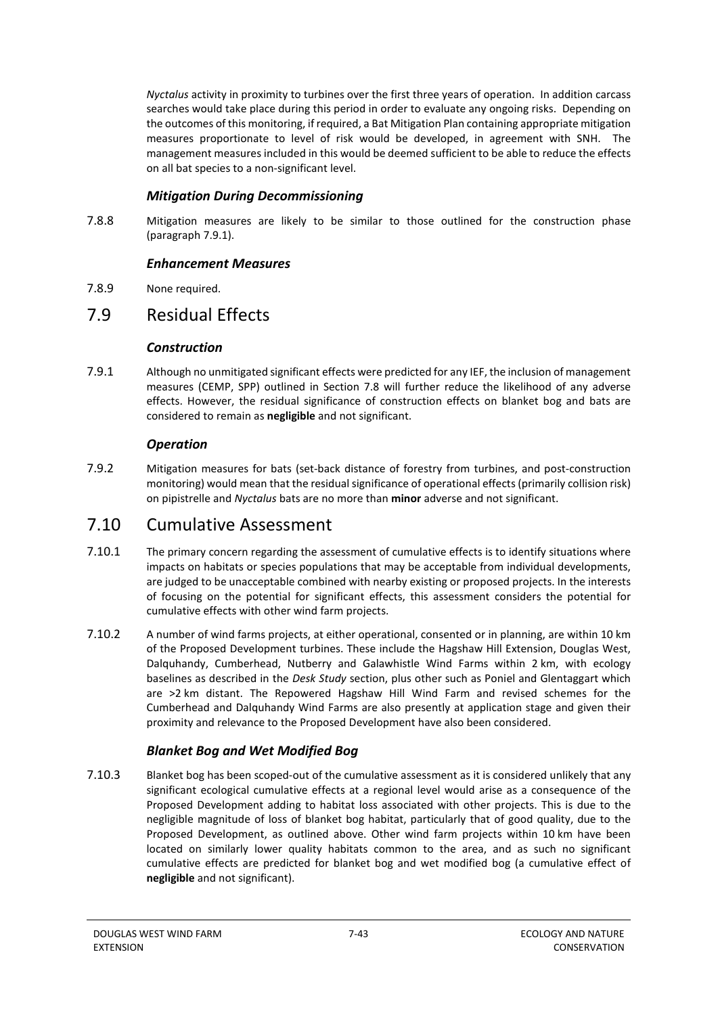*Nyctalus* activity in proximity to turbines over the first three years of operation. In addition carcass searches would take place during this period in order to evaluate any ongoing risks. Depending on the outcomes of this monitoring, if required, a Bat Mitigation Plan containing appropriate mitigation measures proportionate to level of risk would be developed, in agreement with SNH. The management measures included in this would be deemed sufficient to be able to reduce the effects on all bat species to a non-significant level.

# *Mitigation During Decommissioning*

7.8.8 Mitigation measures are likely to be similar to those outlined for the construction phase (paragraph 7.9.1).

## *Enhancement Measures*

- 7.8.9 None required.
- <span id="page-44-0"></span>7.9 Residual Effects

## *Construction*

7.9.1 Although no unmitigated significant effects were predicted for any IEF, the inclusion of management measures (CEMP, SPP) outlined in Section [7.8](#page-43-0) will further reduce the likelihood of any adverse effects. However, the residual significance of construction effects on blanket bog and bats are considered to remain as **negligible** and not significant.

## *Operation*

7.9.2 Mitigation measures for bats (set-back distance of forestry from turbines, and post-construction monitoring) would mean that the residual significance of operational effects (primarily collision risk) on pipistrelle and *Nyctalus* bats are no more than **minor** adverse and not significant.

# <span id="page-44-1"></span>7.10 Cumulative Assessment

- 7.10.1 The primary concern regarding the assessment of cumulative effects is to identify situations where impacts on habitats or species populations that may be acceptable from individual developments, are judged to be unacceptable combined with nearby existing or proposed projects. In the interests of focusing on the potential for significant effects, this assessment considers the potential for cumulative effects with other wind farm projects.
- 7.10.2 A number of wind farms projects, at either operational, consented or in planning, are within 10 km of the Proposed Development turbines. These include the Hagshaw Hill Extension, Douglas West, Dalquhandy, Cumberhead, Nutberry and Galawhistle Wind Farms within 2 km, with ecology baselines as described in the *Desk Study* section, plus other such as Poniel and Glentaggart which are >2 km distant. The Repowered Hagshaw Hill Wind Farm and revised schemes for the Cumberhead and Dalquhandy Wind Farms are also presently at application stage and given their proximity and relevance to the Proposed Development have also been considered.

# *Blanket Bog and Wet Modified Bog*

7.10.3 Blanket bog has been scoped-out of the cumulative assessment as it is considered unlikely that any significant ecological cumulative effects at a regional level would arise as a consequence of the Proposed Development adding to habitat loss associated with other projects. This is due to the negligible magnitude of loss of blanket bog habitat, particularly that of good quality, due to the Proposed Development, as outlined above. Other wind farm projects within 10 km have been located on similarly lower quality habitats common to the area, and as such no significant cumulative effects are predicted for blanket bog and wet modified bog (a cumulative effect of **negligible** and not significant).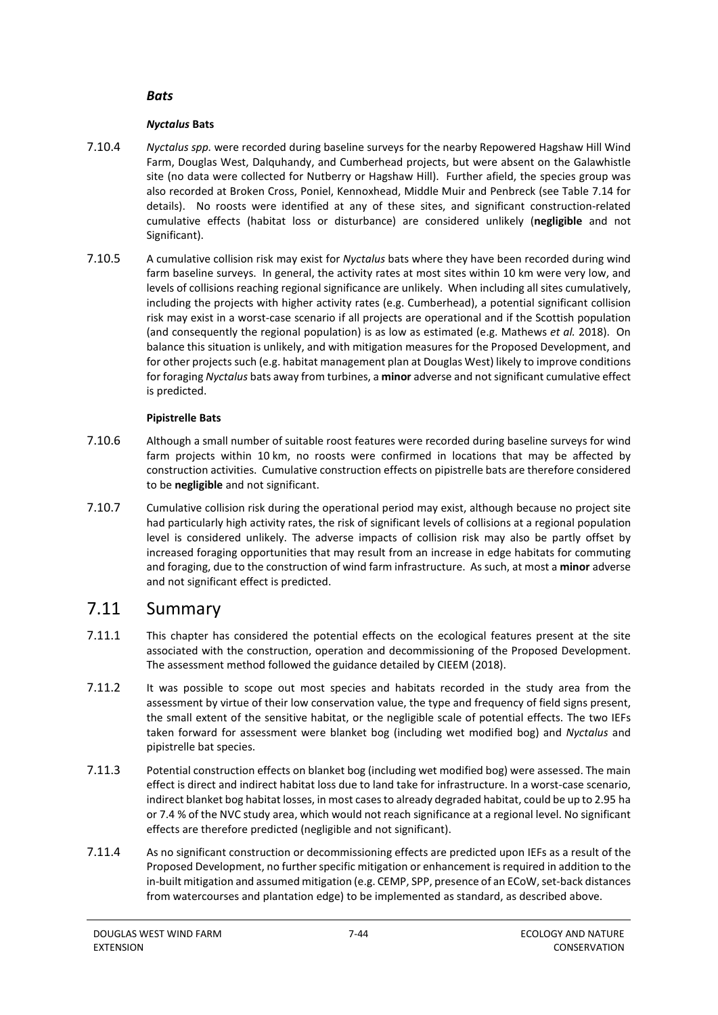## *Bats*

### *Nyctalus* **Bats**

- 7.10.4 *Nyctalus spp.* were recorded during baseline surveys for the nearby Repowered Hagshaw Hill Wind Farm, Douglas West, Dalquhandy, and Cumberhead projects, but were absent on the Galawhistle site (no data were collected for Nutberry or Hagshaw Hill). Further afield, the species group was also recorded at Broken Cross, Poniel, Kennoxhead, Middle Muir and Penbreck (see Table 7.14 for details). No roosts were identified at any of these sites, and significant construction-related cumulative effects (habitat loss or disturbance) are considered unlikely (**negligible** and not Significant).
- 7.10.5 A cumulative collision risk may exist for *Nyctalus* bats where they have been recorded during wind farm baseline surveys. In general, the activity rates at most sites within 10 km were very low, and levels of collisions reaching regional significance are unlikely. When including all sites cumulatively, including the projects with higher activity rates (e.g. Cumberhead), a potential significant collision risk may exist in a worst-case scenario if all projects are operational and if the Scottish population (and consequently the regional population) is as low as estimated (e.g. Mathews *et al.* 2018). On balance this situation is unlikely, and with mitigation measures for the Proposed Development, and for other projects such (e.g. habitat management plan at Douglas West) likely to improve conditions for foraging *Nyctalus* bats away from turbines, a **minor** adverse and not significant cumulative effect is predicted.

## **Pipistrelle Bats**

- 7.10.6 Although a small number of suitable roost features were recorded during baseline surveys for wind farm projects within 10 km, no roosts were confirmed in locations that may be affected by construction activities. Cumulative construction effects on pipistrelle bats are therefore considered to be **negligible** and not significant.
- 7.10.7 Cumulative collision risk during the operational period may exist, although because no project site had particularly high activity rates, the risk of significant levels of collisions at a regional population level is considered unlikely. The adverse impacts of collision risk may also be partly offset by increased foraging opportunities that may result from an increase in edge habitats for commuting and foraging, due to the construction of wind farm infrastructure. As such, at most a **minor** adverse and not significant effect is predicted.

# <span id="page-45-0"></span>7.11 Summary

- 7.11.1 This chapter has considered the potential effects on the ecological features present at the site associated with the construction, operation and decommissioning of the Proposed Development. The assessment method followed the guidance detailed by CIEEM (2018).
- 7.11.2 It was possible to scope out most species and habitats recorded in the study area from the assessment by virtue of their low conservation value, the type and frequency of field signs present, the small extent of the sensitive habitat, or the negligible scale of potential effects. The two IEFs taken forward for assessment were blanket bog (including wet modified bog) and *Nyctalus* and pipistrelle bat species.
- 7.11.3 Potential construction effects on blanket bog (including wet modified bog) were assessed. The main effect is direct and indirect habitat loss due to land take for infrastructure. In a worst-case scenario, indirect blanket bog habitat losses, in most cases to already degraded habitat, could be up to 2.95 ha or 7.4 % of the NVC study area, which would not reach significance at a regional level. No significant effects are therefore predicted (negligible and not significant).
- 7.11.4 As no significant construction or decommissioning effects are predicted upon IEFs as a result of the Proposed Development, no further specific mitigation or enhancement is required in addition to the in-built mitigation and assumed mitigation (e.g. CEMP, SPP, presence of an ECoW, set-back distances from watercourses and plantation edge) to be implemented as standard, as described above.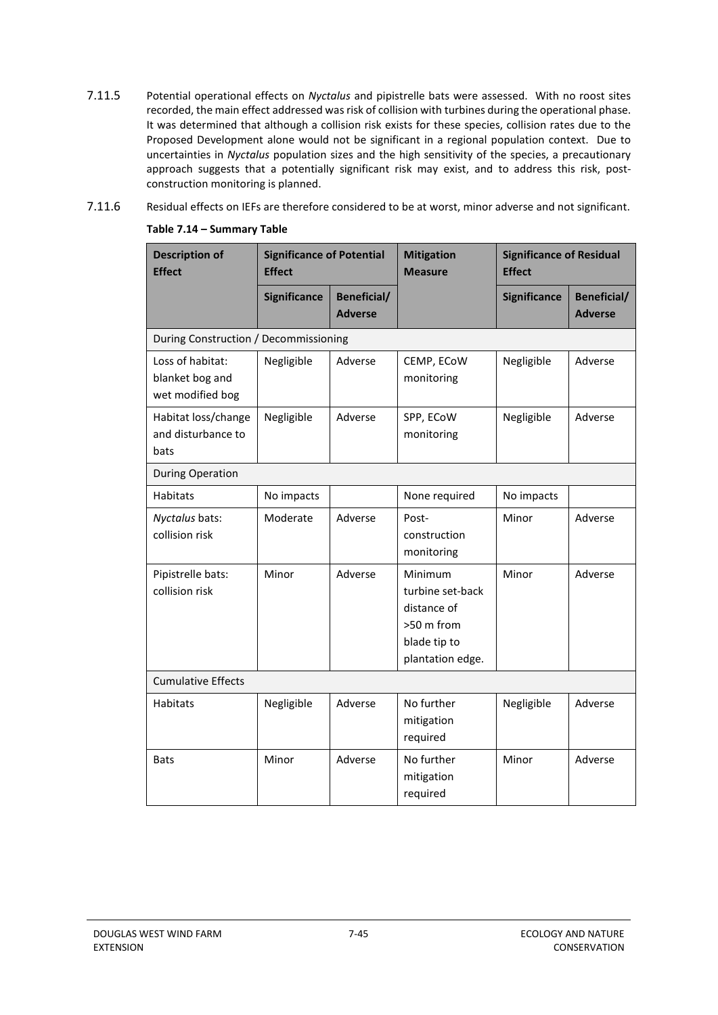- 7.11.5 Potential operational effects on *Nyctalus* and pipistrelle bats were assessed. With no roost sites recorded, the main effect addressed was risk of collision with turbines during the operational phase. It was determined that although a collision risk exists for these species, collision rates due to the Proposed Development alone would not be significant in a regional population context. Due to uncertainties in *Nyctalus* population sizes and the high sensitivity of the species, a precautionary approach suggests that a potentially significant risk may exist, and to address this risk, postconstruction monitoring is planned.
- 7.11.6 Residual effects on IEFs are therefore considered to be at worst, minor adverse and not significant.

| <b>Description of</b><br><b>Effect</b>                  | <b>Significance of Potential</b><br><b>Effect</b> |                                      | <b>Mitigation</b><br><b>Measure</b>                                                          | <b>Significance of Residual</b><br><b>Effect</b> |                                      |  |  |  |  |  |
|---------------------------------------------------------|---------------------------------------------------|--------------------------------------|----------------------------------------------------------------------------------------------|--------------------------------------------------|--------------------------------------|--|--|--|--|--|
|                                                         | Significance                                      | <b>Beneficial/</b><br><b>Adverse</b> |                                                                                              | <b>Significance</b>                              | <b>Beneficial/</b><br><b>Adverse</b> |  |  |  |  |  |
| During Construction / Decommissioning                   |                                                   |                                      |                                                                                              |                                                  |                                      |  |  |  |  |  |
| Loss of habitat:<br>blanket bog and<br>wet modified bog | Negligible                                        | Adverse                              | CEMP, ECoW<br>monitoring                                                                     | Negligible                                       | Adverse                              |  |  |  |  |  |
| Habitat loss/change<br>and disturbance to<br>bats       | Negligible                                        | Adverse                              | SPP, ECoW<br>monitoring                                                                      | Negligible                                       | Adverse                              |  |  |  |  |  |
| <b>During Operation</b>                                 |                                                   |                                      |                                                                                              |                                                  |                                      |  |  |  |  |  |
| <b>Habitats</b>                                         | No impacts                                        |                                      | None required                                                                                | No impacts                                       |                                      |  |  |  |  |  |
| Nyctalus bats:<br>collision risk                        | Moderate                                          | Adverse                              | Post-<br>construction<br>monitoring                                                          | Minor                                            | Adverse                              |  |  |  |  |  |
| Pipistrelle bats:<br>collision risk                     | Minor                                             | Adverse                              | Minimum<br>turbine set-back<br>distance of<br>>50 m from<br>blade tip to<br>plantation edge. | Minor                                            | Adverse                              |  |  |  |  |  |
| <b>Cumulative Effects</b>                               |                                                   |                                      |                                                                                              |                                                  |                                      |  |  |  |  |  |
| Habitats                                                | Negligible                                        | Adverse                              | No further<br>mitigation<br>required                                                         | Negligible                                       | Adverse                              |  |  |  |  |  |
| <b>Bats</b>                                             | Minor                                             | Adverse                              | No further<br>mitigation<br>required                                                         | Minor                                            | Adverse                              |  |  |  |  |  |

### **Table 7.14 – Summary Table**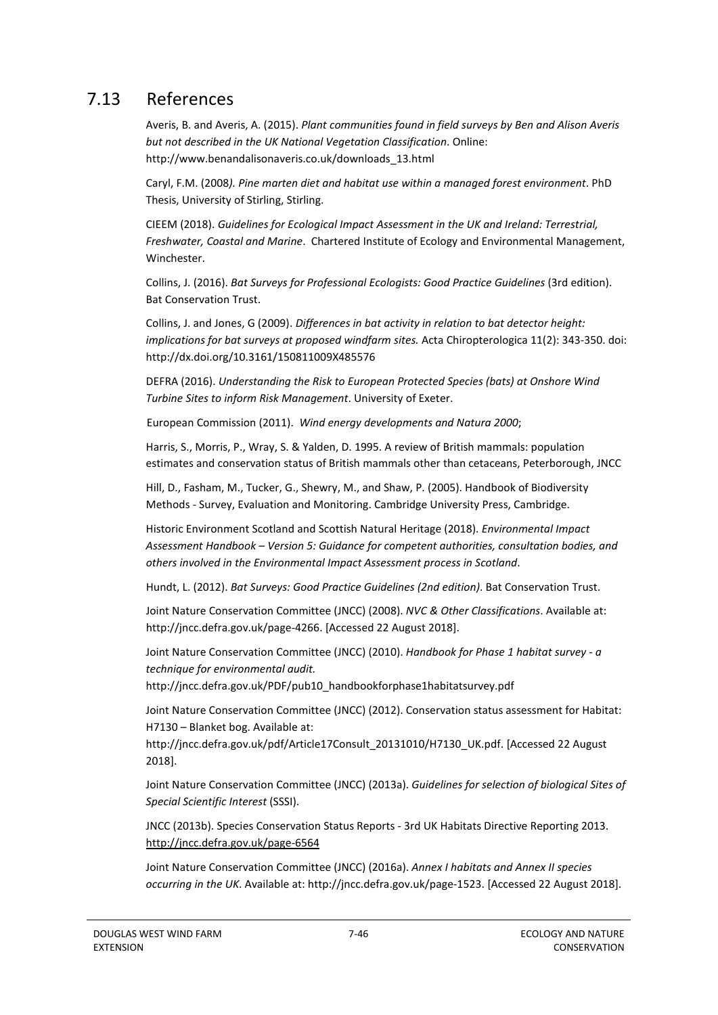# <span id="page-47-0"></span>7.13 References

Averis, B. and Averis, A. (2015). *Plant communities found in field surveys by Ben and Alison Averis but not described in the UK National Vegetation Classification*. Online: http://www.benandalisonaveris.co.uk/downloads\_13.html

Caryl, F.M. (2008*). Pine marten diet and habitat use within a managed forest environment*. PhD Thesis, University of Stirling, Stirling.

CIEEM (2018). *Guidelines for Ecological Impact Assessment in the UK and Ireland: Terrestrial, Freshwater, Coastal and Marine*. Chartered Institute of Ecology and Environmental Management, Winchester.

Collins, J. (2016). *Bat Surveys for Professional Ecologists: Good Practice Guidelines* (3rd edition). Bat Conservation Trust.

Collins, J. and Jones, G (2009). *Differences in bat activity in relation to bat detector height: implications for bat surveys at proposed windfarm sites.* Acta Chiropterologica 11(2): 343-350. doi: http://dx.doi.org/10.3161/150811009X485576

DEFRA (2016). *Understanding the Risk to European Protected Species (bats) at Onshore Wind Turbine Sites to inform Risk Management*. University of Exeter.

European Commission (2011). *Wind energy developments and Natura 2000*;

Harris, S., Morris, P., Wray, S. & Yalden, D. 1995. A review of British mammals: population estimates and conservation status of British mammals other than cetaceans, Peterborough, JNCC

Hill, D., Fasham, M., Tucker, G., Shewry, M., and Shaw, P. (2005). Handbook of Biodiversity Methods - Survey, Evaluation and Monitoring. Cambridge University Press, Cambridge.

Historic Environment Scotland and Scottish Natural Heritage (2018). *Environmental Impact Assessment Handbook – Version 5: Guidance for competent authorities, consultation bodies, and others involved in the Environmental Impact Assessment process in Scotland*.

Hundt, L. (2012). *Bat Surveys: Good Practice Guidelines (2nd edition)*. Bat Conservation Trust.

Joint Nature Conservation Committee (JNCC) (2008). *NVC & Other Classifications*. Available at: http://jncc.defra.gov.uk/page-4266. [Accessed 22 August 2018].

Joint Nature Conservation Committee (JNCC) (2010). *Handbook for Phase 1 habitat survey - a technique for environmental audit.*

http://jncc.defra.gov.uk/PDF/pub10\_handbookforphase1habitatsurvey.pdf

Joint Nature Conservation Committee (JNCC) (2012). Conservation status assessment for Habitat: H7130 – Blanket bog. Available at:

http://jncc.defra.gov.uk/pdf/Article17Consult\_20131010/H7130\_UK.pdf. [Accessed 22 August 2018].

Joint Nature Conservation Committee (JNCC) (2013a). *Guidelines for selection of biological Sites of Special Scientific Interest* (SSSI).

JNCC (2013b). Species Conservation Status Reports - 3rd UK Habitats Directive Reporting 2013. http://jncc.defra.gov.uk/page-6564

Joint Nature Conservation Committee (JNCC) (2016a). *Annex I habitats and Annex II species occurring in the UK*. Available at: http://jncc.defra.gov.uk/page-1523. [Accessed 22 August 2018].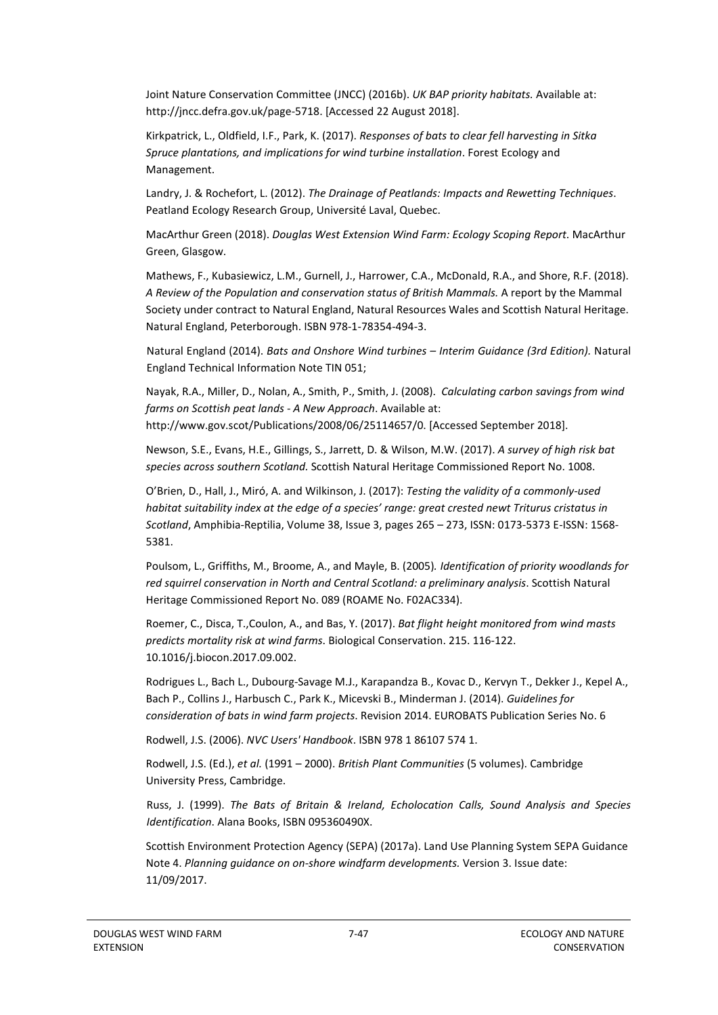Joint Nature Conservation Committee (JNCC) (2016b). *UK BAP priority habitats.* Available at: http://jncc.defra.gov.uk/page-5718. [Accessed 22 August 2018].

Kirkpatrick, L., Oldfield, I.F., Park, K. (2017). *Responses of bats to clear fell harvesting in Sitka Spruce plantations, and implications for wind turbine installation*. Forest Ecology and Management.

Landry, J. & Rochefort, L. (2012). *The Drainage of Peatlands: Impacts and Rewetting Techniques*. Peatland Ecology Research Group, Université Laval, Quebec.

MacArthur Green (2018). *Douglas West Extension Wind Farm: Ecology Scoping Report*. MacArthur Green, Glasgow.

Mathews, F., Kubasiewicz, L.M., Gurnell, J., Harrower, C.A., McDonald, R.A., and Shore, R.F. (2018). *A Review of the Population and conservation status of British Mammals.* A report by the Mammal Society under contract to Natural England, Natural Resources Wales and Scottish Natural Heritage. Natural England, Peterborough. ISBN 978-1-78354-494-3.

Natural England (2014). *Bats and Onshore Wind turbines – Interim Guidance (3rd Edition).* Natural England Technical Information Note TIN 051;

Nayak, R.A., Miller, D., Nolan, A., Smith, P., Smith, J. (2008). *Calculating carbon savings from wind farms on Scottish peat lands - A New Approach*. Available at: http://www.gov.scot/Publications/2008/06/25114657/0. [Accessed September 2018].

Newson, S.E., Evans, H.E., Gillings, S., Jarrett, D. & Wilson, M.W. (2017). *A survey of high risk bat species across southern Scotland.* Scottish Natural Heritage Commissioned Report No. 1008.

O'Brien, D., Hall, J., Miró, A. and Wilkinson, J. (2017): *Testing the validity of a commonly-used habitat suitability index at the edge of a species' range: great crested newt Triturus cristatus in Scotland*, Amphibia-Reptilia, Volume 38, Issue 3, pages 265 – 273, ISSN: 0173-5373 E-ISSN: 1568- 5381.

Poulsom, L., Griffiths, M., Broome, A., and Mayle, B. (2005)*. Identification of priority woodlands for red squirrel conservation in North and Central Scotland: a preliminary analysis*. Scottish Natural Heritage Commissioned Report No. 089 (ROAME No. F02AC334).

Roemer, C., Disca, T.,Coulon, A., and Bas, Y. (2017). *Bat flight height monitored from wind masts predicts mortality risk at wind farms*. Biological Conservation. 215. 116-122. 10.1016/j.biocon.2017.09.002.

Rodrigues L., Bach L., Dubourg-Savage M.J., Karapandza B., Kovac D., Kervyn T., Dekker J., Kepel A., Bach P., Collins J., Harbusch C., Park K., Micevski B., Minderman J. (2014). *Guidelines for consideration of bats in wind farm projects*. Revision 2014. EUROBATS Publication Series No. 6

Rodwell, J.S. (2006). *NVC Users' Handbook*. ISBN 978 1 86107 574 1.

Rodwell, J.S. (Ed.), *et al.* (1991 – 2000). *British Plant Communities* (5 volumes). Cambridge University Press, Cambridge.

Russ, J. (1999). *The Bats of Britain & Ireland, Echolocation Calls, Sound Analysis and Species Identification*. Alana Books, ISBN 095360490X.

Scottish Environment Protection Agency (SEPA) (2017a). Land Use Planning System SEPA Guidance Note 4. *Planning guidance on on-shore windfarm developments.* Version 3. Issue date: 11/09/2017.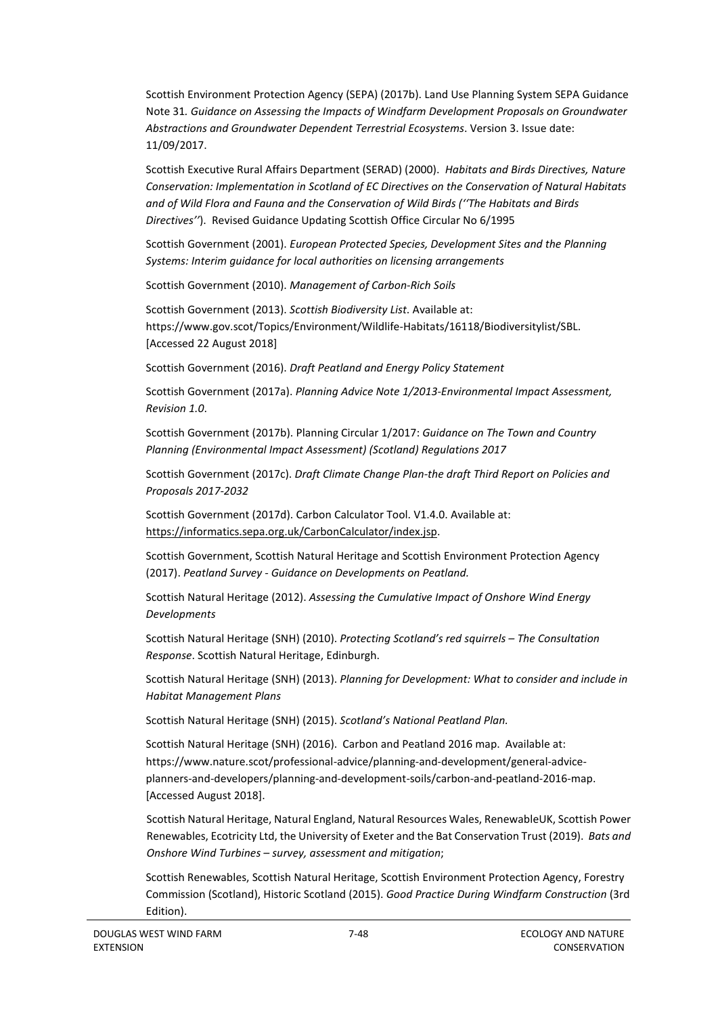Scottish Environment Protection Agency (SEPA) (2017b). Land Use Planning System SEPA Guidance Note 31*. Guidance on Assessing the Impacts of Windfarm Development Proposals on Groundwater Abstractions and Groundwater Dependent Terrestrial Ecosystems*. Version 3. Issue date: 11/09/2017.

Scottish Executive Rural Affairs Department (SERAD) (2000). *Habitats and Birds Directives, Nature Conservation: Implementation in Scotland of EC Directives on the Conservation of Natural Habitats and of Wild Flora and Fauna and the Conservation of Wild Birds (''The Habitats and Birds Directives''*). Revised Guidance Updating Scottish Office Circular No 6/1995

Scottish Government (2001). *European Protected Species, Development Sites and the Planning Systems: Interim guidance for local authorities on licensing arrangements*

Scottish Government (2010). *Management of Carbon-Rich Soils*

Scottish Government (2013). *Scottish Biodiversity List*. Available at: https://www.gov.scot/Topics/Environment/Wildlife-Habitats/16118/Biodiversitylist/SBL. [Accessed 22 August 2018]

Scottish Government (2016). *Draft Peatland and Energy Policy Statement*

Scottish Government (2017a). *Planning Advice Note 1/2013-Environmental Impact Assessment, Revision 1.0*.

Scottish Government (2017b). Planning Circular 1/2017: *Guidance on The Town and Country Planning (Environmental Impact Assessment) (Scotland) Regulations 2017*

Scottish Government (2017c). *Draft Climate Change Plan-the draft Third Report on Policies and Proposals 2017-2032*

Scottish Government (2017d). Carbon Calculator Tool. V1.4.0. Available at: https://informatics.sepa.org.uk/CarbonCalculator/index.jsp.

Scottish Government, Scottish Natural Heritage and Scottish Environment Protection Agency (2017). *Peatland Survey - Guidance on Developments on Peatland.*

Scottish Natural Heritage (2012). *Assessing the Cumulative Impact of Onshore Wind Energy Developments*

Scottish Natural Heritage (SNH) (2010). *Protecting Scotland's red squirrels – The Consultation Response*. Scottish Natural Heritage, Edinburgh.

Scottish Natural Heritage (SNH) (2013). *Planning for Development: What to consider and include in Habitat Management Plans*

Scottish Natural Heritage (SNH) (2015). *Scotland's National Peatland Plan.*

Scottish Natural Heritage (SNH) (2016). Carbon and Peatland 2016 map. Available at: https://www.nature.scot/professional-advice/planning-and-development/general-adviceplanners-and-developers/planning-and-development-soils/carbon-and-peatland-2016-map. [Accessed August 2018].

Scottish Natural Heritage, Natural England, Natural Resources Wales, RenewableUK, Scottish Power Renewables, Ecotricity Ltd, the University of Exeter and the Bat Conservation Trust (2019). *Bats and Onshore Wind Turbines – survey, assessment and mitigation*;

Scottish Renewables, Scottish Natural Heritage, Scottish Environment Protection Agency, Forestry Commission (Scotland), Historic Scotland (2015). *Good Practice During Windfarm Construction* (3rd Edition).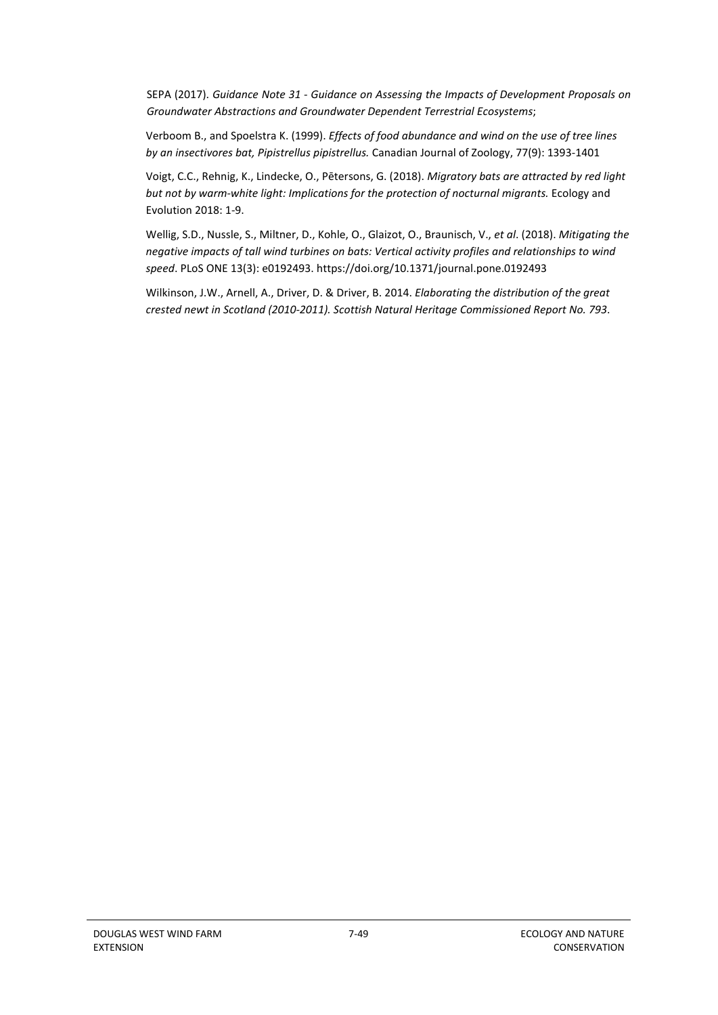SEPA (2017). *Guidance Note 31 - Guidance on Assessing the Impacts of Development Proposals on Groundwater Abstractions and Groundwater Dependent Terrestrial Ecosystems*;

Verboom B., and Spoelstra K. (1999). *Effects of food abundance and wind on the use of tree lines by an insectivores bat, Pipistrellus pipistrellus.* Canadian Journal of Zoology, 77(9): 1393-1401

Voigt, C.C., Rehnig, K., Lindecke, O., Pētersons, G. (2018). *Migratory bats are attracted by red light but not by warm-white light: Implications for the protection of nocturnal migrants.* Ecology and Evolution 2018: 1-9.

Wellig, S.D., Nussle, S., Miltner, D., Kohle, O., Glaizot, O., Braunisch, V., *et al*. (2018). *Mitigating the negative impacts of tall wind turbines on bats: Vertical activity profiles and relationships to wind speed*. PLoS ONE 13(3): e0192493. https://doi.org/10.1371/journal.pone.0192493

Wilkinson, J.W., Arnell, A., Driver, D. & Driver, B. 2014. *Elaborating the distribution of the great crested newt in Scotland (2010-2011). Scottish Natural Heritage Commissioned Report No. 793*.